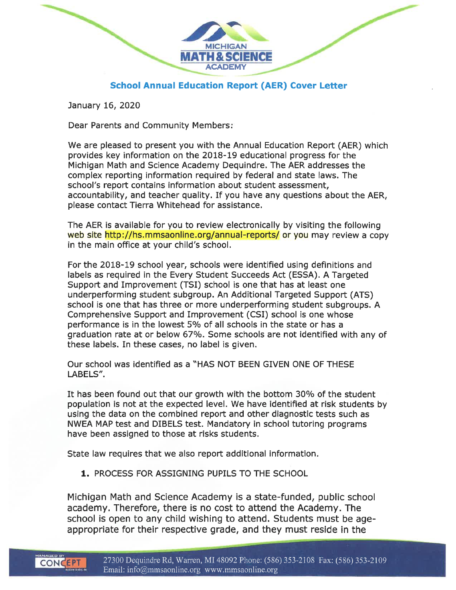

### **School Annual Education Report (AER) Cover Letter**

January 16, 2020

Dear Parents and Community Members:

We are pleased to present you with the Annual Education Report (AER) which provides key information on the 2018-19 educational progress for the Michigan Math and Science Academy Dequindre. The AER addresses the complex reporting information required by federal and state laws. The school's report contains information about student assessment, accountability, and teacher quality. If you have any questions about the AER, please contact Tierra Whitehead for assistance.

The AER is available for you to review electronically by visiting the following web site http://hs.mmsaonline.org/annual-reports/ or you may review a copy in the main office at your child's school.

For the 2018-19 school year, schools were identified using definitions and labels as required in the Every Student Succeeds Act (ESSA). A Targeted Support and Improvement (TSI) school is one that has at least one underperforming student subgroup. An Additional Targeted Support (ATS) school is one that has three or more underperforming student subgroups. A Comprehensive Support and Improvement (CSI) school is one whose performance is in the lowest 5% of all schools in the state or has a graduation rate at or below 67%. Some schools are not identified with any of these labels. In these cases, no label is given.

Our school was identified as a "HAS NOT BEEN GIVEN ONE OF THESE LABELS".

It has been found out that our growth with the bottom 30% of the student population is not at the expected level. We have identified at risk students by using the data on the combined report and other diagnostic tests such as NWEA MAP test and DIBELS test. Mandatory in school tutoring programs have been assigned to those at risks students.

State law requires that we also report additional information.

1. PROCESS FOR ASSIGNING PUPILS TO THE SCHOOL

Michigan Math and Science Academy is a state-funded, public school academy. Therefore, there is no cost to attend the Academy. The school is open to any child wishing to attend. Students must be ageappropriate for their respective grade, and they must reside in the

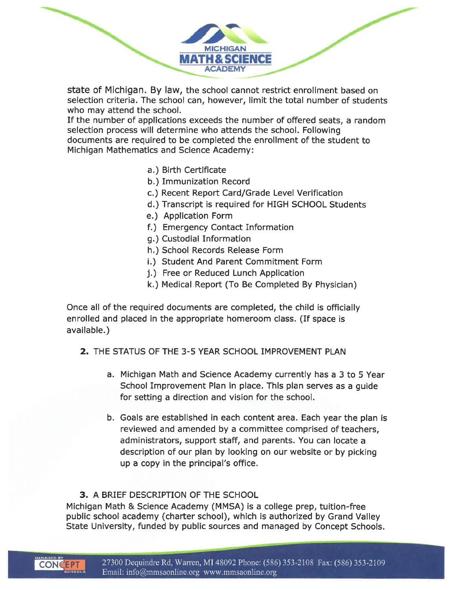state of Michigan. By law, the school cannot restrict enrollment based on selection criteria. The school can, however, limit the total number of students who may attend the school.

MATH & SCIENCE **ACADEMY** 

If the number of applications exceeds the number of offered seats, a random selection process will determine who attends the school. Following documents are required to be completed the enrollment of the student to Michigan Mathematics and Science Academy:

- a.) Birth Certificate
- b.) Immunization Record
- c.) Recent Report Card/Grade Level Verification
- d.) Transcript is required for HIGH SCHOOL Students
- e.) Application Form
- f.) Emergency Contact Information
- q.) Custodial Information
- h.) School Records Release Form
- i.) Student And Parent Commitment Form
- j.) Free or Reduced Lunch Application
- k.) Medical Report (To Be Completed By Physician)

Once all of the required documents are completed, the child is officially enrolled and placed in the appropriate homeroom class. (If space is available.)

- 2. THE STATUS OF THE 3-5 YEAR SCHOOL IMPROVEMENT PLAN
	- a. Michigan Math and Science Academy currently has a 3 to 5 Year School Improvement Plan in place. This plan serves as a quide for setting a direction and vision for the school.
	- b. Goals are established in each content area. Each year the plan is reviewed and amended by a committee comprised of teachers, administrators, support staff, and parents. You can locate a description of our plan by looking on our website or by picking up a copy in the principal's office.

#### 3. A BRIEF DESCRIPTION OF THE SCHOOL

Michigan Math & Science Academy (MMSA) is a college prep, tuition-free public school academy (charter school), which is authorized by Grand Valley State University, funded by public sources and managed by Concept Schools.

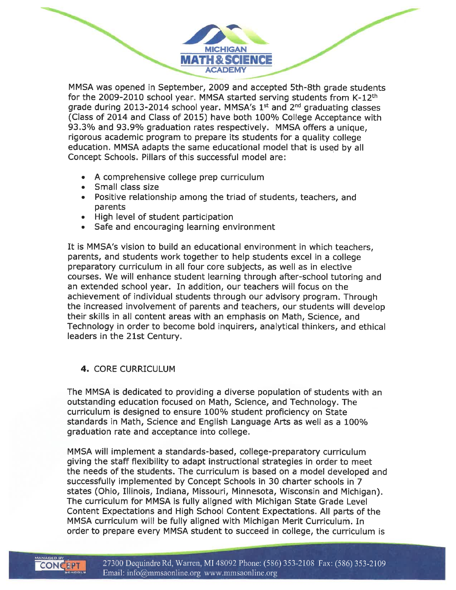MMSA was opened in September, 2009 and accepted 5th-8th grade students for the 2009-2010 school year. MMSA started serving students from K-12<sup>th</sup> grade during 2013-2014 school year. MMSA's 1<sup>st</sup> and 2<sup>nd</sup> graduating classes (Class of 2014 and Class of 2015) have both 100% College Acceptance with 93.3% and 93.9% graduation rates respectively. MMSA offers a unique, rigorous academic program to prepare its students for a quality college education. MMSA adapts the same educational model that is used by all Concept Schools. Pillars of this successful model are:

**MICHIGAN** MATH & SCIENCE

- A comprehensive college prep curriculum
- Small class size
- Positive relationship among the triad of students, teachers, and parents
- · High level of student participation
- Safe and encouraging learning environment

It is MMSA's vision to build an educational environment in which teachers. parents, and students work together to help students excel in a college preparatory curriculum in all four core subjects, as well as in elective courses. We will enhance student learning through after-school tutoring and an extended school year. In addition, our teachers will focus on the achievement of individual students through our advisory program. Through the increased involvement of parents and teachers, our students will develop their skills in all content areas with an emphasis on Math, Science, and Technology in order to become bold inquirers, analytical thinkers, and ethical leaders in the 21st Century.

#### 4. CORE CURRICULUM

The MMSA is dedicated to providing a diverse population of students with an outstanding education focused on Math, Science, and Technology. The curriculum is designed to ensure 100% student proficiency on State standards in Math, Science and English Language Arts as well as a 100% graduation rate and acceptance into college.

MMSA will implement a standards-based, college-preparatory curriculum giving the staff flexibility to adapt instructional strategies in order to meet the needs of the students. The curriculum is based on a model developed and successfully implemented by Concept Schools in 30 charter schools in 7 states (Ohio, Illinois, Indiana, Missouri, Minnesota, Wisconsin and Michigan). The curriculum for MMSA is fully aligned with Michigan State Grade Level Content Expectations and High School Content Expectations. All parts of the MMSA curriculum will be fully aligned with Michigan Merit Curriculum. In order to prepare every MMSA student to succeed in college, the curriculum is

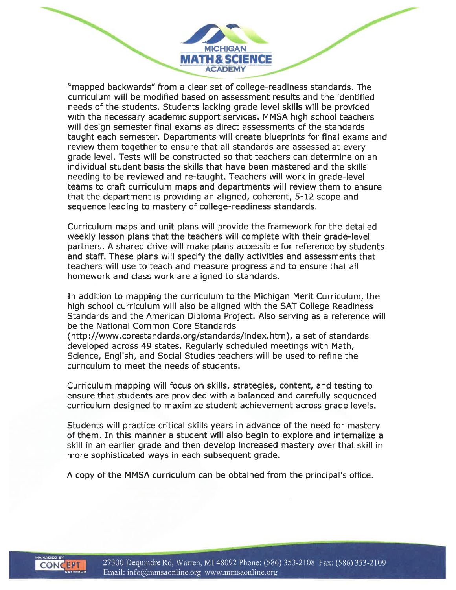"mapped backwards" from a clear set of college-readiness standards. The curriculum will be modified based on assessment results and the identified needs of the students. Students lacking grade level skills will be provided with the necessary academic support services. MMSA high school teachers will design semester final exams as direct assessments of the standards taught each semester. Departments will create blueprints for final exams and review them together to ensure that all standards are assessed at every grade level. Tests will be constructed so that teachers can determine on an individual student basis the skills that have been mastered and the skills needing to be reviewed and re-taught. Teachers will work in grade-level teams to craft curriculum maps and departments will review them to ensure that the department is providing an aligned, coherent, 5-12 scope and sequence leading to mastery of college-readiness standards.

**MICHIGAN** MATH & SCIENCE **ACADEMY** 

Curriculum maps and unit plans will provide the framework for the detailed weekly lesson plans that the teachers will complete with their grade-level partners. A shared drive will make plans accessible for reference by students and staff. These plans will specify the daily activities and assessments that teachers will use to teach and measure progress and to ensure that all homework and class work are aligned to standards.

In addition to mapping the curriculum to the Michigan Merit Curriculum, the high school curriculum will also be aligned with the SAT College Readiness Standards and the American Diploma Project. Also serving as a reference will be the National Common Core Standards

(http://www.corestandards.org/standards/index.htm), a set of standards developed across 49 states. Regularly scheduled meetings with Math. Science, English, and Social Studies teachers will be used to refine the curriculum to meet the needs of students.

Curriculum mapping will focus on skills, strategies, content, and testing to ensure that students are provided with a balanced and carefully sequenced curriculum designed to maximize student achievement across grade levels.

Students will practice critical skills years in advance of the need for mastery of them. In this manner a student will also begin to explore and internalize a skill in an earlier grade and then develop increased mastery over that skill in more sophisticated ways in each subsequent grade.

A copy of the MMSA curriculum can be obtained from the principal's office.

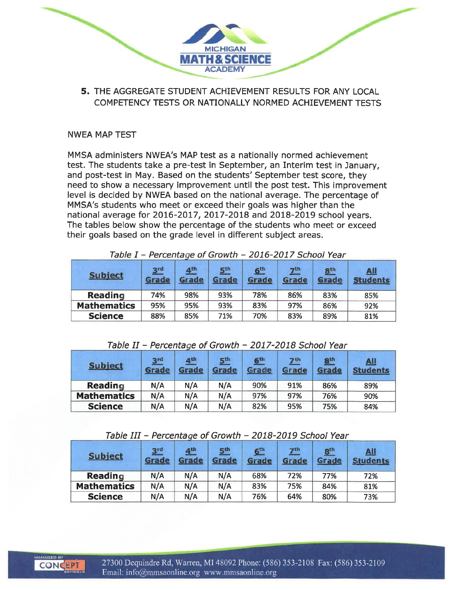

5. THE AGGREGATE STUDENT ACHIEVEMENT RESULTS FOR ANY LOCAL COMPETENCY TESTS OR NATIONALLY NORMED ACHIEVEMENT TESTS

#### **NWEA MAP TEST**

MMSA administers NWEA's MAP test as a nationally normed achievement test. The students take a pre-test in September, an Interim test in January, and post-test in May. Based on the students' September test score, they need to show a necessary improvement until the post test. This improvement level is decided by NWEA based on the national average. The percentage of MMSA's students who meet or exceed their goals was higher than the national average for 2016-2017, 2017-2018 and 2018-2019 school years. The tables below show the percentage of the students who meet or exceed their goals based on the grade level in different subject areas.

| <b>Subject</b>     | 3 <sup>rd</sup><br>Grade | 4 <sup>th</sup><br>Grade | 5 <sup>th</sup><br><b>Grade</b> | 6 <sup>th</sup><br>Grade | 7 <sup>th</sup><br>Grade | 8 <sup>th</sup><br>Grade | <u>All</u><br><b>Students</b> |
|--------------------|--------------------------|--------------------------|---------------------------------|--------------------------|--------------------------|--------------------------|-------------------------------|
| <b>Reading</b>     | 74%                      | 98%                      | 93%                             | 78%                      | 86%                      | 83%                      | 85%                           |
| <b>Mathematics</b> | 95%                      | 95%                      | 93%                             | 83%                      | 97%                      | 86%                      | 92%                           |
| <b>Science</b>     | 88%                      | 85%                      | 71%                             | 70%                      | 83%                      | 89%                      | 81%                           |

Table I - Percentage of Growth - 2016-2017 School Year

#### Table II - Percentage of Growth - 2017-2018 School Year

| <b>Subject</b>     | 3 <sub>rd</sub><br>Grade | 4 <sup>th</sup><br>Grade | 5 <sup>th</sup><br>Grade | 6 <sup>th</sup><br>Grade | 7 <sup>th</sup><br>Grade | $\underline{\mathbf{S}}^{\text{th}}$<br>Grade | <u>All</u><br><b>Students</b> |
|--------------------|--------------------------|--------------------------|--------------------------|--------------------------|--------------------------|-----------------------------------------------|-------------------------------|
| <b>Reading</b>     | N/A                      | N/A                      | N/A                      | 90%                      | 91%                      | 86%                                           | 89%                           |
| <b>Mathematics</b> | N/A<br>N/A               |                          | N/A                      | 97%                      | 97%                      | 76%                                           | 90%                           |
| <b>Science</b>     | N/A                      | N/A                      | N/A                      | 82%                      | 95%                      | 75%                                           | 84%                           |

#### Table III - Percentage of Growth - 2018-2019 School Year

| <b>Subject</b>     | 3 <sup>rd</sup><br>Grade | 4 <sup>th</sup><br>Grade | 5 <sup>th</sup><br>Grade | 6 <sup>th</sup><br>Grade | 7 <sup>th</sup><br>Grade | 8 <sup>th</sup><br>Grade | <u>Ail</u><br><b>Students</b> |
|--------------------|--------------------------|--------------------------|--------------------------|--------------------------|--------------------------|--------------------------|-------------------------------|
| Reading            | N/A                      | N/A                      | N/A                      | 68%                      | 72%                      | 77%                      | 72%                           |
| <b>Mathematics</b> | N/A                      | N/A                      | N/A                      | 83%                      | 75%                      | 84%                      | 81%                           |
| <b>Science</b>     | N/A                      | N/A                      | N/A                      | 76%                      | 64%                      | 80%                      | 73%                           |

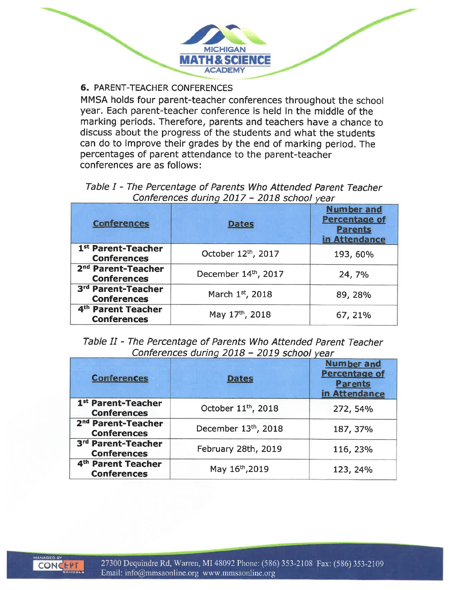

### **6. PARENT-TEACHER CONFERENCES**

MMSA holds four parent-teacher conferences throughout the school year. Each parent-teacher conference is held in the middle of the marking periods. Therefore, parents and teachers have a chance to discuss about the progress of the students and what the students can do to improve their grades by the end of marking period. The percentages of parent attendance to the parent-teacher conferences are as follows:

### Table I - The Percentage of Parents Who Attended Parent Teacher Conferences during 2017 - 2018 school year

| <b>Conferences</b>                                   | <b>Dates</b>        | <b>Number and</b><br><b>Percentage of</b><br><b>Parents</b><br>in Attendance |
|------------------------------------------------------|---------------------|------------------------------------------------------------------------------|
| 1st Parent-Teacher<br><b>Conferences</b>             | October 12th, 2017  | 193, 60%                                                                     |
| 2 <sup>nd</sup> Parent-Teacher<br><b>Conferences</b> | December 14th, 2017 | 24, 7%                                                                       |
| 3rd Parent-Teacher<br><b>Conferences</b>             | March 1st, 2018     | 89, 28%                                                                      |
| 4 <sup>th</sup> Parent Teacher<br><b>Conferences</b> | May 17th, 2018      | 67, 21%                                                                      |

#### Table II - The Percentage of Parents Who Attended Parent Teacher Conferences during 2018 - 2019 school vear

| <b>Conferences</b>                                   | <b>Dates</b>                    | <b>Number and</b><br><b>Percentage of</b><br><b>Parents</b><br>in Attendance |
|------------------------------------------------------|---------------------------------|------------------------------------------------------------------------------|
| 1st Parent-Teacher<br><b>Conferences</b>             | October 11 <sup>th</sup> , 2018 | 272, 54%                                                                     |
| 2 <sup>nd</sup> Parent-Teacher<br><b>Conferences</b> | December 13th, 2018             | 187, 37%                                                                     |
| 3rd Parent-Teacher<br><b>Conferences</b>             | February 28th, 2019             | 116, 23%                                                                     |
| 4th Parent Teacher<br><b>Conferences</b>             | May 16th, 2019                  | 123, 24%                                                                     |

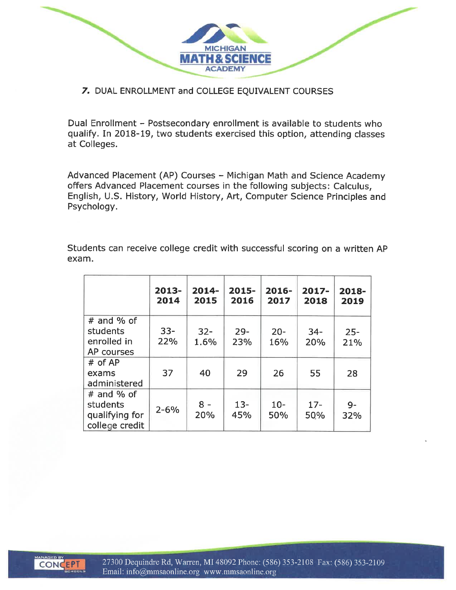**MICHIGAN MATH & SCIENCE ACADEMY** 

### 7. DUAL ENROLLMENT and COLLEGE EQUIVALENT COURSES

Dual Enrollment - Postsecondary enrollment is available to students who qualify. In 2018-19, two students exercised this option, attending classes at Colleges.

Advanced Placement (AP) Courses - Michigan Math and Science Academy offers Advanced Placement courses in the following subjects: Calculus, English, U.S. History, World History, Art, Computer Science Principles and Psychology.

Students can receive college credit with successful scoring on a written AP exam.

|                                                              | $2013-$<br>2014 | $2014-$<br>2015 | $2015 -$<br>2016 | $2016 -$<br>2017 | $2017 -$<br>2018 | 2018-<br>2019 |
|--------------------------------------------------------------|-----------------|-----------------|------------------|------------------|------------------|---------------|
| $#$ and % of<br>students<br>enrolled in<br>AP courses        | $33 -$<br>22%   | $32 -$<br>1.6%  | $29 -$<br>23%    | $20 -$<br>16%    | $34 -$<br>20%    | $25 -$<br>21% |
| $#$ of AP<br>exams<br>administered                           | 37              | 40              | 29               | 26               | 55               | 28            |
| $#$ and % of<br>students<br>qualifying for<br>college credit | $2 - 6%$        | $8 -$<br>20%    | $13 -$<br>45%    | $10 -$<br>50%    | $17 -$<br>50%    | $9-$<br>32%   |

**CONCEPT**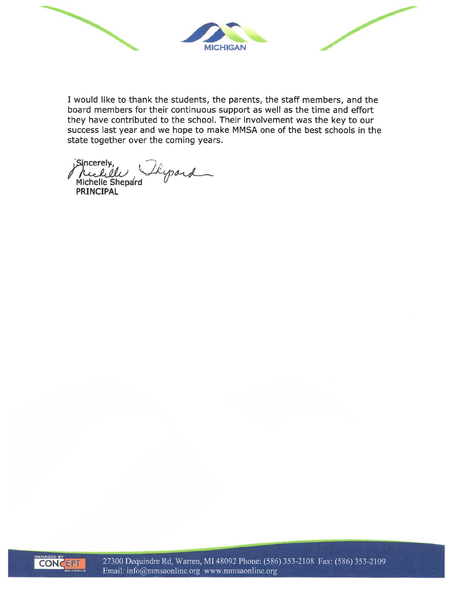

I would like to thank the students, the parents, the staff members, and the board members for their continuous support as well as the time and effort they have contributed to the school. Their involvement was the key to our success last year and we hope to make MMSA one of the best schools in the state together over the coming years.

Sincerely, thepard rick el Michelle Shepard **PRINCIPAL** 



27300 Dequindre Rd, Warren, MI 48092 Phone: (586) 353-2108 Fax: (586) 353-2109 Email: info@mmsaonline.org www.mmsaonline.org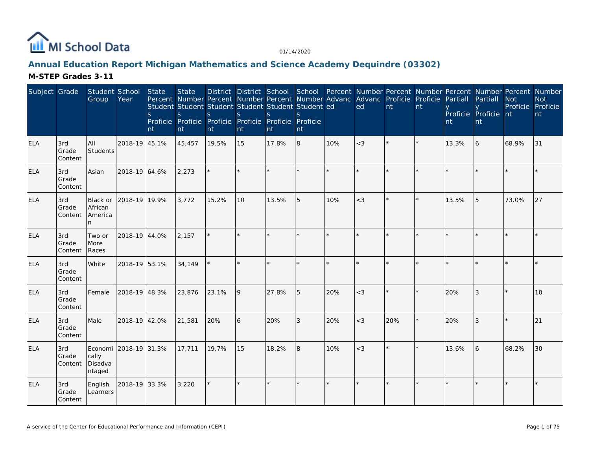

# **Annual Education Report Michigan Mathematics and Science Academy Dequindre (03302)**

| Subject Grade |                         | Student School<br>Group                             | Year          | State<br>S.<br>nt | <b>State</b><br>Percent Number Percent Number Percent Number Advanc Advanc Proficie Proficie Partiall<br>Student Student Student Student Student Student ed<br>S<br>Proficie Proficie Proficie Proficie Proficie Proficie<br>nt | S.<br>nt | <sub>S</sub><br>nt | District District School School Percent Number Percent Number Percent Number Percent Number<br>S.<br>nt | nt |         | ed      | nt  | nt      | nt      | Partiall<br>Proficie Proficie nt<br><b>nt</b> | <b>Not</b><br>Proficie Proficie | <b>Not</b><br>nt |
|---------------|-------------------------|-----------------------------------------------------|---------------|-------------------|---------------------------------------------------------------------------------------------------------------------------------------------------------------------------------------------------------------------------------|----------|--------------------|---------------------------------------------------------------------------------------------------------|----|---------|---------|-----|---------|---------|-----------------------------------------------|---------------------------------|------------------|
| <b>ELA</b>    | 3rd<br>Grade<br>Content | All<br>Students                                     | 2018-19 45.1% |                   | 45,457                                                                                                                                                                                                                          | 19.5%    | 15                 | 17.8%                                                                                                   | 8  | 10%     | $<$ 3   |     | $\star$ | 13.3%   | 6                                             | 68.9%                           | 31               |
| <b>ELA</b>    | 3rd<br>Grade<br>Content | Asian                                               | 2018-19 64.6% |                   | 2,273                                                                                                                                                                                                                           |          |                    |                                                                                                         |    | $\star$ |         |     |         | $\star$ |                                               |                                 |                  |
| <b>ELA</b>    | 3rd<br>Grade<br>Content | <b>Black or</b><br>African<br>America<br>n          | 2018-19 19.9% |                   | 3,772                                                                                                                                                                                                                           | 15.2%    | 10                 | 13.5%                                                                                                   | 5  | 10%     | $<$ 3   |     | $\star$ | 13.5%   | 5                                             | 73.0%                           | 27               |
| <b>ELA</b>    | 3rd<br>Grade<br>Content | Two or<br>More<br>Races                             | 2018-19 44.0% |                   | 2,157                                                                                                                                                                                                                           |          |                    |                                                                                                         |    |         |         |     |         |         |                                               |                                 |                  |
| <b>ELA</b>    | 3rd<br>Grade<br>Content | White                                               | 2018-19 53.1% |                   | 34,149                                                                                                                                                                                                                          |          | $\star$            |                                                                                                         | ÷. | $\star$ | $\star$ |     | $\star$ |         |                                               |                                 |                  |
| <b>ELA</b>    | 3rd<br>Grade<br>Content | Female                                              | 2018-19 48.3% |                   | 23,876                                                                                                                                                                                                                          | 23.1%    | 9                  | 27.8%                                                                                                   | 5  | 20%     | $<$ 3   |     |         | 20%     | 3                                             |                                 | 10               |
| <b>ELA</b>    | 3rd<br>Grade<br>Content | Male                                                | 2018-19 42.0% |                   | 21,581                                                                                                                                                                                                                          | 20%      | 6                  | 20%                                                                                                     | 3  | 20%     | $<$ 3   | 20% |         | 20%     |                                               |                                 | 21               |
| <b>ELA</b>    | 3rd<br>Grade<br>Content | Economi 2018-19 31.3%<br>cally<br>Disadva<br>ntaged |               |                   | 17,711                                                                                                                                                                                                                          | 19.7%    | 15                 | 18.2%                                                                                                   | 8  | 10%     | $<$ 3   |     |         | 13.6%   | 6                                             | 68.2%                           | 30               |
| <b>ELA</b>    | 3rd<br>Grade<br>Content | English<br>Learners                                 | 2018-19 33.3% |                   | 3,220                                                                                                                                                                                                                           |          |                    |                                                                                                         |    | $\star$ |         |     |         |         |                                               |                                 |                  |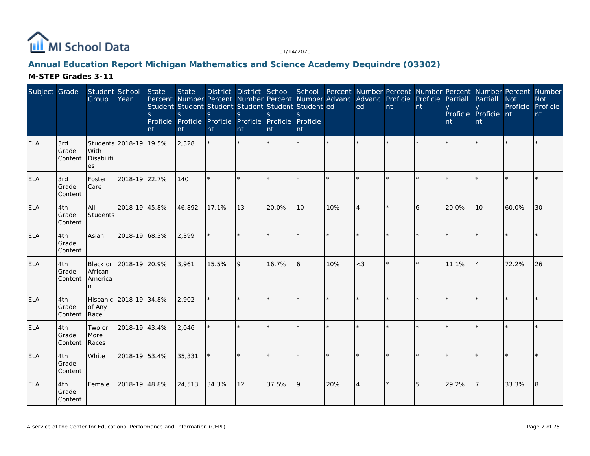

# **Annual Education Report Michigan Mathematics and Science Academy Dequindre (03302)**

| Subject Grade |                         | Student School<br>Group                     | Year                   | State<br><sub>S</sub><br>nt | <b>State</b><br>Percent Number Percent Number Percent Number Advanc Advanc Proficie Proficie Partiall<br>Student Student Student Student Student Student ed<br>S<br>Proficie Proficie Proficie Proficie Proficie Proficie<br>nt | S.<br>nt | S.<br>nt | District District School School Percent Number Percent Number Percent Number Percent Number<br><sub>S</sub><br>nt | S.<br>nt |         | ed             | nt | nt | nt    | Partiall<br>Proficie Proficie nt<br>nt | <b>Not</b><br>Proficie Proficie | <b>Not</b><br>nt |
|---------------|-------------------------|---------------------------------------------|------------------------|-----------------------------|---------------------------------------------------------------------------------------------------------------------------------------------------------------------------------------------------------------------------------|----------|----------|-------------------------------------------------------------------------------------------------------------------|----------|---------|----------------|----|----|-------|----------------------------------------|---------------------------------|------------------|
| <b>ELA</b>    | 3rd<br>Grade<br>Content | With<br>Disabiliti<br>es                    | Students 2018-19 19.5% |                             | 2,328                                                                                                                                                                                                                           | $\star$  |          |                                                                                                                   |          |         |                |    |    |       |                                        |                                 |                  |
| <b>ELA</b>    | 3rd<br>Grade<br>Content | Foster<br>Care                              | 2018-19 22.7%          |                             | 140                                                                                                                                                                                                                             |          |          |                                                                                                                   |          |         |                |    |    |       |                                        |                                 |                  |
| <b>ELA</b>    | 4th<br>Grade<br>Content | All<br>Students                             | 2018-19 45.8%          |                             | 46,892                                                                                                                                                                                                                          | 17.1%    | 13       | 20.0%                                                                                                             | 10       | 10%     | $\Delta$       |    | 6  | 20.0% | 10                                     | 60.0%                           | 30               |
| <b>ELA</b>    | 4th<br>Grade<br>Content | Asian                                       | 2018-19 68.3%          |                             | 2,399                                                                                                                                                                                                                           |          |          |                                                                                                                   |          | $\star$ |                |    |    |       |                                        |                                 |                  |
| ELA           | 4th<br>Grade<br>Content | <b>Black or</b><br>African<br>America<br>n. | 2018-19 20.9%          |                             | 3,961                                                                                                                                                                                                                           | 15.5%    | 9        | 16.7%                                                                                                             | 6        | 10%     | $<$ 3          |    |    | 11.1% | $\overline{4}$                         | 72.2%                           | 26               |
| <b>ELA</b>    | 4th<br>Grade<br>Content | Hispanic<br>of Any<br>Race                  | 2018-19 34.8%          |                             | 2,902                                                                                                                                                                                                                           |          |          |                                                                                                                   |          |         |                |    |    |       |                                        |                                 |                  |
| <b>ELA</b>    | 4th<br>Grade<br>Content | Two or<br>More<br>Races                     | 2018-19 43.4%          |                             | 2,046                                                                                                                                                                                                                           |          |          |                                                                                                                   |          |         | $\star$        |    |    |       |                                        |                                 |                  |
| <b>ELA</b>    | 4th<br>Grade<br>Content | White                                       | 2018-19 53.4%          |                             | 35,331                                                                                                                                                                                                                          |          |          |                                                                                                                   |          |         |                |    |    |       |                                        |                                 |                  |
| <b>ELA</b>    | 4th<br>Grade<br>Content | Female                                      | 2018-19 48.8%          |                             | 24,513                                                                                                                                                                                                                          | 34.3%    | 12       | 37.5%                                                                                                             | 9        | 20%     | $\overline{4}$ |    | 5  | 29.2% |                                        | 33.3%                           | 18               |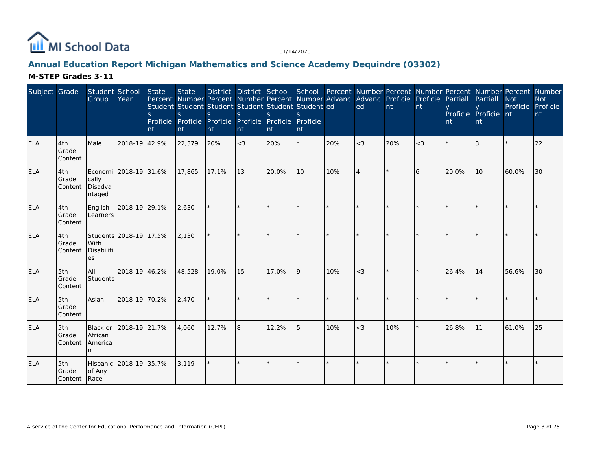

# **Annual Education Report Michigan Mathematics and Science Academy Dequindre (03302)**

| Subject Grade |                              | Student School<br>Group             | Year                   | State<br>S.<br>Int | <b>State</b><br>Percent Number Percent Number Percent Number Advanc Advanc Proficie Proficie Partiall<br>Student Student Student Student Student Student ed<br>S<br>Proficie Proficie<br>nt | <sub>S</sub><br>nt | S<br>nt | District District School School Percent Number Percent Number Percent Number Percent Number<br>S.<br>Proficie Proficie Proficie Proficie<br>nt | nt |     | ed       | nt  | Int     | nt    | Partiall<br>Proficie Proficie nt<br><b>nt</b> | <b>Not</b><br>Proficie Proficie | <b>Not</b><br>nt |
|---------------|------------------------------|-------------------------------------|------------------------|--------------------|---------------------------------------------------------------------------------------------------------------------------------------------------------------------------------------------|--------------------|---------|------------------------------------------------------------------------------------------------------------------------------------------------|----|-----|----------|-----|---------|-------|-----------------------------------------------|---------------------------------|------------------|
| <b>ELA</b>    | 4th<br>Grade<br>Content      | Male                                | 2018-19 42.9%          |                    | 22,379                                                                                                                                                                                      | 20%                | $<$ 3   | 20%                                                                                                                                            | ¥. | 20% | $<$ 3    | 20% | $<$ 3   |       | 3                                             |                                 | 22               |
| <b>ELA</b>    | 4th<br>Grade<br>Content      | cally<br>Disadva<br>ntaged          | Economi 2018-19 31.6%  |                    | 17,865                                                                                                                                                                                      | 17.1%              | 13      | 20.0%                                                                                                                                          | 10 | 10% | $\Delta$ |     | 6       | 20.0% | 10                                            | 60.0%                           | 30               |
| <b>ELA</b>    | 4th<br>Grade<br>Content      | English<br>Learners                 | 2018-19 29.1%          |                    | 2,630                                                                                                                                                                                       | $\star$            | $\star$ |                                                                                                                                                |    |     | $\star$  |     | $\star$ |       |                                               |                                 |                  |
| <b>ELA</b>    | 4th<br>Grade<br>Content      | With<br>Disabiliti<br>es            | Students 2018-19 17.5% |                    | 2,130                                                                                                                                                                                       |                    |         |                                                                                                                                                |    |     |          |     |         |       |                                               |                                 |                  |
| <b>ELA</b>    | 5th<br>Grade<br>Content      | All<br>Students                     | 2018-19 46.2%          |                    | 48,528                                                                                                                                                                                      | 19.0%              | 15      | 17.0%                                                                                                                                          | 9  | 10% | $<$ 3    |     |         | 26.4% | 14                                            | 56.6%                           | 30               |
| <b>ELA</b>    | 5th<br>Grade<br>Content      | Asian                               | 2018-19 70.2%          |                    | 2,470                                                                                                                                                                                       |                    |         |                                                                                                                                                |    |     |          |     |         |       |                                               |                                 |                  |
| <b>ELA</b>    | 5th<br>Grade<br>Content      | Black or<br>African<br>America<br>n | 2018-19 21.7%          |                    | 4,060                                                                                                                                                                                       | 12.7%              | 8       | 12.2%                                                                                                                                          | 5  | 10% | $<$ 3    | 10% |         | 26.8% | 11                                            | 61.0%                           | 25               |
| <b>ELA</b>    | 5th<br>Grade<br>Content Race | Hispanic<br>of Any                  | 2018-19 35.7%          |                    | 3,119                                                                                                                                                                                       | $\star$            |         |                                                                                                                                                |    |     | $\star$  |     |         |       |                                               |                                 |                  |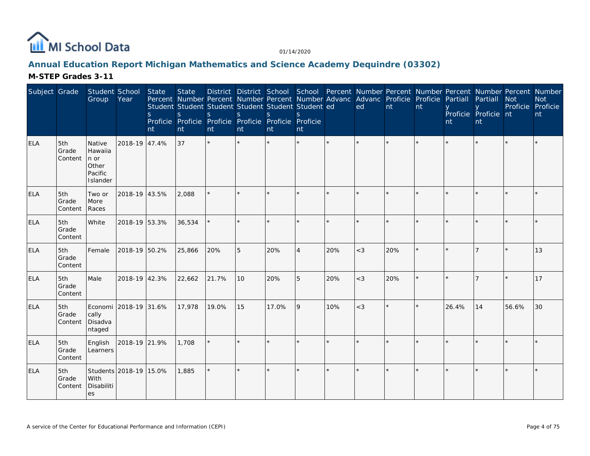

# Annual Education Report Michigan Mathematics and Science Academy Dequindre (03302)

| Subject Grade |                         | Student School<br>Group                                    | Year                   | State<br>S.<br>nt | <b>State</b><br>Percent Number Percent Number Percent Number Advanc Advanc Proficie Proficie<br>Student Student Student Student Student Student ed<br>S<br>Proficie Proficie Proficie Proficie Proficie Proficie<br>nt | S.<br>nt | <sub>S</sub><br>nt | District District School School Percent Number Percent Number Percent Number Percent Number<br>$\mathcal{S}$<br>Int | nt             |         | ed      | nt  | nt      | Partiall<br>nt | Partiall<br>Proficie Proficie nt<br>nt | <b>Not</b><br>Proficie Proficie | <b>Not</b><br>nt |
|---------------|-------------------------|------------------------------------------------------------|------------------------|-------------------|------------------------------------------------------------------------------------------------------------------------------------------------------------------------------------------------------------------------|----------|--------------------|---------------------------------------------------------------------------------------------------------------------|----------------|---------|---------|-----|---------|----------------|----------------------------------------|---------------------------------|------------------|
| ELA           | 5th<br>Grade<br>Content | Native<br>Hawaiia<br>In or<br>Other<br>Pacific<br>Islander | 2018-19 47.4%          |                   | 37                                                                                                                                                                                                                     | $\star$  |                    |                                                                                                                     | ÷.             | $\star$ | $\star$ |     |         |                |                                        |                                 |                  |
| <b>ELA</b>    | 5th<br>Grade<br>Content | Two or<br>More<br>Races                                    | 2018-19 43.5%          |                   | 2,088                                                                                                                                                                                                                  |          |                    |                                                                                                                     |                |         |         |     |         |                |                                        |                                 |                  |
| <b>ELA</b>    | 5th<br>Grade<br>Content | White                                                      | 2018-19 53.3%          |                   | 36,534                                                                                                                                                                                                                 |          |                    |                                                                                                                     |                |         | $\star$ |     |         | $\star$        |                                        |                                 |                  |
| <b>ELA</b>    | 5th<br>Grade<br>Content | Female                                                     | 2018-19 50.2%          |                   | 25,866                                                                                                                                                                                                                 | 20%      | 5                  | 20%                                                                                                                 | $\overline{4}$ | 20%     | $<$ 3   | 20% |         |                |                                        |                                 | 13               |
| <b>ELA</b>    | 5th<br>Grade<br>Content | Male                                                       | 2018-19 42.3%          |                   | 22,662                                                                                                                                                                                                                 | 21.7%    | 10 <sup>°</sup>    | 20%                                                                                                                 | 5              | 20%     | $<$ 3   | 20% | $\star$ |                |                                        |                                 | 17               |
| <b>ELA</b>    | 5th<br>Grade<br>Content | Economi<br>cally<br>Disadva<br>ntaged                      | 2018-19 31.6%          |                   | 17,978                                                                                                                                                                                                                 | 19.0%    | 15                 | 17.0%                                                                                                               | 9              | 10%     | $<$ 3   |     |         | 26.4%          | 14                                     | 56.6%                           | 30               |
| <b>ELA</b>    | 5th<br>Grade<br>Content | English<br>Learners                                        | 2018-19 21.9%          |                   | 1,708                                                                                                                                                                                                                  | $\star$  |                    |                                                                                                                     |                |         |         |     |         |                |                                        |                                 |                  |
| <b>ELA</b>    | 5th<br>Grade<br>Content | With<br>Disabiliti<br>les                                  | Students 2018-19 15.0% |                   | 1,885                                                                                                                                                                                                                  | $\star$  | $\star$            |                                                                                                                     |                |         |         |     |         |                |                                        |                                 |                  |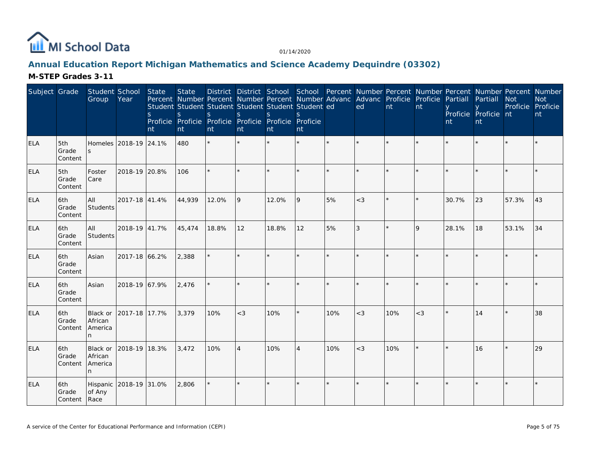

# **Annual Education Report Michigan Mathematics and Science Academy Dequindre (03302)**

| Subject Grade |                                | Student School<br>Group                     | Year                  | State<br><sub>S</sub><br>nt | <b>State</b><br>Student Student Student Student Student Student ed<br>S<br>Proficie Proficie Proficie Proficie Proficie Proficie<br>nt | S.<br>nt | <sub>S</sub><br>nt | <sub>S</sub><br>nt | S.<br>nt       |         | District District School School Percent Number Percent Number Percent Number Percent Number<br>Percent Number Percent Number Percent Number Advanc Advanc Proficie Proficie Partiall<br>ed | nt  | nt           | nt      | Partiall<br>Proficie Proficie nt<br>nt | <b>Not</b><br>Proficie Proficie | <b>Not</b><br>nt |
|---------------|--------------------------------|---------------------------------------------|-----------------------|-----------------------------|----------------------------------------------------------------------------------------------------------------------------------------|----------|--------------------|--------------------|----------------|---------|--------------------------------------------------------------------------------------------------------------------------------------------------------------------------------------------|-----|--------------|---------|----------------------------------------|---------------------------------|------------------|
| <b>ELA</b>    | 5th<br>Grade<br>Content        | S                                           | Homeles 2018-19 24.1% |                             | 480                                                                                                                                    | $\star$  | $\star$            |                    |                | $\star$ |                                                                                                                                                                                            |     |              |         |                                        |                                 |                  |
| <b>ELA</b>    | 5th<br>Grade<br>Content        | Foster<br>Care                              | 2018-19 20.8%         |                             | 106                                                                                                                                    |          |                    |                    | $\star$        |         |                                                                                                                                                                                            |     |              |         |                                        |                                 |                  |
| <b>ELA</b>    | 6th<br>Grade<br>Content        | All<br>Students                             | 2017-18 41.4%         |                             | 44,939                                                                                                                                 | 12.0%    | 9                  | 12.0%              | 9              | 5%      | $<$ 3                                                                                                                                                                                      |     |              | 30.7%   | 23                                     | 57.3%                           | 43               |
| <b>ELA</b>    | 6th<br>Grade<br>Content        | All<br>Students                             | 2018-19 41.7%         |                             | 45,474                                                                                                                                 | 18.8%    | 12                 | 18.8%              | 12             | 5%      | 3                                                                                                                                                                                          |     | $\mathsf{Q}$ | 28.1%   | 18                                     | 53.1%                           | 34               |
| <b>ELA</b>    | 6th<br>Grade<br>Content        | Asian                                       | 2017-18 66.2%         |                             | 2,388                                                                                                                                  |          |                    |                    |                | $\star$ |                                                                                                                                                                                            |     |              |         |                                        |                                 |                  |
| <b>ELA</b>    | 6th<br>Grade<br>Content        | Asian                                       | 2018-19 67.9%         |                             | 2,476                                                                                                                                  |          | $\star$            |                    | $\star$        |         |                                                                                                                                                                                            |     |              |         |                                        |                                 |                  |
| <b>ELA</b>    | l6th<br>Grade<br>Content       | <b>Black or</b><br>African<br>America<br>n. | 2017-18 17.7%         |                             | 3,379                                                                                                                                  | 10%      | $<$ 3              | 10%                | $\star$        | 10%     | $<$ 3                                                                                                                                                                                      | 10% | $<$ 3        |         | 14                                     |                                 | 38               |
| <b>ELA</b>    | 6th<br>Grade<br>Content        | Black or<br>African<br>America<br>n         | 2018-19 18.3%         |                             | 3,472                                                                                                                                  | 10%      | $\overline{4}$     | 10%                | $\overline{4}$ | 10%     | $<$ 3                                                                                                                                                                                      | 10% |              | $\star$ | 16                                     |                                 | 29               |
| <b>ELA</b>    | 6th<br>Grade<br>Content   Race | Hispanic<br>of Any                          | 2018-19 31.0%         |                             | 2,806                                                                                                                                  |          |                    |                    | $\star$        |         |                                                                                                                                                                                            |     |              |         |                                        |                                 |                  |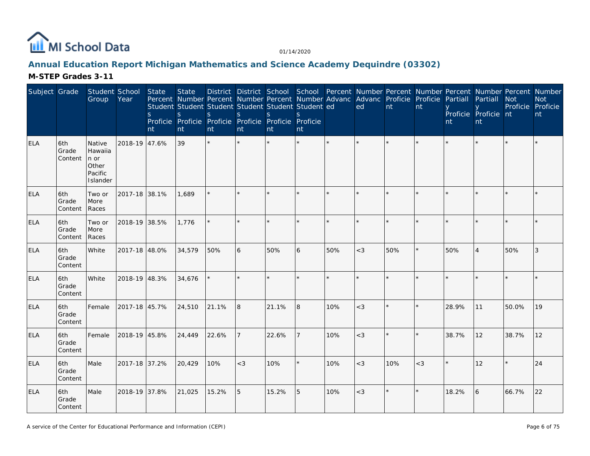

# **Annual Education Report Michigan Mathematics and Science Academy Dequindre (03302)**

| Subject Grade |                         | Student School<br>Group                                   | Year          | State<br>S<br>nt | <b>State</b><br>Percent Number Percent Number Percent Number Advanc<br>Student Student Student Student Student Student ed<br>S<br>Proficie Proficie Proficie Proficie Proficie Proficie<br>nt | S.<br>nt | S<br>nt | <sub>S</sub><br><b>nt</b> | <sub>S</sub><br>nt |     | Advanc Proficie<br>ed | nt      | Proficie<br>nt | Partiall<br>nt | Partiall<br>Proficie Proficie nt<br>nt | District District School School Percent Number Percent Number Percent Number Percent Number<br>Not<br>Proficie Proficie | <b>Not</b><br>nt |
|---------------|-------------------------|-----------------------------------------------------------|---------------|------------------|-----------------------------------------------------------------------------------------------------------------------------------------------------------------------------------------------|----------|---------|---------------------------|--------------------|-----|-----------------------|---------|----------------|----------------|----------------------------------------|-------------------------------------------------------------------------------------------------------------------------|------------------|
| <b>ELA</b>    | 6th<br>Grade<br>Content | Native<br>Hawaiia<br>n or<br>Other<br>Pacific<br>Islander | 2018-19 47.6% |                  | 39                                                                                                                                                                                            | $\star$  |         |                           |                    |     |                       |         |                |                |                                        |                                                                                                                         |                  |
| <b>ELA</b>    | 6th<br>Grade<br>Content | Two or<br>More<br>Races                                   | 2017-18 38.1% |                  | 1,689                                                                                                                                                                                         | $\star$  | $\star$ |                           |                    |     | $\star$               | $\star$ | $\star$        |                |                                        | $\star$                                                                                                                 |                  |
| <b>ELA</b>    | 6th<br>Grade<br>Content | Two or<br>More<br>Races                                   | 2018-19 38.5% |                  | 1,776                                                                                                                                                                                         |          |         |                           |                    |     |                       |         |                |                |                                        |                                                                                                                         |                  |
| <b>ELA</b>    | 6th<br>Grade<br>Content | White                                                     | 2017-18 48.0% |                  | 34,579                                                                                                                                                                                        | 50%      | 6       | 50%                       | 6                  | 50% | $<$ 3                 | 50%     | $\star$        | 50%            | $\overline{4}$                         | 50%                                                                                                                     | 3                |
| <b>ELA</b>    | 6th<br>Grade<br>Content | White                                                     | 2018-19 48.3% |                  | 34,676                                                                                                                                                                                        |          |         |                           |                    |     |                       | $\star$ | $\star$        |                |                                        |                                                                                                                         |                  |
| <b>ELA</b>    | 6th<br>Grade<br>Content | Female                                                    | 2017-18 45.7% |                  | 24,510                                                                                                                                                                                        | 21.1%    | 8       | 21.1%                     | 8                  | 10% | $<$ 3                 | $\star$ | $\star$        | 28.9%          | 11                                     | 50.0%                                                                                                                   | 19               |
| <b>ELA</b>    | 6th<br>Grade<br>Content | Female                                                    | 2018-19 45.8% |                  | 24,449                                                                                                                                                                                        | 22.6%    |         | 22.6%                     |                    | 10% | $<$ 3                 |         | $\star$        | 38.7%          | 12                                     | 38.7%                                                                                                                   | 12               |
| <b>ELA</b>    | 6th<br>Grade<br>Content | Male                                                      | 2017-18 37.2% |                  | 20,429                                                                                                                                                                                        | 10%      | $<$ 3   | 10%                       |                    | 10% | $<$ 3                 | 10%     | $<$ 3          |                | 12                                     | $\star$                                                                                                                 | 24               |
| <b>ELA</b>    | 6th<br>Grade<br>Content | Male                                                      | 2018-19 37.8% |                  | 21,025                                                                                                                                                                                        | 15.2%    | 5       | 15.2%                     | 5                  | 10% | $<$ 3                 | $\star$ | $\star$        | 18.2%          | 6                                      | 66.7%                                                                                                                   | 22               |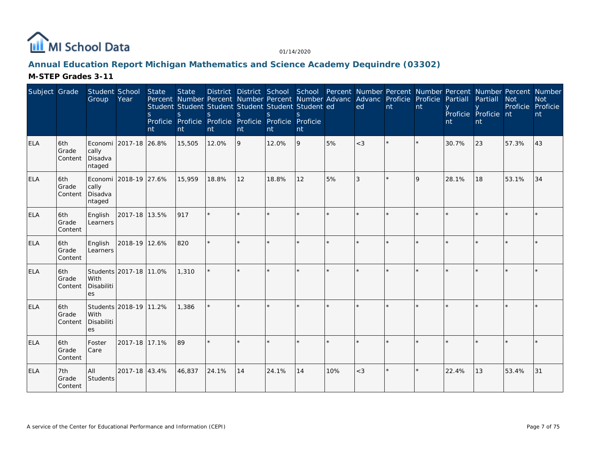

# **Annual Education Report Michigan Mathematics and Science Academy Dequindre (03302)**

| Subject Grade |                         | Student School<br>Group    | Year                   | <b>State</b><br>$\mathsf{S}$<br>nt | <b>State</b><br>$\mathsf{S}$<br>nt | Student Student Student Student Student Student ed<br><sub>S</sub><br>Proficie Proficie Proficie Proficie Proficie Proficie<br>nt | <sub>S</sub><br>nt | $\mathbf S$<br>nt | <sub>S</sub><br>nt |     | District District School School Percent Number Percent Number Percent Number Percent Number<br>Percent Number Percent Number Percent Number Advanc Advanc Proficie Proficie Partiall<br>ed | nt      | nt | nt    | Partiall<br>Proficie Proficie nt<br>nt | <b>Not</b><br>Proficie Proficie | <b>Not</b><br>nt |
|---------------|-------------------------|----------------------------|------------------------|------------------------------------|------------------------------------|-----------------------------------------------------------------------------------------------------------------------------------|--------------------|-------------------|--------------------|-----|--------------------------------------------------------------------------------------------------------------------------------------------------------------------------------------------|---------|----|-------|----------------------------------------|---------------------------------|------------------|
| <b>ELA</b>    | 6th<br>Grade<br>Content | cally<br>Disadva<br>ntaged | Economi 2017-18 26.8%  |                                    | 15,505                             | 12.0%                                                                                                                             | 9                  | 12.0%             | 9                  | 5%  | $<$ 3                                                                                                                                                                                      |         |    | 30.7% | 23                                     | 57.3%                           | 43               |
| <b>ELA</b>    | 6th<br>Grade<br>Content | cally<br>Disadva<br>ntaged | Economi 2018-19 27.6%  |                                    | 15,959                             | 18.8%                                                                                                                             | 12                 | 18.8%             | 12                 | 5%  | 3                                                                                                                                                                                          | $\star$ | 9  | 28.1% | 18                                     | 53.1%                           | 34               |
| <b>ELA</b>    | 6th<br>Grade<br>Content | English<br>Learners        | 2017-18 13.5%          |                                    | 917                                | ÷.                                                                                                                                |                    |                   |                    |     |                                                                                                                                                                                            |         |    |       |                                        |                                 |                  |
| <b>ELA</b>    | 6th<br>Grade<br>Content | English<br>Learners        | 2018-19 12.6%          |                                    | 820                                | ÷.                                                                                                                                |                    |                   |                    |     |                                                                                                                                                                                            | ÷.      |    |       |                                        |                                 |                  |
| <b>ELA</b>    | 6th<br>Grade<br>Content | With<br>Disabiliti<br>es   | Students 2017-18 11.0% |                                    | 1,310                              |                                                                                                                                   |                    |                   |                    |     |                                                                                                                                                                                            |         |    |       |                                        |                                 |                  |
| <b>ELA</b>    | 6th<br>Grade<br>Content | With<br>Disabiliti<br>es   | Students 2018-19 11.2% |                                    | 1,386                              |                                                                                                                                   |                    |                   |                    |     |                                                                                                                                                                                            |         |    |       |                                        |                                 |                  |
| <b>ELA</b>    | 6th<br>Grade<br>Content | Foster<br>Care             | 2017-18 17.1%          |                                    | 89                                 |                                                                                                                                   |                    |                   |                    |     |                                                                                                                                                                                            |         |    |       |                                        |                                 |                  |
| <b>ELA</b>    | 7th<br>Grade<br>Content | All<br>Students            | 2017-18 43.4%          |                                    | 46,837                             | 24.1%                                                                                                                             | 14                 | 24.1%             | 14                 | 10% | $<$ 3                                                                                                                                                                                      | $\star$ |    | 22.4% | 13                                     | 53.4%                           | 31               |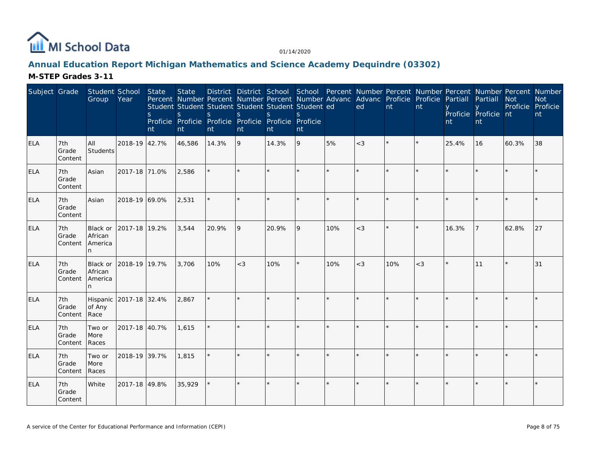

# **Annual Education Report Michigan Mathematics and Science Academy Dequindre (03302)**

| Subject Grade |                         | Student School<br>Group              | Year          | State<br>S.<br>nt | <b>State</b><br>Percent Number Percent Number Percent Number Advanc Advanc Proficie Proficie Partiall<br>Student Student Student Student Student Student ed<br>S<br>Proficie Proficie Proficie Proficie Proficie Proficie<br>nt | S.<br>nt | <sub>S</sub><br>nt | S.<br>nt | nt      |     | District District School School Percent Number Percent Number Percent Number Percent Number<br>ed | nt  | nt      | nt      | Partiall<br>Proficie Proficie nt<br><b>nt</b> | <b>Not</b><br>Proficie Proficie | <b>Not</b><br>nt |
|---------------|-------------------------|--------------------------------------|---------------|-------------------|---------------------------------------------------------------------------------------------------------------------------------------------------------------------------------------------------------------------------------|----------|--------------------|----------|---------|-----|---------------------------------------------------------------------------------------------------|-----|---------|---------|-----------------------------------------------|---------------------------------|------------------|
| <b>ELA</b>    | 7th<br>Grade<br>Content | All<br>Students                      | 2018-19 42.7% |                   | 46,586                                                                                                                                                                                                                          | 14.3%    | 9                  | 14.3%    | 9       | 5%  | $<$ 3                                                                                             |     | $\star$ | 25.4%   | 16                                            | 60.3%                           | 38               |
| ELA           | 7th<br>Grade<br>Content | Asian                                | 2017-18 71.0% |                   | 2,586                                                                                                                                                                                                                           |          |                    |          |         |     |                                                                                                   |     |         |         |                                               |                                 |                  |
| <b>ELA</b>    | 7th<br>Grade<br>Content | Asian                                | 2018-19 69.0% |                   | 2,531                                                                                                                                                                                                                           |          | $\star$            |          | $\star$ |     |                                                                                                   |     |         |         |                                               |                                 |                  |
| <b>ELA</b>    | 7th<br>Grade<br>Content | Black or<br>African<br>America<br>n. | 2017-18 19.2% |                   | 3,544                                                                                                                                                                                                                           | 20.9%    | 9                  | 20.9%    | 9       | 10% | $<$ 3                                                                                             |     |         | 16.3%   |                                               | 62.8%                           | 27               |
| <b>ELA</b>    | 7th<br>Grade<br>Content | Black or<br>African<br>America<br>n  | 2018-19 19.7% |                   | 3,706                                                                                                                                                                                                                           | 10%      | $<$ 3              | 10%      | $\star$ | 10% | $<$ 3                                                                                             | 10% | $<$ 3   | $\star$ | 11                                            |                                 | 31               |
| <b>ELA</b>    | 7th<br>Grade<br>Content | Hispanic<br>of Any<br>Race           | 2017-18 32.4% |                   | 2,867                                                                                                                                                                                                                           |          |                    |          | $\star$ |     |                                                                                                   |     |         |         |                                               |                                 |                  |
| <b>ELA</b>    | 7th<br>Grade<br>Content | Two or<br>More<br>Races              | 2017-18 40.7% |                   | 1,615                                                                                                                                                                                                                           |          |                    |          | $\star$ |     |                                                                                                   |     |         |         |                                               |                                 |                  |
| ELA           | 7th<br>Grade<br>Content | Two or<br>More<br>Races              | 2018-19 39.7% |                   | 1,815                                                                                                                                                                                                                           |          |                    |          |         |     |                                                                                                   |     |         |         |                                               |                                 |                  |
| <b>ELA</b>    | 7th<br>Grade<br>Content | White                                | 2017-18 49.8% |                   | 35,929                                                                                                                                                                                                                          |          |                    |          | $\star$ |     |                                                                                                   |     |         |         |                                               |                                 |                  |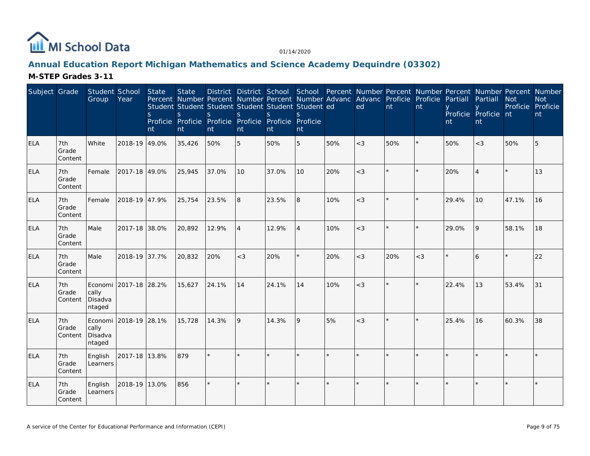

% |879 \* \* \* \* \* \* \* \* \* \* \* \* \* \* \* \* \*

 $\%$  856  $\left| \begin{array}{ccc} * & * & * \ * & * & * \end{array} \right|$  \*  $\left| \begin{array}{ccc} * & * & * \ * & * & * \end{array} \right|$  \*  $\left| \begin{array}{ccc} * & * & * \ * & * & * \end{array} \right|$  \*  $\left| \begin{array}{ccc} * & * & * \ * & * & * \end{array} \right|$ 

#### **Annual Education Report Michigan Mathematics and Science Academy Dequindre (03302)M-STEP Grades 3-11**

#### Subject Grade Student School**Group** Year**State** Percent Number Percent Number Percent Number Advanc Advanc Proficie Proficie Partiall Partiall Not Student Student Student Student Student ed s Proficie Proficie Proficie Proficie Proficie Proficient**State** sntDistrict District School sntsntsnt**School** sntPercent Number Percent Number Percent Number Percent Number edntntyProficie Proficie nt ntyntELA 7th Grade Content**White**  2018-19 49.0% $\%$  35,426 50% 5 50% 5 50% 50%  $\sim$  50% 50% 50% 5 ELA 7th Grade ContentFemale 2017-18 49.0%%  $25,945$  37.0% 10 37.0% 10 20% <3  $\vert$ \*  $\vert$ \* 20% 4  $\vert$ \* 13 ELA 7th Grade ContentFemale 2018-19 47.9% $\%$  25,754 23.5% 8 23.5% 8 10% <3 \* \* 29.4% 10 47.1% 16 ELA 7th Grade ContentMale 2017-18 38.0% $\%$  20,892 12.9% 4 12.9% 4 10% <3 \* \* 29.0% 9 58.1% 18 ELA 7th Grade ContentMale 2018-19 37.7%%  $20,832$   $20\%$   $\begin{vmatrix} 20 & 20\% & 20\% & 20\% & 20\% & 20\% & 20\% & 20\% & 20\% & 20\% & 20\% & 20\% & 20\% & 20\% & 20\% & 20\% & 20\% & 20\% & 20\% & 20\% & 20\% & 20\% & 20\% & 20\% & 20\% & 20\% & 20\% & 20\% & 20\% & 20\% & 20\% & 20\% & 20\% &$ ELA 7th Grade ContentEconomi |2017-18 |28.2%<br>... cally Disadva ntaged%  $|15,627$   $|24.1\%$   $|14$   $|24.1\%$   $|14$   $|10\%$   $|<3$   $|$  \*  $|$  \*  $|$   $|$   $|22.4\%$   $|13$   $|$   $|53.4\%$   $|31$ ELA 7th Grade ContentEconomically Disadva2018-19 28.1%%  $15,728$   $14.3\%$   $9$   $14.3\%$   $9$   $5\%$   $<$   $<$   $3$   $*$   $*$   $25.4\%$   $16$   $60.3\%$   $38$

2017-18 13.8%

2018-19 13.0%

ntaged

EnglishLearners

EnglishLearners

ELA

ELA

 7th GradeContent

 7th GradeContent  Proficie ProficieNot

nt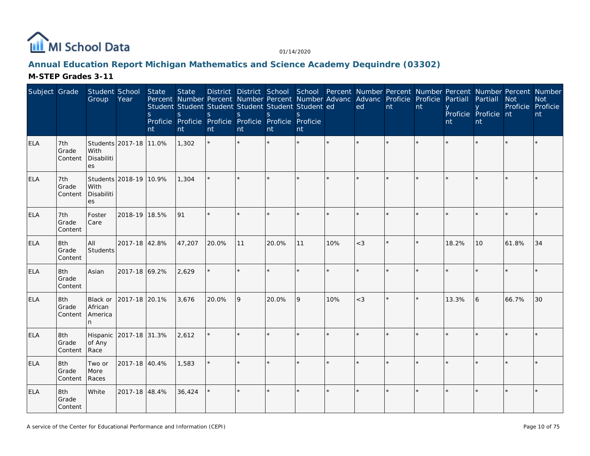

# **Annual Education Report Michigan Mathematics and Science Academy Dequindre (03302)**

| Subject Grade |                         | Student School<br>Group              | Year                   | State<br>S<br>nt | <b>State</b><br>Percent Number Percent Number Percent Number Advanc Advanc Proficie Proficie Partiall<br>Student Student Student Student Student Student ed<br>S<br>Proficie Proficie Proficie Proficie Proficie Proficie<br>nt | <sub>S</sub><br>nt | S.<br>nt | District District School School Percent Number Percent Number Percent Number Percent Number<br><sub>S</sub><br>nt | S.<br>nt |     | ed      | nt | nt | nt    | Partiall<br>Proficie Proficie nt<br>nt | <b>Not</b><br>Proficie Proficie | <b>Not</b><br>nt |
|---------------|-------------------------|--------------------------------------|------------------------|------------------|---------------------------------------------------------------------------------------------------------------------------------------------------------------------------------------------------------------------------------|--------------------|----------|-------------------------------------------------------------------------------------------------------------------|----------|-----|---------|----|----|-------|----------------------------------------|---------------------------------|------------------|
| <b>ELA</b>    | 7th<br>Grade<br>Content | With<br>Disabiliti<br>es             | Students 2017-18 11.0% |                  | 1,302                                                                                                                                                                                                                           |                    |          |                                                                                                                   |          |     |         |    |    |       |                                        |                                 |                  |
| <b>ELA</b>    | 7th<br>Grade<br>Content | With<br>Disabiliti<br>es             | Students 2018-19 10.9% |                  | 1,304                                                                                                                                                                                                                           |                    |          |                                                                                                                   |          |     |         |    |    |       |                                        |                                 |                  |
| <b>ELA</b>    | 7th<br>Grade<br>Content | Foster<br>Care                       | 2018-19 18.5%          |                  | 91                                                                                                                                                                                                                              |                    |          |                                                                                                                   |          |     |         |    |    |       |                                        |                                 |                  |
| <b>ELA</b>    | 8th<br>Grade<br>Content | All<br>Students                      | 2017-18 42.8%          |                  | 47,207                                                                                                                                                                                                                          | 20.0%              | 11       | 20.0%                                                                                                             | 11       | 10% | $<$ 3   |    |    | 18.2% | 10                                     | 61.8%                           | 34               |
| <b>ELA</b>    | 8th<br>Grade<br>Content | Asian                                | 2017-18 69.2%          |                  | 2,629                                                                                                                                                                                                                           | $\star$            |          |                                                                                                                   |          |     |         |    |    |       |                                        |                                 |                  |
| <b>ELA</b>    | 8th<br>Grade<br>Content | Black or<br>African<br>America<br>n. | 2017-18 20.1%          |                  | 3,676                                                                                                                                                                                                                           | 20.0%              | 9        | 20.0%                                                                                                             | 9        | 10% | $<$ 3   |    |    | 13.3% | 6                                      | 66.7%                           | 30               |
| <b>ELA</b>    | 8th<br>Grade<br>Content | Hispanic<br>of Any<br>Race           | 2017-18 31.3%          |                  | 2,612                                                                                                                                                                                                                           |                    |          |                                                                                                                   |          |     |         |    |    |       |                                        |                                 |                  |
| <b>ELA</b>    | 8th<br>Grade<br>Content | Two or<br>More<br>Races              | 2017-18 40.4%          |                  | 1,583                                                                                                                                                                                                                           |                    | $\star$  |                                                                                                                   | ÷.       |     | $\star$ |    |    |       |                                        |                                 |                  |
| <b>ELA</b>    | 8th<br>Grade<br>Content | White                                | 2017-18 48.4%          |                  | 36,424                                                                                                                                                                                                                          |                    |          |                                                                                                                   |          |     | $\star$ |    |    |       |                                        |                                 |                  |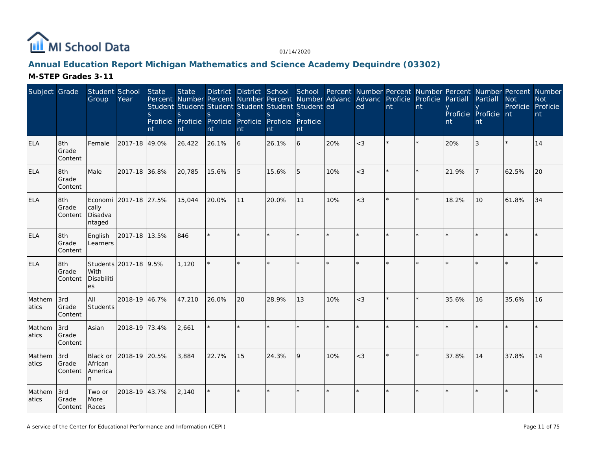

# **Annual Education Report Michigan Mathematics and Science Academy Dequindre (03302)**

| Subject Grade   |                               | Student School<br>Group             | Year                  | State<br>S.<br>nt | <b>State</b><br>Percent Number Percent Number Percent Number Advanc Advanc Proficie Proficie<br>Student Student Student Student Student Student ed<br>S<br>Proficie Proficie Proficie Proficie Proficie Proficie<br>nt | S.<br>nt | S<br>nt | S.<br>nt | S.<br>nt |     | ed    | nt | nt | Partiall<br>nt | Partiall<br>Proficie Proficie nt<br>nt | District District School School Percent Number Percent Number Percent Number Percent Number<br><b>Not</b><br>Proficie Proficie | <b>Not</b><br>nt |
|-----------------|-------------------------------|-------------------------------------|-----------------------|-------------------|------------------------------------------------------------------------------------------------------------------------------------------------------------------------------------------------------------------------|----------|---------|----------|----------|-----|-------|----|----|----------------|----------------------------------------|--------------------------------------------------------------------------------------------------------------------------------|------------------|
| <b>ELA</b>      | 8th<br>Grade<br>Content       | Female                              | 2017-18 49.0%         |                   | 26,422                                                                                                                                                                                                                 | 26.1%    | 6       | 26.1%    | 6        | 20% | $<$ 3 |    |    | 20%            | 3                                      |                                                                                                                                | 14               |
| <b>ELA</b>      | 8th<br>Grade<br>Content       | Male                                | 2017-18 36.8%         |                   | 20,785                                                                                                                                                                                                                 | 15.6%    | 5       | 15.6%    | 5        | 10% | $<$ 3 |    |    | 21.9%          |                                        | 62.5%                                                                                                                          | 20               |
| <b>ELA</b>      | 8th<br>Grade<br>Content       | cally<br>Disadva<br>ntaged          | Economi 2017-18 27.5% |                   | 15,044                                                                                                                                                                                                                 | 20.0%    | 11      | 20.0%    | 11       | 10% | $<$ 3 |    |    | 18.2%          | 10                                     | 61.8%                                                                                                                          | 34               |
| <b>ELA</b>      | 8th<br>Grade<br>Content       | English<br>Learners                 | 2017-18 13.5%         |                   | 846                                                                                                                                                                                                                    |          |         |          |          |     |       |    |    |                |                                        |                                                                                                                                |                  |
| <b>ELA</b>      | 8th<br>Grade<br>Content       | With<br>Disabiliti<br>es            | Students 2017-18 9.5% |                   | 1,120                                                                                                                                                                                                                  |          |         |          | ÷.       |     |       |    |    |                |                                        |                                                                                                                                |                  |
| Mathem<br>atics | 3rd<br>Grade<br>Content       | All<br>Students                     | 2018-19 46.7%         |                   | 47,210                                                                                                                                                                                                                 | 26.0%    | 20      | 28.9%    | 13       | 10% | $<$ 3 |    |    | 35.6%          | 16                                     | 35.6%                                                                                                                          | 16               |
| Mathem<br>atics | 3rd<br>Grade<br>Content       | Asian                               | 2018-19 73.4%         |                   | 2.661                                                                                                                                                                                                                  |          |         |          |          |     |       |    |    |                |                                        |                                                                                                                                |                  |
| Mathem<br>atics | 3rd<br>Grade<br>Content       | Black or<br>African<br>America<br>n | 2018-19 20.5%         |                   | 3,884                                                                                                                                                                                                                  | 22.7%    | 15      | 24.3%    | 9        | 10% | $<$ 3 |    |    | 37.8%          | 14                                     | 37.8%                                                                                                                          | 14               |
| Mathem<br>atics | 3rd<br>Grade<br>Content Races | Two or<br>More                      | 2018-19 43.7%         |                   | 2,140                                                                                                                                                                                                                  |          | $\star$ |          | $\star$  |     |       |    |    |                |                                        |                                                                                                                                |                  |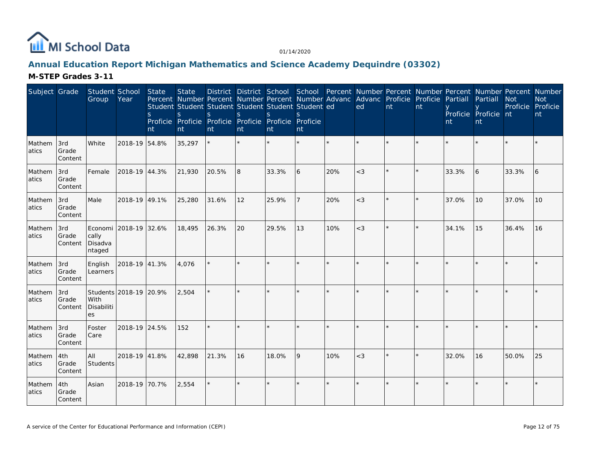

### **Annual Education Report Michigan Mathematics and Science Academy Dequindre (03302)**

| Subject Grade   |                         | Student School<br>Group    | Year                   | State<br>S.<br>nt | <b>State</b><br>Student Student Student Student Student Student ed<br>S.<br>Proficie Proficie Proficie Proficie Proficie Proficie<br>nt | S.<br>nt | <sub>S</sub><br>nt | S.<br>nt | <sup>S</sup><br>nt |         | Percent Number Percent Number Percent Number Advanc Advanc Proficie Proficie<br>ed | nt      | nt      | Partiall<br>nt | Partiall<br>Proficie Proficie nt<br>nt | District District School School Percent Number Percent Number Percent Number Percent Number<br><b>Not</b><br>Proficie Proficie | <b>Not</b><br>nt |
|-----------------|-------------------------|----------------------------|------------------------|-------------------|-----------------------------------------------------------------------------------------------------------------------------------------|----------|--------------------|----------|--------------------|---------|------------------------------------------------------------------------------------|---------|---------|----------------|----------------------------------------|--------------------------------------------------------------------------------------------------------------------------------|------------------|
| Mathem<br>atics | 3rd<br>Grade<br>Content | <b>White</b>               | 2018-19 54.8%          |                   | 35,297                                                                                                                                  |          |                    | $\star$  | ÷.                 | $\star$ |                                                                                    | ×.      |         |                |                                        |                                                                                                                                |                  |
| Mathem<br>atics | 3rd<br>Grade<br>Content | Female                     | 2018-19 44.3%          |                   | 21,930                                                                                                                                  | 20.5%    | 8                  | 33.3%    | 6                  | 20%     | $<$ 3                                                                              | $\star$ |         | 33.3%          | 6                                      | 33.3%                                                                                                                          | 6                |
| Mathem<br>atics | 3rd<br>Grade<br>Content | Male                       | 2018-19 49.1%          |                   | 25,280                                                                                                                                  | 31.6%    | 12                 | 25.9%    | $\overline{7}$     | 20%     | $<$ 3                                                                              | $\star$ | $\star$ | 37.0%          | 10                                     | 37.0%                                                                                                                          | 10               |
| Mathem<br>atics | 3rd<br>Grade<br>Content | cally<br>Disadva<br>ntaged | Economi 2018-19 32.6%  |                   | 18,495                                                                                                                                  | 26.3%    | 20                 | 29.5%    | 13                 | 10%     | $<$ 3                                                                              | ÷.      |         | 34.1%          | 15                                     | 36.4%                                                                                                                          | 16               |
| Mathem<br>atics | 3rd<br>Grade<br>Content | English<br>Learners        | 2018-19 41.3%          |                   | 4.076                                                                                                                                   |          |                    |          | $\star$            | $\star$ |                                                                                    | $\star$ |         |                |                                        |                                                                                                                                |                  |
| Mathem<br>atics | 3rd<br>Grade<br>Content | With<br>Disabiliti<br>es   | Students 2018-19 20.9% |                   | 2.504                                                                                                                                   |          |                    | $\star$  | ÷.                 | ÷       |                                                                                    | ×       |         |                |                                        |                                                                                                                                |                  |
| Mathem<br>atics | 3rd<br>Grade<br>Content | Foster<br>Care             | 2018-19 24.5%          |                   | 152                                                                                                                                     | $\star$  |                    | $\star$  |                    |         |                                                                                    | $\star$ |         |                |                                        |                                                                                                                                |                  |
| Mathem<br>atics | 4th<br>Grade<br>Content | laii<br><b>Students</b>    | 2018-19 41.8%          |                   | 42,898                                                                                                                                  | 21.3%    | 16                 | 18.0%    | 9                  | 10%     | $<$ 3                                                                              | ×.      |         | 32.0%          | 16                                     | 50.0%                                                                                                                          | 25               |
| Mathem<br>atics | 4th<br>Grade<br>Content | Asian                      | 2018-19 70.7%          |                   | 2,554                                                                                                                                   |          |                    | $\star$  | $\star$            |         |                                                                                    | $\star$ |         |                |                                        |                                                                                                                                |                  |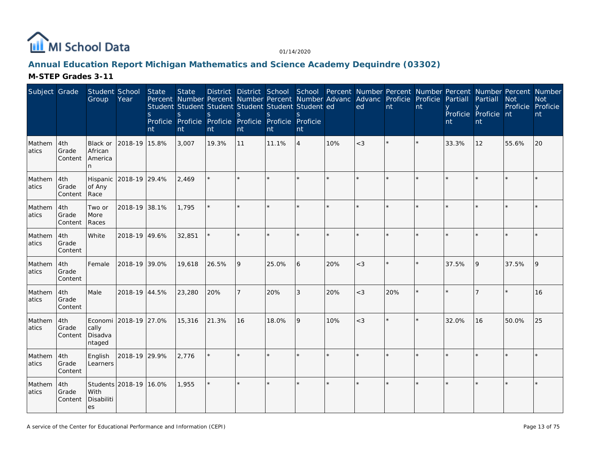

# **Annual Education Report Michigan Mathematics and Science Academy Dequindre (03302)**

| Subject Grade   |                         | Student School<br>Group              | Year                   | State<br>S<br>nt | <b>State</b><br>Percent Number Percent Number Percent Number Advanc Advanc Proficie Proficie<br>Student Student Student Student Student Student ed<br>S<br>Proficie Proficie Proficie Proficie Proficie Proficie<br>nt | S.<br>nt | S<br>nt        | S.<br>nt | nt             |         | ed    | nt  | District District School School Percent Number Percent Number Percent Number Percent Number<br>nt | Partiall<br>nt | Partiall<br>Proficie Proficie nt<br>nt | <b>Not</b><br>Proficie Proficie | <b>Not</b><br>nt |
|-----------------|-------------------------|--------------------------------------|------------------------|------------------|------------------------------------------------------------------------------------------------------------------------------------------------------------------------------------------------------------------------|----------|----------------|----------|----------------|---------|-------|-----|---------------------------------------------------------------------------------------------------|----------------|----------------------------------------|---------------------------------|------------------|
| Mathem<br>atics | 4th<br>Grade<br>Content | Black or<br>African<br>America<br>n. | 2018-19 15.8%          |                  | 3,007                                                                                                                                                                                                                  | 19.3%    | 11             | 11.1%    | $\overline{4}$ | 10%     | $<$ 3 |     |                                                                                                   | 33.3%          | 12                                     | 55.6%                           | 20               |
| Mathem<br>atics | 4th<br>Grade<br>Content | of Any<br>Race                       | Hispanic 2018-19 29.4% |                  | 2,469                                                                                                                                                                                                                  |          |                |          |                |         |       |     |                                                                                                   |                |                                        |                                 |                  |
| Mathem<br>atics | 4th<br>Grade<br>Content | Two or<br>More<br>Races              | 2018-19 38.1%          |                  | 1,795                                                                                                                                                                                                                  |          | $\star$        |          | $\star$        |         |       |     |                                                                                                   |                |                                        |                                 |                  |
| Mathem<br>atics | 4th<br>Grade<br>Content | White                                | 2018-19 49.6%          |                  | 32,851                                                                                                                                                                                                                 |          | $\star$        |          |                | $\star$ |       |     |                                                                                                   |                |                                        |                                 |                  |
| Mathem<br>atics | 4th<br>Grade<br>Content | Female                               | 2018-19 39.0%          |                  | 19,618                                                                                                                                                                                                                 | 26.5%    | 9              | 25.0%    | 6              | 20%     | $<$ 3 |     |                                                                                                   | 37.5%          | <b>9</b>                               | 37.5%                           | 9                |
| Mathem<br>atics | 4th<br>Grade<br>Content | Male                                 | 2018-19 44.5%          |                  | 23,280                                                                                                                                                                                                                 | 20%      | $\overline{7}$ | 20%      | 3              | 20%     | $<$ 3 | 20% |                                                                                                   |                |                                        |                                 | 16               |
| Mathem<br>atics | 4th<br>Grade<br>Content | cally<br>Disadva<br>ntaged           | Economi 2018-19 27.0%  |                  | 15,316                                                                                                                                                                                                                 | 21.3%    | 16             | 18.0%    | 9              | 10%     | $<$ 3 |     |                                                                                                   | 32.0%          | 16                                     | 50.0%                           | 25               |
| Mathem<br>atics | 4th<br>Grade<br>Content | English<br>Learners                  | 2018-19 29.9%          |                  | 2,776                                                                                                                                                                                                                  |          |                |          | $\star$        |         |       |     |                                                                                                   |                |                                        |                                 |                  |
| Mathem<br>atics | 4th<br>Grade<br>Content | With<br>Disabiliti<br>es             | Students 2018-19 16.0% |                  | 1,955                                                                                                                                                                                                                  |          | $\star$        |          |                |         |       |     |                                                                                                   |                |                                        |                                 |                  |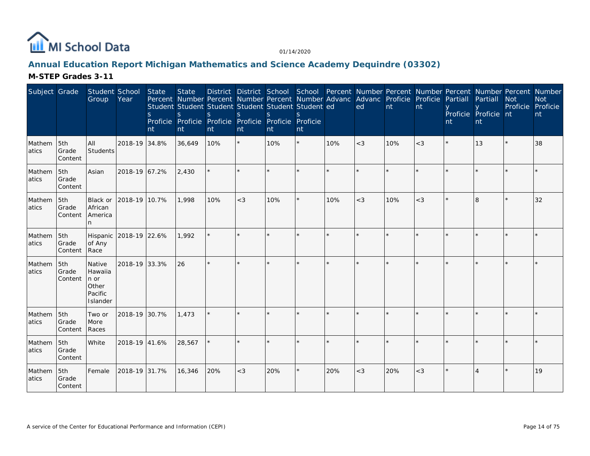

### **Annual Education Report Michigan Mathematics and Science Academy Dequindre (03302)**

| Subject Grade    |                         | Student School<br>Group                                   | Year                   | State<br>S.<br>nt | <b>State</b><br>Student Student Student Student Student Student ed<br>S<br>Proficie Proficie Proficie Proficie Proficie Proficie<br>nt | S.<br>nt | <sub>S</sub><br>nt | $\mathcal{S}$<br>nt | nt      |     | District District School School Percent Number Percent Number Percent Number Percent Number<br>Percent Number Percent Number Percent Number Advanc Advanc Proficie Proficie Partiall<br>ed | nt  | Int   | nt | Partiall<br>Proficie Proficie nt<br>nt | <b>Not</b><br>Proficie Proficie | <b>Not</b><br>nt |
|------------------|-------------------------|-----------------------------------------------------------|------------------------|-------------------|----------------------------------------------------------------------------------------------------------------------------------------|----------|--------------------|---------------------|---------|-----|--------------------------------------------------------------------------------------------------------------------------------------------------------------------------------------------|-----|-------|----|----------------------------------------|---------------------------------|------------------|
| Mathem<br>atics  | 5th<br>Grade<br>Content | All<br>Students                                           | 2018-19 34.8%          |                   | 36,649                                                                                                                                 | 10%      |                    | 10%                 | $\star$ | 10% | $<$ 3                                                                                                                                                                                      | 10% | $<$ 3 |    | 13                                     |                                 | 38               |
| Mathem<br>latics | 5th<br>Grade<br>Content | Asian                                                     | 2018-19 67.2%          |                   | 2,430                                                                                                                                  |          |                    |                     |         |     |                                                                                                                                                                                            |     |       |    |                                        |                                 |                  |
| Mathem<br>atics  | 5th<br>Grade<br>Content | Black or<br>African<br><b>America</b>                     | 2018-19 10.7%          |                   | 1.998                                                                                                                                  | 10%      | $<$ 3              | 10%                 | $\star$ | 10% | $<$ 3                                                                                                                                                                                      | 10% | $<$ 3 |    | 8                                      |                                 | 32               |
| Mathem<br>atics  | 5th<br>Grade<br>Content | of Any<br>Race                                            | Hispanic 2018-19 22.6% |                   | 1,992                                                                                                                                  |          |                    |                     |         |     |                                                                                                                                                                                            |     |       |    |                                        |                                 |                  |
| Mathem<br>atics  | 5th<br>Grade<br>Content | Native<br>Hawaiia<br>n or<br>Other<br>Pacific<br>Islander | 2018-19 33.3%          |                   | 26                                                                                                                                     |          |                    |                     |         |     |                                                                                                                                                                                            |     |       |    |                                        |                                 |                  |
| Mathem<br>atics  | 5th<br>Grade<br>Content | Two or<br>More<br>Races                                   | 2018-19 30.7%          |                   | 1,473                                                                                                                                  |          |                    |                     | $\star$ |     |                                                                                                                                                                                            |     |       |    |                                        |                                 |                  |
| Mathem<br>atics  | 5th<br>Grade<br>Content | White                                                     | 2018-19 41.6%          |                   | 28,567                                                                                                                                 |          |                    |                     | ÷       |     |                                                                                                                                                                                            |     |       |    |                                        |                                 |                  |
| Mathem<br>atics  | 5th<br>Grade<br>Content | Female                                                    | 2018-19 31.7%          |                   | 16,346                                                                                                                                 | 20%      | $<$ 3              | 20%                 | $\star$ | 20% | $<$ 3                                                                                                                                                                                      | 20% | $<$ 3 |    |                                        |                                 | 19               |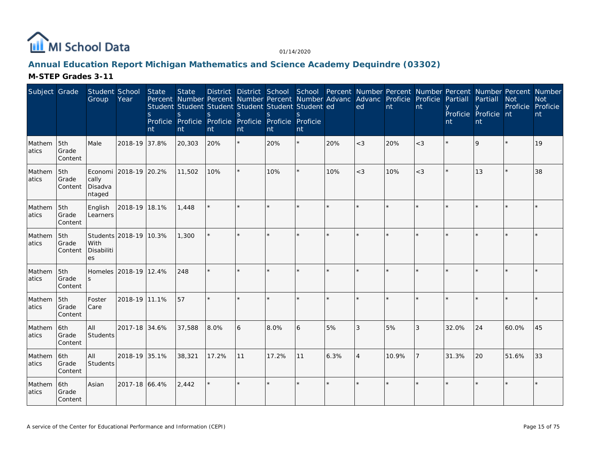

### **Annual Education Report Michigan Mathematics and Science Academy Dequindre (03302)**

| Subject Grade   |                         | Student School<br>Group    | Year                   | State<br><sub>S</sub><br>nt | <b>State</b><br>S.<br>nt | Student Student Student Student Student Student ed<br>S.<br>Proficie Proficie Proficie Proficie Proficie Proficie<br>nt | <sup>S</sup><br>nt | S.<br>nt | $\mathcal{S}$<br>nt |      | District District School School Percent Number Percent Number Percent Number Percent Number<br>Percent Number Percent Number Percent Number Advanc Advanc Proficie Proficie Partiall<br>ed | nt      | nt             | nt    | Partiall<br>Proficie Proficie nt<br>nt | <b>Not</b><br>Proficie Proficie | <b>Not</b><br>nt |
|-----------------|-------------------------|----------------------------|------------------------|-----------------------------|--------------------------|-------------------------------------------------------------------------------------------------------------------------|--------------------|----------|---------------------|------|--------------------------------------------------------------------------------------------------------------------------------------------------------------------------------------------|---------|----------------|-------|----------------------------------------|---------------------------------|------------------|
| Mathem<br>atics | 5th<br>Grade<br>Content | Male                       | 2018-19 37.8%          |                             | 20,303                   | 20%                                                                                                                     | $\star$            | 20%      | $\star$             | 20%  | $<$ 3                                                                                                                                                                                      | 20%     | $<$ 3          |       | $\overline{Q}$                         |                                 | 19               |
| Mathem<br>atics | 5th<br>Grade<br>Content | cally<br>Disadva<br>ntaged | Economi 2018-19 20.2%  |                             | 11,502                   | 10%                                                                                                                     |                    | 10%      | $\star$             | 10%  | $<$ 3                                                                                                                                                                                      | 10%     | $<$ 3          |       | 13                                     |                                 | 38               |
| Mathem<br>atics | 5th<br>Grade<br>Content | English<br>Learners        | 2018-19 18.1%          |                             | 1.448                    |                                                                                                                         |                    | $\star$  | $\star$             |      |                                                                                                                                                                                            | $\star$ |                |       |                                        |                                 |                  |
| Mathem<br>atics | 5th<br>Grade<br>Content | With<br>Disabiliti<br>es   | Students 2018-19 10.3% |                             | 1,300                    |                                                                                                                         |                    |          |                     |      |                                                                                                                                                                                            | ×.      |                |       |                                        |                                 |                  |
| Mathem<br>atics | 5th<br>Grade<br>Content | <sub>S</sub>               | Homeles 2018-19 12.4%  |                             | 248                      |                                                                                                                         |                    |          | $\star$             |      |                                                                                                                                                                                            | ÷       |                |       |                                        |                                 |                  |
| Mathem<br>atics | 5th<br>Grade<br>Content | Foster<br>Care             | 2018-19 11.1%          |                             | 57                       |                                                                                                                         |                    | $\star$  |                     |      |                                                                                                                                                                                            | $\star$ |                |       |                                        |                                 |                  |
| Mathem<br>atics | 6th<br>Grade<br>Content | All<br>Students            | 2017-18 34.6%          |                             | 37,588                   | 8.0%                                                                                                                    | 6                  | 8.0%     | 6                   | 5%   | 3                                                                                                                                                                                          | 5%      | 3              | 32.0% | 24                                     | 60.0%                           | 45               |
| Mathem<br>atics | 6th<br>Grade<br>Content | All<br>Students            | 2018-19 35.1%          |                             | 38,321                   | 17.2%                                                                                                                   | 11                 | 17.2%    | 11                  | 6.3% | $\overline{4}$                                                                                                                                                                             | 10.9%   | $\overline{7}$ | 31.3% | 20                                     | 51.6%                           | 33               |
| Mathem<br>atics | 6th<br>Grade<br>Content | Asian                      | 2017-18 66.4%          |                             | 2,442                    |                                                                                                                         |                    | $\star$  | $\star$             |      |                                                                                                                                                                                            | $\star$ |                |       |                                        |                                 |                  |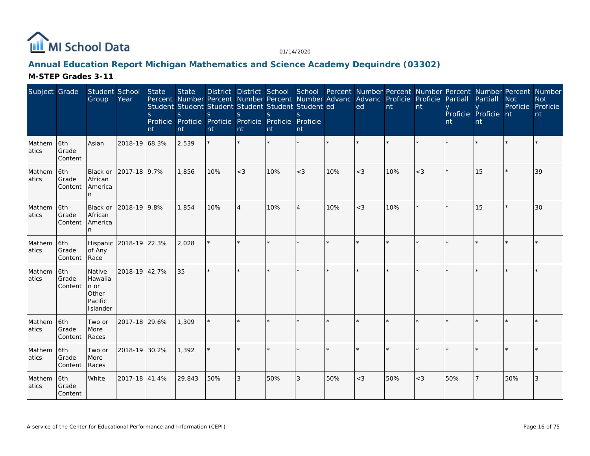

### **Annual Education Report Michigan Mathematics and Science Academy Dequindre (03302)**

| Subject Grade    |                          | Student School<br>Group                                   | Year                   | State<br><sub>S</sub><br>nt | <b>State</b><br>Percent Number Percent Number Percent Number Advanc Advanc Proficie Proficie Partiall<br>Student Student Student Student Student Student ed<br>S<br>Proficie Proficie Proficie Proficie Proficie Proficie<br>nt | S.<br>nt | S<br>nt        | $\mathbf S$<br>nt | nt             |     | ed    | nt  | Int   | nt  | Partiall<br>Proficie Proficie nt<br>nt | District District School School Percent Number Percent Number Percent Number Percent Number<br><b>Not</b><br>Proficie Proficie | <b>Not</b><br>nt |
|------------------|--------------------------|-----------------------------------------------------------|------------------------|-----------------------------|---------------------------------------------------------------------------------------------------------------------------------------------------------------------------------------------------------------------------------|----------|----------------|-------------------|----------------|-----|-------|-----|-------|-----|----------------------------------------|--------------------------------------------------------------------------------------------------------------------------------|------------------|
| Mathem<br>atics  | 6th<br>Grade<br>Content  | Asian                                                     | 2018-19 68.3%          |                             | 2,539                                                                                                                                                                                                                           |          |                |                   |                |     |       |     |       |     |                                        |                                                                                                                                |                  |
| Mathem<br>latics | l6th<br>Grade<br>Content | Black or<br>African<br>America<br>n.                      | 2017-18 9.7%           |                             | 1.856                                                                                                                                                                                                                           | 10%      | $<$ 3          | 10%               | $<$ 3          | 10% | $<$ 3 | 10% | $<$ 3 |     | 15                                     |                                                                                                                                | 39               |
| Mathem<br>atics  | 6th<br>Grade<br>Content  | Black or<br>African<br>America                            | 2018-19 9.8%           |                             | 1,854                                                                                                                                                                                                                           | 10%      | $\overline{A}$ | 10%               | $\overline{4}$ | 10% | $<$ 3 | 10% |       |     | 15                                     |                                                                                                                                | 30               |
| Mathem<br>atics  | 6th<br>Grade<br>Content  | of Any<br>Race                                            | Hispanic 2018-19 22.3% |                             | 2,028                                                                                                                                                                                                                           |          |                |                   |                |     |       |     |       |     |                                        |                                                                                                                                |                  |
| Mathem<br>atics  | 6th<br>Grade<br>Content  | Native<br>Hawaiia<br>n or<br>Other<br>Pacific<br>Islander | 2018-19 42.7%          |                             | 35                                                                                                                                                                                                                              |          | $\mathbf{d}_0$ |                   | ÷.             |     |       |     |       |     |                                        |                                                                                                                                |                  |
| Mathem<br>atics  | 6th<br>Grade<br>Content  | Two or<br>More<br>Races                                   | 2017-18 29.6%          |                             | 1,309                                                                                                                                                                                                                           |          |                |                   |                |     |       |     |       |     |                                        |                                                                                                                                |                  |
| Mathem<br>atics  | 6th<br>Grade<br>Content  | Two or<br>More<br>Races                                   | 2018-19 30.2%          |                             | 1,392                                                                                                                                                                                                                           |          |                |                   |                |     |       |     |       |     |                                        |                                                                                                                                |                  |
| Mathem<br>atics  | 6th<br>Grade<br>Content  | White                                                     | 2017-18 41.4%          |                             | 29,843                                                                                                                                                                                                                          | 50%      | 3              | 50%               | 3              | 50% | $<$ 3 | 50% | $<$ 3 | 50% |                                        | 50%                                                                                                                            | 3                |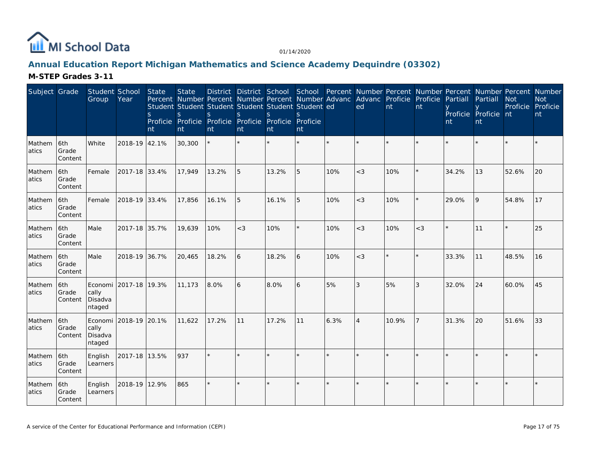

# **Annual Education Report Michigan Mathematics and Science Academy Dequindre (03302)**

| Subject Grade   |                         | Student School<br>Group               | Year                  | State<br><sub>S</sub><br>nt | <b>State</b><br>S.<br>nt | Percent Number Percent Number Percent Number Advanc Advanc Proficie Proficie<br>Student Student Student Student Student Student ed<br>S.<br>Proficie Proficie Proficie Proficie Proficie Proficie<br>nt | <sup>S</sup><br>nt | S.<br>nt | $\mathcal{S}$<br>nt |         | ed             | nt      | nt      | Partiall<br>nt | District District School School Percent Number Percent Number Percent Number Percent Number<br>Partiall<br>Proficie Proficie nt<br>nt | <b>Not</b><br>Proficie Proficie | <b>Not</b><br>nt |
|-----------------|-------------------------|---------------------------------------|-----------------------|-----------------------------|--------------------------|---------------------------------------------------------------------------------------------------------------------------------------------------------------------------------------------------------|--------------------|----------|---------------------|---------|----------------|---------|---------|----------------|---------------------------------------------------------------------------------------------------------------------------------------|---------------------------------|------------------|
| Mathem<br>atics | 6th<br>Grade<br>Content | White                                 | 2018-19 42.1%         |                             | 30,300                   |                                                                                                                                                                                                         |                    |          |                     | $\star$ |                | ×.      |         |                |                                                                                                                                       |                                 |                  |
| Mathem<br>atics | 6th<br>Grade<br>Content | Female                                | 2017-18 33.4%         |                             | 17.949                   | 13.2%                                                                                                                                                                                                   | 5                  | 13.2%    | 5                   | 10%     | $<$ 3          | 10%     |         | 34.2%          | 13                                                                                                                                    | 52.6%                           | 20               |
| Mathem<br>atics | 6th<br>Grade<br>Content | Female                                | 2018-19 33.4%         |                             | 17,856                   | 16.1%                                                                                                                                                                                                   | 5                  | 16.1%    | 5                   | 10%     | $<$ 3          | 10%     | $\star$ | 29.0%          | <b>9</b>                                                                                                                              | 54.8%                           | 17               |
| Mathem<br>atics | 6th<br>Grade<br>Content | Male                                  | 2017-18 35.7%         |                             | 19,639                   | 10%                                                                                                                                                                                                     | $<$ 3              | 10%      | $\star$             | 10%     | $<$ 3          | 10%     | $<$ 3   | $\star$        | 11                                                                                                                                    |                                 | 25               |
| Mathem<br>atics | 6th<br>Grade<br>Content | Male                                  | 2018-19 36.7%         |                             | 20,465                   | 18.2%                                                                                                                                                                                                   | 6                  | 18.2%    | 6                   | 10%     | $<$ 3          | $\star$ |         | 33.3%          | 11                                                                                                                                    | 48.5%                           | 16               |
| Mathem<br>atics | 6th<br>Grade<br>Content | cally<br>Disadva<br>ntaged            | Economi 2017-18 19.3% |                             | 11,173                   | 8.0%                                                                                                                                                                                                    | 6                  | 8.0%     | 6                   | 5%      | 3              | 5%      | 3       | 32.0%          | 24                                                                                                                                    | 60.0%                           | 45               |
| Mathem<br>atics | 6th<br>Grade<br>Content | Economi<br>cally<br>Disadva<br>ntaged | 2018-19 20.1%         |                             | 11,622                   | 17.2%                                                                                                                                                                                                   | 11                 | 17.2%    | 11                  | 6.3%    | $\overline{4}$ | 10.9%   | 7       | 31.3%          | 20                                                                                                                                    | 51.6%                           | 33               |
| Mathem<br>atics | 6th<br>Grade<br>Content | English<br>Learners                   | 2017-18 13.5%         |                             | 937                      |                                                                                                                                                                                                         |                    |          |                     |         |                | $\star$ |         |                |                                                                                                                                       |                                 |                  |
| Mathem<br>atics | 6th<br>Grade<br>Content | English<br>Learners                   | 2018-19 12.9%         |                             | 865                      |                                                                                                                                                                                                         |                    | $\star$  | $\star$             |         |                | $\star$ |         |                |                                                                                                                                       |                                 |                  |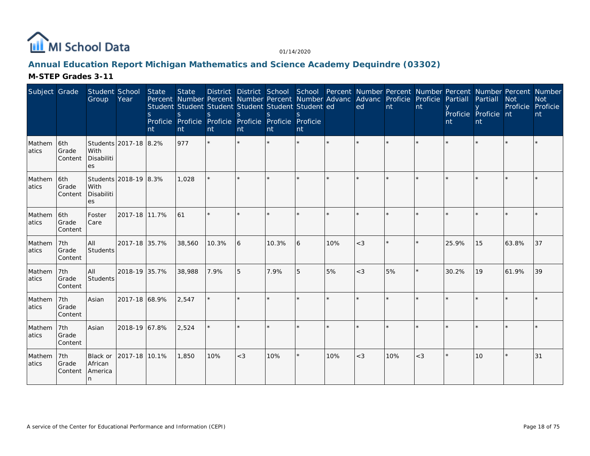

### **Annual Education Report Michigan Mathematics and Science Academy Dequindre (03302)**

| Subject Grade    |                         | Student School<br>Group                           | Year                  | State<br>nt | <b>State</b><br>Percent Number Percent Number Percent Number Advanc Advanc Proficie Proficie Partiall<br>Student Student Student Student Student Student ed<br>S<br>Proficie Proficie<br>nt | <sub>S</sub><br>nt | S<br>nt | $\mathcal{S}$<br>Proficie Proficie Proficie Proficie<br>Int | nt      |     | District District School School Percent Number Percent Number Percent Number Percent Number<br>ed | nt  | Int     | nt    | Partiall<br>Proficie Proficie nt<br>nt | <b>Not</b><br>Proficie Proficie | <b>Not</b><br>nt |
|------------------|-------------------------|---------------------------------------------------|-----------------------|-------------|---------------------------------------------------------------------------------------------------------------------------------------------------------------------------------------------|--------------------|---------|-------------------------------------------------------------|---------|-----|---------------------------------------------------------------------------------------------------|-----|---------|-------|----------------------------------------|---------------------------------|------------------|
| Mathem<br>latics | 6th<br>Grade<br>Content | Students 2017-18 8.2%<br>With<br>Disabiliti<br>es |                       |             | 977                                                                                                                                                                                         | $\star$            | $\star$ |                                                             |         |     |                                                                                                   |     |         |       |                                        |                                 |                  |
| Mathem<br>atics  | 6th<br>Grade<br>Content | With<br>Disabiliti<br>es                          | Students 2018-19 8.3% |             | 1,028                                                                                                                                                                                       |                    |         |                                                             |         |     |                                                                                                   |     |         |       |                                        |                                 |                  |
| Mathem<br>atics  | 6th<br>Grade<br>Content | Foster<br>Care                                    | 2017-18 11.7%         |             | 61                                                                                                                                                                                          | $\star$            | $\star$ |                                                             |         |     | ÷                                                                                                 |     | ÷       |       |                                        |                                 |                  |
| Mathem<br>atics  | 7th<br>Grade<br>Content | All<br>Students                                   | 2017-18 35.7%         |             | 38,560                                                                                                                                                                                      | 10.3%              | 16      | 10.3%                                                       | 16      | 10% | $<$ 3                                                                                             |     |         | 25.9% | 15                                     | 63.8%                           | 37               |
| Mathem<br>atics  | 7th<br>Grade<br>Content | All<br>Students                                   | 2018-19 35.7%         |             | 38,988                                                                                                                                                                                      | 7.9%               | 5       | 7.9%                                                        | 5       | 5%  | $<$ 3                                                                                             | 5%  | $\star$ | 30.2% | 19                                     | 61.9%                           | 39               |
| Mathem<br>atics  | 7th<br>Grade<br>Content | Asian                                             | 2017-18 68.9%         |             | 2,547                                                                                                                                                                                       |                    |         |                                                             |         |     |                                                                                                   |     |         |       |                                        |                                 |                  |
| Mathem<br>atics  | 7th<br>Grade<br>Content | Asian                                             | 2018-19 67.8%         |             | 2,524                                                                                                                                                                                       |                    |         |                                                             |         |     |                                                                                                   |     |         |       |                                        |                                 |                  |
| Mathem<br>atics  | 7th<br>Grade<br>Content | Black or<br>African<br>America<br>n               | 2017-18 10.1%         |             | 1,850                                                                                                                                                                                       | 10%                | $<$ 3   | 10%                                                         | $\star$ | 10% | $<$ 3                                                                                             | 10% | $<$ 3   |       | 10                                     |                                 | 31               |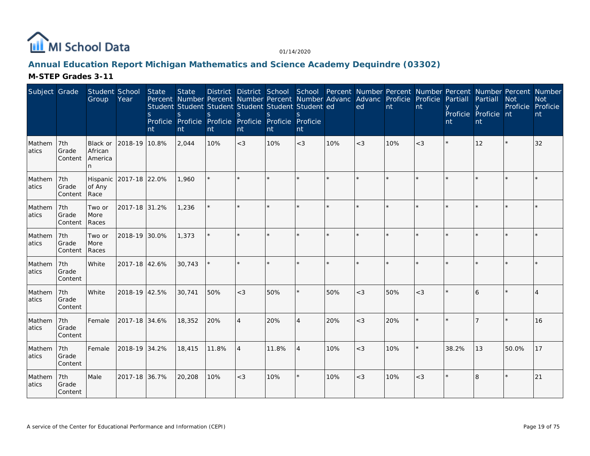

# **Annual Education Report Michigan Mathematics and Science Academy Dequindre (03302)**

| Subject Grade    |                           | Student School<br>Group                    | Year                   | State<br><sub>S</sub><br>nt | <b>State</b><br>Percent Number Percent Number Percent Number Advanc Advanc Proficie Proficie Partiall<br>Student Student Student Student Student Student ed<br>S<br>Proficie Proficie Proficie Proficie Proficie Proficie<br>nt | S.<br>nt | <sub>S</sub><br>nt | $\mathbf{S}$<br>nt | $\mathcal{S}_{\mathcal{S}}$<br>nt |     | District District School School Percent Number Percent Number Percent Number Percent Number<br>ed | nt  | nt    | nt      | Partiall<br>Proficie Proficie nt<br>nt | <b>Not</b><br>Proficie Proficie | <b>Not</b><br>nt |
|------------------|---------------------------|--------------------------------------------|------------------------|-----------------------------|---------------------------------------------------------------------------------------------------------------------------------------------------------------------------------------------------------------------------------|----------|--------------------|--------------------|-----------------------------------|-----|---------------------------------------------------------------------------------------------------|-----|-------|---------|----------------------------------------|---------------------------------|------------------|
| Mathem<br>atics  | 7th<br>Grade<br>Content   | <b>Black or</b><br>African<br>America<br>n | 2018-19 10.8%          |                             | 2,044                                                                                                                                                                                                                           | 10%      | $<$ 3              | 10%                | $<$ 3                             | 10% | $<$ 3                                                                                             | 10% | $<$ 3 | $\star$ | 12                                     |                                 | 32               |
| Mathem<br>atics  | 7th<br>Grade<br>Content   | of Any<br>Race                             | Hispanic 2017-18 22.0% |                             | 1,960                                                                                                                                                                                                                           |          |                    |                    |                                   |     |                                                                                                   |     |       |         |                                        |                                 |                  |
| Mathem<br>atics  | 7th<br>Grade<br>Content   | Two or<br>More<br>Races                    | 2017-18 31.2%          |                             | 1,236                                                                                                                                                                                                                           |          |                    |                    |                                   |     |                                                                                                   |     |       |         |                                        |                                 |                  |
| Mathem<br>atics  | l 7th<br>Grade<br>Content | Two or<br>More<br>Races                    | 2018-19 30.0%          |                             | 1,373                                                                                                                                                                                                                           |          |                    |                    |                                   |     |                                                                                                   |     |       |         |                                        |                                 |                  |
| Mathem<br>atics  | 7th<br>Grade<br>Content   | White                                      | 2017-18 42.6%          |                             | 30,743                                                                                                                                                                                                                          |          |                    |                    | ÷.                                |     |                                                                                                   |     |       |         |                                        |                                 |                  |
| Mathem<br>latics | 7th<br>Grade<br>Content   | White                                      | 2018-19 42.5%          |                             | 30.741                                                                                                                                                                                                                          | 50%      | $<$ 3              | 50%                | $\star$                           | 50% | $<$ 3                                                                                             | 50% | $<$ 3 |         | 16                                     |                                 |                  |
| Mathem<br>atics  | 7th<br>Grade<br>Content   | Female                                     | 2017-18 34.6%          |                             | 18,352                                                                                                                                                                                                                          | 20%      | $\overline{4}$     | 20%                | $\overline{4}$                    | 20% | $<$ 3                                                                                             | 20% |       |         |                                        |                                 | 16               |
| Mathem<br>atics  | 7th<br>Grade<br>Content   | Female                                     | 2018-19 34.2%          |                             | 18,415                                                                                                                                                                                                                          | 11.8%    | $\overline{4}$     | 11.8%              | $\overline{4}$                    | 10% | $<$ 3                                                                                             | 10% |       | 38.2%   | 13                                     | 50.0%                           | 17               |
| Mathem<br>atics  | 7th<br>Grade<br>Content   | Male                                       | 2017-18 36.7%          |                             | 20,208                                                                                                                                                                                                                          | 10%      | $<$ 3              | 10%                | $\star$                           | 10% | $<$ 3                                                                                             | 10% | $<$ 3 |         | 8                                      |                                 | 21               |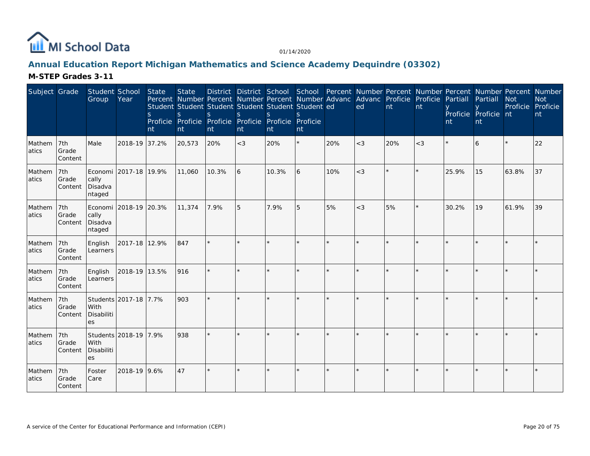

### **Annual Education Report Michigan Mathematics and Science Academy Dequindre (03302)**

| Subject Grade    |                         | Student School<br>Group    | Year                      | State<br>S.<br>nt | <b>State</b><br>S<br>nt | Student Student Student Student Student Student ed<br><sub>S</sub><br>Proficie Proficie Proficie Proficie Proficie Proficie<br>nt | <sub>S</sub><br>nt | $\mathcal{S}$<br>nt | nt      |         | Percent Number Percent Number Percent Number Advanc Advanc Proficie Proficie Partiall<br>ed | nt      | nt    | nt    | Partiall<br>Proficie Proficie nt<br>nt | <b>Not</b><br>Proficie | District District School School Percent Number Percent Number Percent Number Percent Number<br><b>Not</b><br>Proficie<br>nt |
|------------------|-------------------------|----------------------------|---------------------------|-------------------|-------------------------|-----------------------------------------------------------------------------------------------------------------------------------|--------------------|---------------------|---------|---------|---------------------------------------------------------------------------------------------|---------|-------|-------|----------------------------------------|------------------------|-----------------------------------------------------------------------------------------------------------------------------|
| Mathem<br>atics  | 7th<br>Grade<br>Content | Male                       | 2018-19 37.2%             |                   | 20,573                  | 20%                                                                                                                               | $<$ 3              | 20%                 | $\star$ | 20%     | $<$ 3                                                                                       | 20%     | $<$ 3 |       | 6                                      |                        | 22                                                                                                                          |
| Mathem<br>latics | 7th<br>Grade<br>Content | cally<br>Disadva<br>ntaged | Economi   2017-18   19.9% |                   | 11,060                  | 10.3%                                                                                                                             | 6                  | 10.3%               | 6       | 10%     | $<$ 3                                                                                       |         |       | 25.9% | 15                                     | 63.8%                  | 37                                                                                                                          |
| Mathem<br>latics | 7th<br>Grade<br>Content | cally<br>Disadva<br>ntaged | Economi 2018-19 20.3%     |                   | 11,374                  | 7.9%                                                                                                                              | 5                  | 7.9%                | 5       | 5%      | $<$ 3                                                                                       | 5%      |       | 30.2% | 19                                     | 61.9%                  | 39                                                                                                                          |
| Mathem<br>atics  | 7th<br>Grade<br>Content | English<br>Learners        | 2017-18 12.9%             |                   | 847                     |                                                                                                                                   |                    |                     | $\star$ | ÷       |                                                                                             | ×.      |       |       |                                        |                        |                                                                                                                             |
| Mathem<br>atics  | 7th<br>Grade<br>Content | English<br>Learners        | 2018-19 13.5%             |                   | 916                     |                                                                                                                                   |                    |                     |         |         |                                                                                             |         |       |       |                                        |                        |                                                                                                                             |
| Mathem<br>atics  | 7th<br>Grade<br>Content | With<br>Disabiliti<br>es   | Students 2017-18 7.7%     |                   | 903                     |                                                                                                                                   |                    | $\star$             | $\star$ | $\star$ |                                                                                             | $\star$ |       |       |                                        |                        |                                                                                                                             |
| Mathem<br>atics  | 7th<br>Grade<br>Content | With<br>Disabiliti<br>es   | Students 2018-19 7.9%     |                   | 938                     |                                                                                                                                   |                    |                     |         |         |                                                                                             |         |       |       |                                        |                        |                                                                                                                             |
| Mathem<br>atics  | 7th<br>Grade<br>Content | Foster<br>Care             | 2018-19 9.6%              |                   | 47                      |                                                                                                                                   |                    | $\star$             | $\star$ |         |                                                                                             | ÷       |       |       |                                        |                        |                                                                                                                             |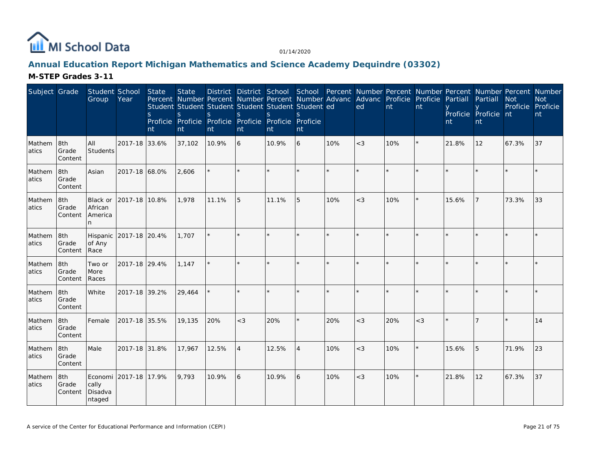

### **Annual Education Report Michigan Mathematics and Science Academy Dequindre (03302)**

| Subject Grade   |                         | Student School<br>Group              | Year                   | State<br>S.<br>nt | <b>State</b><br>S.<br>nt | Student Student Student Student Student Student ed<br>S.<br>Proficie Proficie Proficie Proficie Proficie Proficie<br>nt | <sup>S</sup><br>nt | S.<br>nt | $\mathcal{S}_{\mathcal{S}}$<br>nt |         | District District School School Percent Number Percent Number Percent Number Percent Number<br>Percent Number Percent Number Percent Number Advanc Advanc Proficie Proficie<br>ed | nt      | nt      | Partiall<br>nt | Partiall<br>Proficie Proficie nt<br>nt | <b>Not</b><br>Proficie Proficie | <b>Not</b><br>nt |
|-----------------|-------------------------|--------------------------------------|------------------------|-------------------|--------------------------|-------------------------------------------------------------------------------------------------------------------------|--------------------|----------|-----------------------------------|---------|-----------------------------------------------------------------------------------------------------------------------------------------------------------------------------------|---------|---------|----------------|----------------------------------------|---------------------------------|------------------|
| Mathem<br>atics | 8th<br>Grade<br>Content | All<br>Students                      | 2017-18 33.6%          |                   | 37,102                   | 10.9%                                                                                                                   | 6                  | 10.9%    | 6                                 | 10%     | $<$ 3                                                                                                                                                                             | 10%     | $\star$ | 21.8%          | 12                                     | 67.3%                           | 37               |
| Mathem<br>atics | 8th<br>Grade<br>Content | Asian                                | 2017-18 68.0%          |                   | 2,606                    |                                                                                                                         |                    | $\star$  | $\star$                           | $\star$ |                                                                                                                                                                                   | $\star$ |         |                |                                        |                                 |                  |
| Mathem<br>atics | 8th<br>Grade<br>Content | Black or<br>African<br>America<br>n. | 2017-18 10.8%          |                   | 1,978                    | 11.1%                                                                                                                   | 5                  | 11.1%    | 5                                 | 10%     | $<$ 3                                                                                                                                                                             | 10%     |         | 15.6%          | 17                                     | 73.3%                           | 33               |
| Mathem<br>atics | 8th<br>Grade<br>Content | of Any<br>Race                       | Hispanic 2017-18 20.4% |                   | 1,707                    |                                                                                                                         |                    |          |                                   |         |                                                                                                                                                                                   | $\star$ |         |                |                                        |                                 |                  |
| Mathem<br>atics | 8th<br>Grade<br>Content | Two or<br>More<br>Races              | 2017-18 29.4%          |                   | 1,147                    |                                                                                                                         | $\star$            | $\star$  | $\star$                           |         |                                                                                                                                                                                   | $\star$ |         |                |                                        |                                 |                  |
| Mathem<br>atics | 8th<br>Grade<br>Content | White                                | 2017-18 39.2%          |                   | 29,464                   |                                                                                                                         |                    |          |                                   |         |                                                                                                                                                                                   | ×.      |         |                |                                        |                                 |                  |
| Mathem<br>atics | 8th<br>Grade<br>Content | Female                               | 2017-18 35.5%          |                   | 19,135                   | 20%                                                                                                                     | $<$ 3              | 20%      |                                   | 20%     | $<$ 3                                                                                                                                                                             | 20%     | $<$ 3   |                |                                        |                                 | 14               |
| Mathem<br>atics | 8th<br>Grade<br>Content | Male                                 | 2017-18 31.8%          |                   | 17,967                   | 12.5%                                                                                                                   | $\overline{4}$     | 12.5%    | $\overline{4}$                    | 10%     | $<$ 3                                                                                                                                                                             | 10%     |         | 15.6%          | 5                                      | 71.9%                           | 23               |
| Mathem<br>atics | 8th<br>Grade<br>Content | cally<br>Disadva<br>ntaged           | Economi 2017-18 17.9%  |                   | 9,793                    | 10.9%                                                                                                                   | 6                  | 10.9%    | 6                                 | 10%     | $<$ 3                                                                                                                                                                             | 10%     | $\star$ | 21.8%          | 12                                     | 67.3%                           | 37               |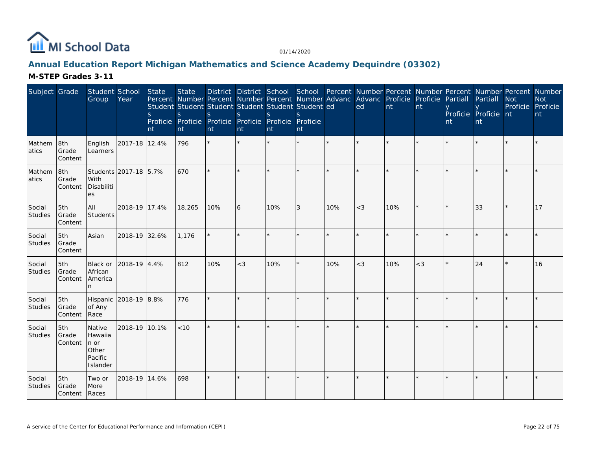

### **Annual Education Report Michigan Mathematics and Science Academy Dequindre (03302)**

| Subject Grade     |                                 | Student School<br>Group                                    | Year                  | State<br><sub>S</sub><br>nt | <b>State</b><br>Student Student Student Student Student Student ed<br><sub>S</sub><br>Proficie Proficie Proficie Proficie Proficie Proficie<br>nt | <sub>S</sub><br>nt | <sub>S</sub><br>nt | <sub>S</sub><br>nt | <sup>S</sup><br>nt |     | Percent Number Percent Number Percent Number Advanc Advanc Proficie Proficie Partiall<br>ed | nt      | nt      | nt | Partiall<br>Proficie Proficie nt<br>nt | District District School School Percent Number Percent Number Percent Number Percent Number<br><b>Not</b><br>Proficie Proficie | <b>Not</b><br>nt |
|-------------------|---------------------------------|------------------------------------------------------------|-----------------------|-----------------------------|---------------------------------------------------------------------------------------------------------------------------------------------------|--------------------|--------------------|--------------------|--------------------|-----|---------------------------------------------------------------------------------------------|---------|---------|----|----------------------------------------|--------------------------------------------------------------------------------------------------------------------------------|------------------|
| Mathem<br>atics   | 8th<br>Grade<br>Content         | English<br>Learners                                        | 2017-18 12.4%         |                             | 796                                                                                                                                               | $\star$            |                    |                    |                    |     |                                                                                             |         |         |    |                                        |                                                                                                                                |                  |
| Mathem<br>atics   | 8th<br>Grade<br>Content         | With<br>Disabiliti<br>es                                   | Students 2017-18 5.7% |                             | 670                                                                                                                                               | $\star$            | $\star$            |                    |                    |     |                                                                                             | $\star$ |         |    |                                        |                                                                                                                                |                  |
| Social<br>Studies | 5th<br>Grade<br>Content         | All<br>Students                                            | 2018-19 17.4%         |                             | 18,265                                                                                                                                            | 10%                | 6                  | 10%                | 3                  | 10% | $<$ 3                                                                                       | 10%     |         |    | 33                                     |                                                                                                                                | 17               |
| Social<br>Studies | 5th<br>Grade<br>Content         | Asian                                                      | 2018-19 32.6%         |                             | 1,176                                                                                                                                             |                    | $\star$            |                    |                    |     |                                                                                             | $\star$ | $\star$ |    |                                        |                                                                                                                                |                  |
| Social<br>Studies | 5th<br>Grade<br>Content         | Black or<br>African<br>America<br>n                        | 2018-19 4.4%          |                             | 812                                                                                                                                               | 10%                | $<$ 3              | 10%                |                    | 10% | $<$ 3                                                                                       | 10%     | $<$ 3   |    | 24                                     | $\star$                                                                                                                        | 16               |
| Social<br>Studies | 5th<br>Grade<br>Content         | Hispanic<br>of Any<br>Race                                 | 2018-19 8.8%          |                             | 776                                                                                                                                               | $\star$            |                    |                    |                    |     |                                                                                             |         |         |    |                                        |                                                                                                                                |                  |
| Social<br>Studies | 5th<br>Grade<br>Content         | Native<br>Hawaiia<br>∣n or<br>Other<br>Pacific<br>Islander | 2018-19 10.1%         |                             | < 10                                                                                                                                              | $\star$            |                    |                    |                    |     |                                                                                             | $\star$ |         |    |                                        |                                                                                                                                |                  |
| Social<br>Studies | 5th<br>Grade<br>Content   Races | Two or<br>More                                             | 2018-19 14.6%         |                             | 698                                                                                                                                               | $\star$            |                    |                    |                    |     |                                                                                             | $\star$ | $\star$ |    |                                        | k                                                                                                                              |                  |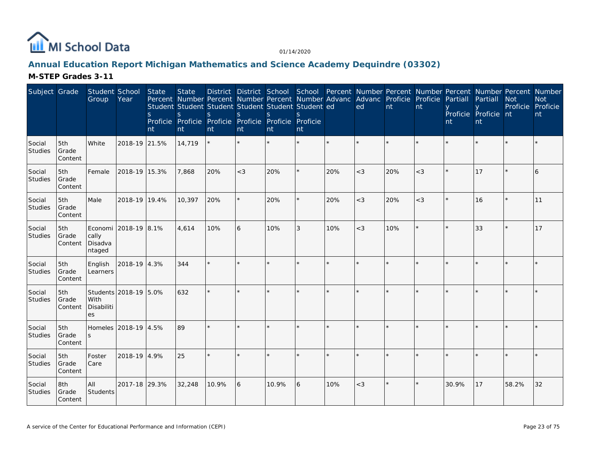

# **Annual Education Report Michigan Mathematics and Science Academy Dequindre (03302)**

| Subject Grade     |                         | Student School<br>Group    | Year                  | State<br>S.<br>nt | <b>State</b><br>Percent Number Percent Number Percent Number Advanc Advanc Proficie Proficie<br>Student Student Student Student Student Student ed<br>S<br>Proficie Proficie Proficie Proficie Proficie Proficie<br>nt | S.<br>nt | <sub>S</sub><br>nt | S.<br>nt | $\mathcal{S}_{\mathcal{S}}$<br>nt |         | ed      | nt  | nt    | Partiall<br>nt | Partiall<br>Proficie Proficie nt<br><b>nt</b> | District District School School Percent Number Percent Number Percent Number Percent Number<br><b>Not</b><br>Proficie Proficie | <b>Not</b><br>nt |
|-------------------|-------------------------|----------------------------|-----------------------|-------------------|------------------------------------------------------------------------------------------------------------------------------------------------------------------------------------------------------------------------|----------|--------------------|----------|-----------------------------------|---------|---------|-----|-------|----------------|-----------------------------------------------|--------------------------------------------------------------------------------------------------------------------------------|------------------|
| Social<br>Studies | 5th<br>Grade<br>Content | White                      | 2018-19 21.5%         |                   | 14,719                                                                                                                                                                                                                 |          | $\star$            |          |                                   | $\star$ |         |     |       |                |                                               |                                                                                                                                |                  |
| Social<br>Studies | 5th<br>Grade<br>Content | Female                     | 2018-19 15.3%         |                   | 7,868                                                                                                                                                                                                                  | 20%      | $<$ 3              | 20%      | ¥.                                | 20%     | $<$ 3   | 20% | $<$ 3 |                | 17                                            |                                                                                                                                | 6                |
| Social<br>Studies | 5th<br>Grade<br>Content | Male                       | 2018-19 19.4%         |                   | 10,397                                                                                                                                                                                                                 | 20%      | $\star$            | 20%      | ×.                                | 20%     | $<$ 3   | 20% | $<$ 3 | $\star$        | 16                                            |                                                                                                                                | 11               |
| Social<br>Studies | 5th<br>Grade<br>Content | cally<br>Disadva<br>ntaged | Economi 2018-19 8.1%  |                   | 4.614                                                                                                                                                                                                                  | 10%      | 6                  | 10%      | 3                                 | 10%     | $<$ 3   | 10% |       |                | 33                                            |                                                                                                                                | 17               |
| Social<br>Studies | 5th<br>Grade<br>Content | English<br>Learners        | 2018-19 4.3%          |                   | 344                                                                                                                                                                                                                    |          | $\star$            |          | $\star$                           |         |         |     |       |                |                                               |                                                                                                                                |                  |
| Social<br>Studies | 5th<br>Grade<br>Content | With<br>Disabiliti<br>es   | Students 2018-19 5.0% |                   | 632                                                                                                                                                                                                                    |          |                    |          |                                   |         |         |     |       |                |                                               |                                                                                                                                |                  |
| Social<br>Studies | 5th<br>Grade<br>Content |                            | Homeles 2018-19 4.5%  |                   | 89                                                                                                                                                                                                                     |          | $\star$            |          | $\star$                           | $\star$ | $\star$ |     |       | $\star$        |                                               |                                                                                                                                |                  |
| Social<br>Studies | 5th<br>Grade<br>Content | Foster<br>Care             | 2018-19 4.9%          |                   | 25                                                                                                                                                                                                                     |          |                    |          |                                   |         |         |     |       |                |                                               |                                                                                                                                |                  |
| Social<br>Studies | 8th<br>Grade<br>Content | All<br>Students            | 2017-18 29.3%         |                   | 32,248                                                                                                                                                                                                                 | 10.9%    | 6                  | 10.9%    | 6                                 | 10%     | $<$ 3   |     |       | 30.9%          | 17                                            | 58.2%                                                                                                                          | 32               |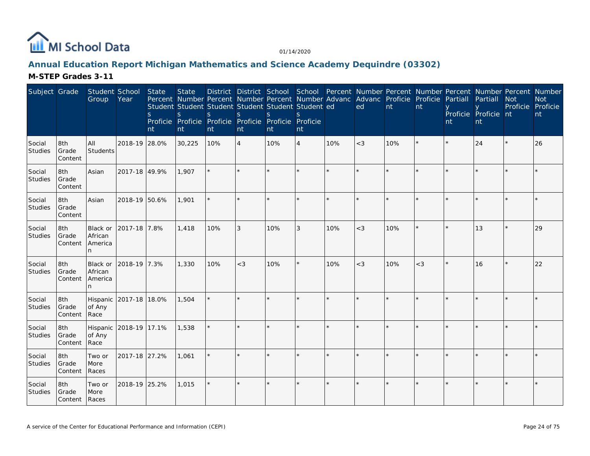

### **Annual Education Report Michigan Mathematics and Science Academy Dequindre (03302)**

| Subject Grade            |                         | Student School<br>Group              | Year          | State<br>S.<br>nt | <b>State</b><br>Student Student Student Student Student Student ed<br>S<br>Proficie Proficie Proficie Proficie Proficie Proficie<br>nt | S<br>nt | <sub>S</sub><br>nt | S.<br>nt | nt             |     | District District School School Percent Number Percent Number Percent Number Percent Number<br>Percent Number Percent Number Percent Number Advanc Advanc Proficie Proficie Partiall<br>ed | nt      | nt    | nt | Partiall<br>Proficie Proficie nt<br>nt | <b>Not</b> | <b>Not</b><br>Proficie Proficie<br>nt |
|--------------------------|-------------------------|--------------------------------------|---------------|-------------------|----------------------------------------------------------------------------------------------------------------------------------------|---------|--------------------|----------|----------------|-----|--------------------------------------------------------------------------------------------------------------------------------------------------------------------------------------------|---------|-------|----|----------------------------------------|------------|---------------------------------------|
| Social<br>Studies        | 8th<br>Grade<br>Content | All<br>Students                      | 2018-19 28.0% |                   | 30,225                                                                                                                                 | 10%     | $\overline{4}$     | 10%      | $\overline{4}$ | 10% | $<$ 3                                                                                                                                                                                      | 10%     |       |    | 24                                     | $\star$    | 26                                    |
| Social<br>Studies        | 8th<br>Grade<br>Content | Asian                                | 2017-18 49.9% |                   | 1.907                                                                                                                                  |         |                    |          |                |     |                                                                                                                                                                                            | $\star$ |       |    |                                        |            |                                       |
| Social<br>Studies        | 8th<br>Grade<br>Content | Asian                                | 2018-19 50.6% |                   | 1,901                                                                                                                                  |         | $\star$            |          |                |     | $\star$                                                                                                                                                                                    | $\star$ |       |    |                                        |            |                                       |
| Social<br>Studies        | 8th<br>Grade<br>Content | Black or<br>African<br>America<br>n. | 2017-18 7.8%  |                   | 1,418                                                                                                                                  | 10%     | 3                  | 10%      | 3              | 10% | $<$ 3                                                                                                                                                                                      | 10%     |       |    | 13                                     |            | 29                                    |
| Social<br>Studies        | 8th<br>Grade<br>Content | Black or<br>African<br>America<br>n  | 2018-19 7.3%  |                   | 1,330                                                                                                                                  | 10%     | $<$ 3              | 10%      | $\star$        | 10% | $<$ 3                                                                                                                                                                                      | 10%     | $<$ 3 |    | 16                                     | $\star$    | 22                                    |
| Social<br>Studies        | 8th<br>Grade<br>Content | Hispanic<br>of Any<br>Race           | 2017-18 18.0% |                   | 1,504                                                                                                                                  |         |                    |          |                |     |                                                                                                                                                                                            | $\star$ |       |    |                                        |            |                                       |
| Social<br>Studies        | 8th<br>Grade<br>Content | Hispanic<br>of Any<br>Race           | 2018-19 17.1% |                   | 1,538                                                                                                                                  |         |                    |          |                |     | $\star$                                                                                                                                                                                    | $\star$ |       |    |                                        |            |                                       |
| Social<br>Studies        | 8th<br>Grade<br>Content | Two or<br>More<br>Races              | 2017-18 27.2% |                   | 1,061                                                                                                                                  |         |                    |          |                |     |                                                                                                                                                                                            |         |       |    |                                        |            |                                       |
| Social<br><b>Studies</b> | 8th<br>Grade<br>Content | Two or<br>More<br>Races              | 2018-19 25.2% |                   | 1,015                                                                                                                                  |         |                    |          | $\star$        |     |                                                                                                                                                                                            | $\star$ |       |    |                                        |            |                                       |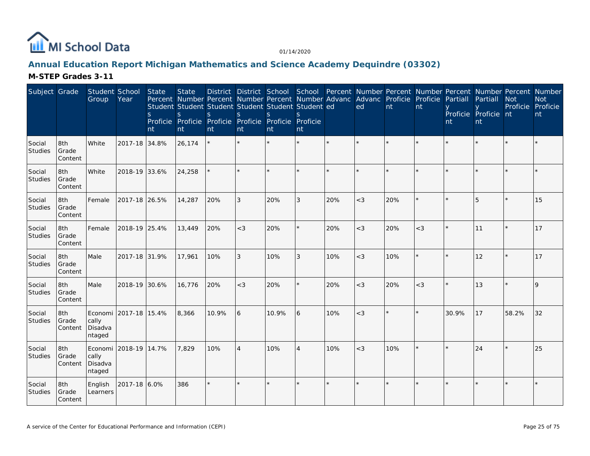

# **Annual Education Report Michigan Mathematics and Science Academy Dequindre (03302)**

| Subject Grade            |                         | Student School<br>Group    | Year                  | State<br><sub>S</sub><br>nt | <b>State</b><br>Student Student Student Student Student Student ed<br>S.<br>Proficie Proficie Proficie Proficie Proficie Proficie<br>nt | S.<br>nt | S.<br>nt       | <sub>S</sub><br>nt | $\mathcal{S}_{\mathcal{S}}$<br>nt |         | District District School School Percent Number Percent Number Percent Number Percent Number<br>Percent Number Percent Number Percent Number Advanc Advanc Proficie<br>ed | nt  | Proficie<br>nt | Partiall<br>nt | Partiall<br>Proficie Proficie nt<br>nt | <b>Not</b><br>Proficie Proficie | <b>Not</b><br>nt |
|--------------------------|-------------------------|----------------------------|-----------------------|-----------------------------|-----------------------------------------------------------------------------------------------------------------------------------------|----------|----------------|--------------------|-----------------------------------|---------|--------------------------------------------------------------------------------------------------------------------------------------------------------------------------|-----|----------------|----------------|----------------------------------------|---------------------------------|------------------|
| Social<br>Studies        | 8th<br>Grade<br>Content | White                      | 2017-18 34.8%         |                             | 26,174                                                                                                                                  |          | $\star$        |                    |                                   | $\star$ |                                                                                                                                                                          |     |                |                |                                        |                                 |                  |
| Social<br>Studies        | 8th<br>Grade<br>Content | White                      | 2018-19 33.6%         |                             | 24,258                                                                                                                                  |          |                |                    |                                   |         |                                                                                                                                                                          |     |                |                |                                        |                                 |                  |
| Social<br>Studies        | 8th<br>Grade<br>Content | Female                     | 2017-18 26.5%         |                             | 14,287                                                                                                                                  | 20%      | 3              | 20%                | 3                                 | 20%     | $<$ 3                                                                                                                                                                    | 20% | $\star$        | $\star$        | $5\overline{5}$                        |                                 | 15               |
| Social<br>Studies        | 8th<br>Grade<br>Content | Female                     | 2018-19 25.4%         |                             | 13,449                                                                                                                                  | 20%      | $<$ 3          | 20%                | $\star$                           | 20%     | $<$ 3                                                                                                                                                                    | 20% | $<$ 3          |                | 11                                     |                                 | 17               |
| Social<br><b>Studies</b> | 8th<br>Grade<br>Content | Male                       | 2017-18 31.9%         |                             | 17,961                                                                                                                                  | 10%      | 3              | 10%                | 3                                 | 10%     | $<$ 3                                                                                                                                                                    | 10% |                |                | 12                                     |                                 | <b>17</b>        |
| Social<br>Studies        | 8th<br>Grade<br>Content | Male                       | 2018-19 30.6%         |                             | 16,776                                                                                                                                  | 20%      | $<$ 3          | 20%                | $\star$                           | 20%     | $<$ 3                                                                                                                                                                    | 20% | $<$ 3          | $\star$        | 13                                     |                                 | $\mathsf Q$      |
| Social<br>Studies        | 8th<br>Grade<br>Content | cally<br>Disadva<br>ntaged | Economi 2017-18 15.4% |                             | 8,366                                                                                                                                   | 10.9%    | 6              | 10.9%              | 6                                 | 10%     | $<$ 3                                                                                                                                                                    |     |                | 30.9%          | 17                                     | 58.2%                           | 32               |
| Social<br>Studies        | 8th<br>Grade<br>Content | cally<br>Disadva<br>ntaged | Economi 2018-19 14.7% |                             | 7,829                                                                                                                                   | 10%      | $\overline{4}$ | 10%                | $\overline{4}$                    | 10%     | $<$ 3                                                                                                                                                                    | 10% |                | $\star$        | 24                                     |                                 | 25               |
| Social<br>Studies        | 8th<br>Grade<br>Content | English<br>Learners        | 2017-18 6.0%          |                             | 386                                                                                                                                     |          |                |                    | $\star$                           |         |                                                                                                                                                                          |     |                |                |                                        |                                 |                  |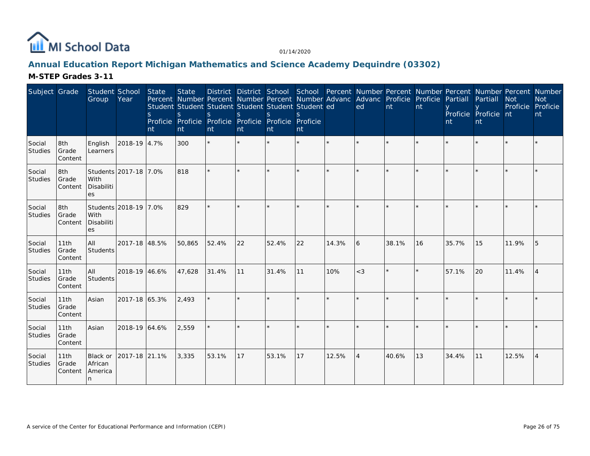

### **Annual Education Report Michigan Mathematics and Science Academy Dequindre (03302)**

| Subject Grade     |                          | Student School<br>Group                           | Year                  | State<br>S.<br>Int | <b>State</b><br>Percent Number Percent Number Percent Number Advanc Advanc Proficie Proficie<br>Student Student Student Student Student Student ed<br>S<br>Proficie Proficie<br>nt | <sub>S</sub><br>nt | S<br>nt | $\mathcal{S}$<br>Proficie Proficie Proficie Proficie<br><sup>nt</sup> | nt |       | District District School School Percent Number Percent Number Percent Number Percent Number<br>ed | nt    | Int | Partiall<br>nt | Partiall<br>Proficie Proficie nt<br>nt | <b>Not</b><br>Proficie Proficie | <b>Not</b><br>nt |
|-------------------|--------------------------|---------------------------------------------------|-----------------------|--------------------|------------------------------------------------------------------------------------------------------------------------------------------------------------------------------------|--------------------|---------|-----------------------------------------------------------------------|----|-------|---------------------------------------------------------------------------------------------------|-------|-----|----------------|----------------------------------------|---------------------------------|------------------|
| Social<br>Studies | 8th<br>Grade<br>Content  | English<br>Learners                               | 2018-19 4.7%          |                    | 300                                                                                                                                                                                | $\star$            | $\star$ |                                                                       |    |       |                                                                                                   |       |     |                |                                        |                                 |                  |
| Social<br>Studies | 8th<br>Grade<br>Content  | With<br>Disabiliti<br>es                          | Students 2017-18 7.0% |                    | 818                                                                                                                                                                                |                    |         |                                                                       |    |       |                                                                                                   |       |     |                |                                        |                                 |                  |
| Social<br>Studies | 8th<br>Grade<br>Content  | Students 2018-19 7.0%<br>With<br>Disabiliti<br>es |                       |                    | 829                                                                                                                                                                                | $\star$            |         |                                                                       |    |       |                                                                                                   |       |     |                |                                        |                                 |                  |
| Social<br>Studies | 11th<br>Grade<br>Content | All<br>Students                                   | 2017-18 48.5%         |                    | 50,865                                                                                                                                                                             | 52.4%              | 22      | 52.4%                                                                 | 22 | 14.3% | 6                                                                                                 | 38.1% | 16  | 35.7%          | 15                                     | 11.9%                           | 15               |
| Social<br>Studies | 11th<br>Grade<br>Content | All<br>Students                                   | 2018-19 46.6%         |                    | 47,628                                                                                                                                                                             | 31.4%              | 11      | 31.4%                                                                 | 11 | 10%   | $<$ 3                                                                                             |       |     | 57.1%          | 20                                     | 11.4%                           | 14               |
| Social<br>Studies | 11th<br>Grade<br>Content | Asian                                             | 2017-18 65.3%         |                    | 2,493                                                                                                                                                                              |                    |         |                                                                       |    |       |                                                                                                   |       |     |                |                                        |                                 |                  |
| Social<br>Studies | 11th<br>Grade<br>Content | Asian                                             | 2018-19 64.6%         |                    | 2,559                                                                                                                                                                              |                    |         |                                                                       |    |       | $\star$                                                                                           |       |     |                |                                        |                                 |                  |
| Social<br>Studies | 11th<br>Grade<br>Content | Black or<br>African<br>America<br>n               | 2017-18 21.1%         |                    | 3,335                                                                                                                                                                              | 53.1%              | 17      | 53.1%                                                                 | 17 | 12.5% | $\overline{4}$                                                                                    | 40.6% | 13  | 34.4%          | 11                                     | 12.5%                           | <b>4</b>         |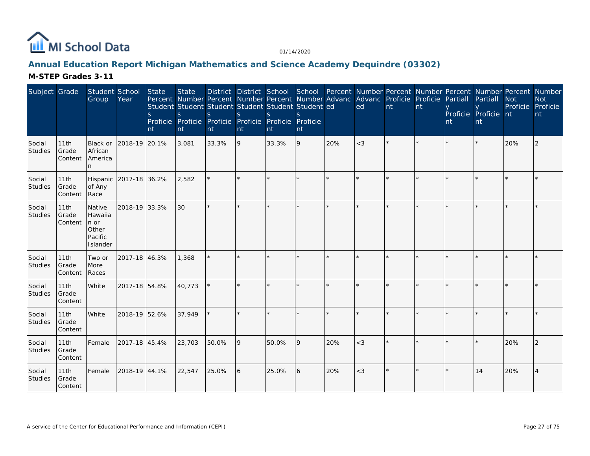

### **Annual Education Report Michigan Mathematics and Science Academy Dequindre (03302)**

| Subject Grade            |                          | Student School<br>Group                                   | Year                   | State<br>S.<br>nt | <b>State</b><br>Percent Number Percent Number Percent Number Advanc Advanc Proficie Proficie Partiall<br>Student Student Student Student Student Student ed<br>S<br>Proficie Proficie Proficie Proficie Proficie Proficie<br>nt | S<br>nt | $\mathbf S$<br>nt | $\mathbf{S}$<br>nt | $\mathcal{S}$<br>nt |     | ed    | nt | nt | nt | District District School School Percent Number Percent Number Percent Number Percent Number<br>Partiall<br>Proficie Proficie nt<br>nt | <b>Not</b><br>Proficie Proficie | <b>Not</b><br>nt |
|--------------------------|--------------------------|-----------------------------------------------------------|------------------------|-------------------|---------------------------------------------------------------------------------------------------------------------------------------------------------------------------------------------------------------------------------|---------|-------------------|--------------------|---------------------|-----|-------|----|----|----|---------------------------------------------------------------------------------------------------------------------------------------|---------------------------------|------------------|
| Social<br><b>Studies</b> | 11th<br>Grade<br>Content | Black or<br>African<br>America                            | 2018-19 20.1%          |                   | 3,081                                                                                                                                                                                                                           | 33.3%   | 9                 | 33.3%              | 9                   | 20% | $<$ 3 |    |    |    |                                                                                                                                       | 20%                             | $\overline{2}$   |
| Social<br>Studies        | 11th<br>Grade<br>Content | of Any<br>Race                                            | Hispanic 2017-18 36.2% |                   | 2,582                                                                                                                                                                                                                           |         |                   |                    |                     |     |       |    |    |    |                                                                                                                                       |                                 |                  |
| Social<br>Studies        | 11th<br>Grade<br>Content | Native<br>Hawaiia<br>n or<br>Other<br>Pacific<br>Islander | 2018-19 33.3%          |                   | 30                                                                                                                                                                                                                              |         |                   |                    | $\star$             |     |       |    |    |    |                                                                                                                                       |                                 |                  |
| Social<br>Studies        | 11th<br>Grade<br>Content | Two or<br>More<br>Races                                   | 2017-18 46.3%          |                   | 1,368                                                                                                                                                                                                                           |         |                   |                    |                     |     |       |    |    |    |                                                                                                                                       |                                 |                  |
| Social<br>Studies        | 11th<br>Grade<br>Content | White                                                     | 2017-18 54.8%          |                   | 40,773                                                                                                                                                                                                                          |         |                   |                    |                     |     |       |    |    |    |                                                                                                                                       |                                 |                  |
| Social<br>Studies        | 11th<br>Grade<br>Content | White                                                     | 2018-19 52.6%          |                   | 37,949                                                                                                                                                                                                                          |         |                   |                    | $\star$             |     |       |    |    |    |                                                                                                                                       |                                 |                  |
| Social<br>Studies        | 11th<br>Grade<br>Content | Female                                                    | 2017-18 45.4%          |                   | 23,703                                                                                                                                                                                                                          | 50.0%   | 9                 | 50.0%              | 9                   | 20% | $<$ 3 |    |    |    |                                                                                                                                       | 20%                             |                  |
| Social<br>Studies        | 11th<br>Grade<br>Content | Female                                                    | 2018-19 44.1%          |                   | 22,547                                                                                                                                                                                                                          | 25.0%   | 6                 | 25.0%              | l 6                 | 20% | $<$ 3 |    |    |    | 14                                                                                                                                    | 20%                             | 4                |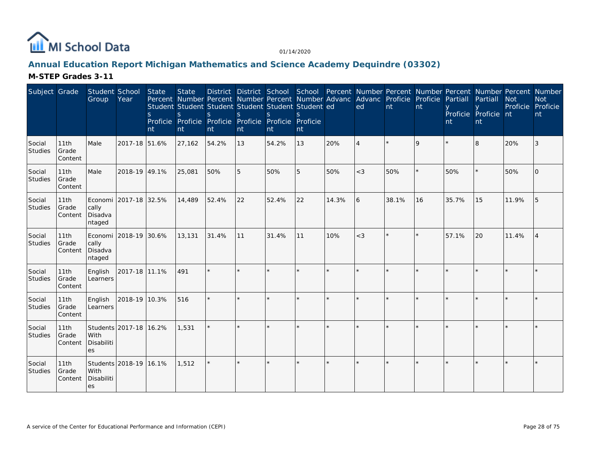

# **Annual Education Report Michigan Mathematics and Science Academy Dequindre (03302)**

| Subject Grade     |                          | Student School<br>Group    | Year                    | State<br>S.<br>nt | <b>State</b><br>$\mathbf{S}$<br>nt | <sub>S</sub><br>Proficie Proficie Proficie Proficie Proficie Proficie<br>nt | $\mathcal{S}$<br>nt | $\mathcal{S}$<br>nt | Percent Number Percent Number Percent Number Advanc Advanc Proficie Proficie Partiall<br>Student Student Student Student Student Student ed<br>$\mathcal{S}$<br>nt |       | ed             | nt      | nt | nt    | Partiall<br>Proficie Proficie nt<br>nt | <b>Not</b><br>Proficie | District District School School Percent Number Percent Number Percent Number Percent Number<br><b>Not</b><br>Proficie<br>nt |
|-------------------|--------------------------|----------------------------|-------------------------|-------------------|------------------------------------|-----------------------------------------------------------------------------|---------------------|---------------------|--------------------------------------------------------------------------------------------------------------------------------------------------------------------|-------|----------------|---------|----|-------|----------------------------------------|------------------------|-----------------------------------------------------------------------------------------------------------------------------|
| Social<br>Studies | 11th<br>Grade<br>Content | Male                       | 2017-18 51.6%           |                   | 27,162                             | 54.2%                                                                       | 13                  | 54.2%               | 13                                                                                                                                                                 | 20%   | $\overline{4}$ |         | 9  |       | 8                                      | 20%                    | 3                                                                                                                           |
| Social<br>Studies | 11th<br>Grade<br>Content | Male                       | 2018-19 49.1%           |                   | 25,081                             | 50%                                                                         | 5                   | 50%                 | 5                                                                                                                                                                  | 50%   | $<$ 3          | 50%     |    | 50%   |                                        | 50%                    | $\Omega$                                                                                                                    |
| Social<br>Studies | 11th<br>Grade<br>Content | cally<br>Disadva<br>ntaged | Economi 12017-18 132.5% |                   | 14,489                             | 52.4%                                                                       | 22                  | 52.4%               | 22                                                                                                                                                                 | 14.3% | 16             | 38.1%   | 16 | 35.7% | 15                                     | 11.9%                  | 5                                                                                                                           |
| Social<br>Studies | 11th<br>Grade<br>Content | cally<br>Disadva<br>ntaged | Economi 2018-19 30.6%   |                   | 13,131                             | 31.4%                                                                       | 11                  | 31.4%               | 11                                                                                                                                                                 | 10%   | $<$ 3          | $\star$ |    | 57.1% | 20                                     | 11.4%                  |                                                                                                                             |
| Social<br>Studies | 11th<br>Grade<br>Content | English<br>Learners        | 2017-18 11.1%           |                   | 491                                |                                                                             |                     |                     | ÷.                                                                                                                                                                 | ×.    |                |         |    |       |                                        |                        |                                                                                                                             |
| Social<br>Studies | 11th<br>Grade<br>Content | English<br>Learners        | 2018-19 10.3%           |                   | 516                                |                                                                             |                     |                     | $\star$                                                                                                                                                            | ×.    |                | ×.      |    |       |                                        |                        |                                                                                                                             |
| Social<br>Studies | 11th<br>Grade<br>Content | With<br>Disabiliti<br>es   | Students 2017-18 16.2%  |                   | 1,531                              |                                                                             |                     |                     |                                                                                                                                                                    |       |                |         |    |       |                                        |                        |                                                                                                                             |
| Social<br>Studies | 11th<br>Grade<br>Content | l With<br>Disabiliti<br>es | Students 2018-19 16.1%  |                   | 1,512                              |                                                                             |                     | $\star$             |                                                                                                                                                                    |       |                |         |    |       |                                        |                        |                                                                                                                             |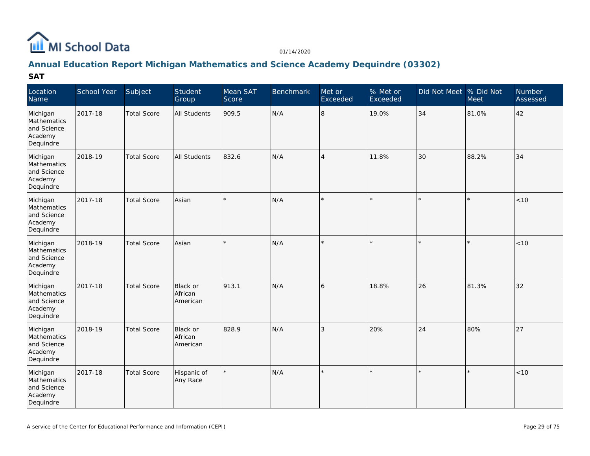

## **Annual Education Report Michigan Mathematics and Science Academy Dequindre (03302)**

| Location<br>Name                                               | School Year | Subject            | Student<br>Group                | Mean SAT<br>Score | <b>Benchmark</b> | Met or<br>Exceeded | % Met or<br>Exceeded | Did Not Meet % Did Not | Meet    | Number<br>Assessed |
|----------------------------------------------------------------|-------------|--------------------|---------------------------------|-------------------|------------------|--------------------|----------------------|------------------------|---------|--------------------|
| Michigan<br>Mathematics<br>and Science<br>Academy<br>Dequindre | 2017-18     | <b>Total Score</b> | <b>All Students</b>             | 909.5             | N/A              | 8                  | 19.0%                | 34                     | 81.0%   | 42                 |
| Michigan<br>Mathematics<br>and Science<br>Academy<br>Dequindre | 2018-19     | <b>Total Score</b> | <b>All Students</b>             | 832.6             | N/A              | $\overline{4}$     | 11.8%                | 30                     | 88.2%   | 34                 |
| Michigan<br>Mathematics<br>and Science<br>Academy<br>Dequindre | 2017-18     | <b>Total Score</b> | Asian                           |                   | N/A              |                    |                      | $\star$                | ×.      | $<10$              |
| Michigan<br>Mathematics<br>and Science<br>Academy<br>Dequindre | 2018-19     | <b>Total Score</b> | Asian                           | $\star$           | N/A              |                    |                      | $\star$                | $\star$ | < 10               |
| Michigan<br>Mathematics<br>and Science<br>Academy<br>Dequindre | 2017-18     | <b>Total Score</b> | Black or<br>African<br>American | 913.1             | N/A              | 6                  | 18.8%                | 26                     | 81.3%   | 32                 |
| Michigan<br>Mathematics<br>and Science<br>Academy<br>Dequindre | 2018-19     | <b>Total Score</b> | Black or<br>African<br>American | 828.9             | N/A              | 3                  | 20%                  | 24                     | 80%     | 27                 |
| Michigan<br>Mathematics<br>and Science<br>Academy<br>Dequindre | 2017-18     | <b>Total Score</b> | Hispanic of<br>Any Race         | $\star$           | N/A              | $\star$            |                      | $\star$                | $\star$ | < 10               |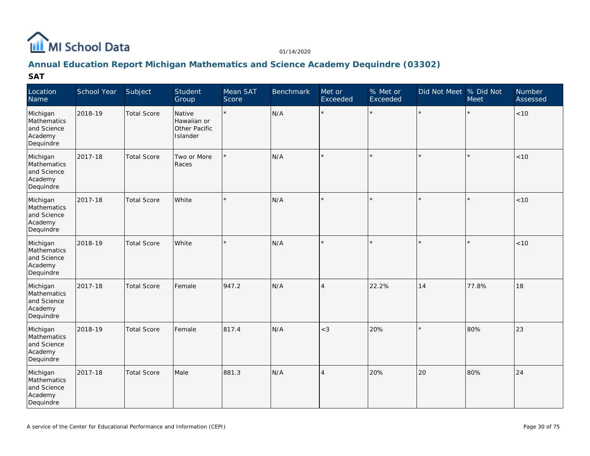

## **Annual Education Report Michigan Mathematics and Science Academy Dequindre (03302)**

| Location<br>Name                                               | School Year | Subject            | Student<br>Group                                   | Mean SAT<br>Score | Benchmark | Met or<br>Exceeded | % Met or<br>Exceeded | Did Not Meet % Did Not | Meet  | <b>Number</b><br>Assessed |
|----------------------------------------------------------------|-------------|--------------------|----------------------------------------------------|-------------------|-----------|--------------------|----------------------|------------------------|-------|---------------------------|
| Michigan<br>Mathematics<br>and Science<br>Academy<br>Dequindre | 2018-19     | <b>Total Score</b> | Native<br>Hawaiian or<br>Other Pacific<br>Islander | $\star$           | N/A       | $\star$            | $\star$              | $\star$                |       | $ $ < 10                  |
| Michigan<br>Mathematics<br>and Science<br>Academy<br>Dequindre | 2017-18     | <b>Total Score</b> | Two or More<br>Races                               |                   | N/A       |                    |                      |                        |       | < 10                      |
| Michigan<br>Mathematics<br>and Science<br>Academy<br>Dequindre | 2017-18     | <b>Total Score</b> | White                                              |                   | N/A       |                    |                      |                        |       | < 10                      |
| Michigan<br>Mathematics<br>and Science<br>Academy<br>Dequindre | 2018-19     | <b>Total Score</b> | White                                              |                   | N/A       |                    |                      |                        |       | < 10                      |
| Michigan<br>Mathematics<br>and Science<br>Academy<br>Dequindre | 2017-18     | <b>Total Score</b> | Female                                             | 947.2             | N/A       | $\overline{4}$     | 22.2%                | 14                     | 77.8% | 18                        |
| Michigan<br>Mathematics<br>and Science<br>Academy<br>Dequindre | 2018-19     | <b>Total Score</b> | Female                                             | 817.4             | N/A       | $<$ 3              | 20%                  |                        | 80%   | 23                        |
| Michigan<br>Mathematics<br>and Science<br>Academy<br>Dequindre | 2017-18     | <b>Total Score</b> | Male                                               | 881.3             | N/A       | $\overline{A}$     | 20%                  | 20                     | 80%   | 24                        |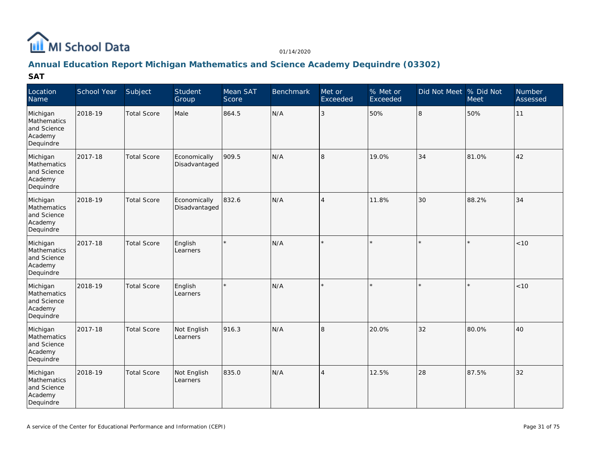

## **Annual Education Report Michigan Mathematics and Science Academy Dequindre (03302)**

| Location<br>Name                                               | School Year | Subject            | Student<br>Group              | Mean SAT<br>Score | <b>Benchmark</b> | Met or<br>Exceeded | % Met or<br>Exceeded | Did Not Meet % Did Not | Meet    | Number<br>Assessed |
|----------------------------------------------------------------|-------------|--------------------|-------------------------------|-------------------|------------------|--------------------|----------------------|------------------------|---------|--------------------|
| Michigan<br>Mathematics<br>and Science<br>Academy<br>Dequindre | 2018-19     | <b>Total Score</b> | Male                          | 864.5             | N/A              | 3                  | 50%                  | 8                      | 50%     | 11                 |
| Michigan<br>Mathematics<br>and Science<br>Academy<br>Dequindre | 2017-18     | <b>Total Score</b> | Economically<br>Disadvantaged | 909.5             | N/A              | 8                  | 19.0%                | 34                     | 81.0%   | 42                 |
| Michigan<br>Mathematics<br>and Science<br>Academy<br>Dequindre | 2018-19     | <b>Total Score</b> | Economically<br>Disadvantaged | 832.6             | N/A              | $\overline{4}$     | 11.8%                | 30                     | 88.2%   | 34                 |
| Michigan<br>Mathematics<br>and Science<br>Academy<br>Dequindre | 2017-18     | <b>Total Score</b> | English<br>Learners           |                   | N/A              |                    |                      | $\star$                | $\star$ | < 10               |
| Michigan<br>Mathematics<br>and Science<br>Academy<br>Dequindre | 2018-19     | <b>Total Score</b> | English<br>Learners           | $\star$           | N/A              |                    |                      | $\star$                | $\star$ | < 10               |
| Michigan<br>Mathematics<br>and Science<br>Academy<br>Dequindre | 2017-18     | <b>Total Score</b> | Not English<br>Learners       | 916.3             | N/A              | 8                  | 20.0%                | 32                     | 80.0%   | 40                 |
| Michigan<br>Mathematics<br>and Science<br>Academy<br>Dequindre | 2018-19     | <b>Total Score</b> | Not English<br>Learners       | 835.0             | N/A              | $\overline{4}$     | 12.5%                | 28                     | 87.5%   | 32                 |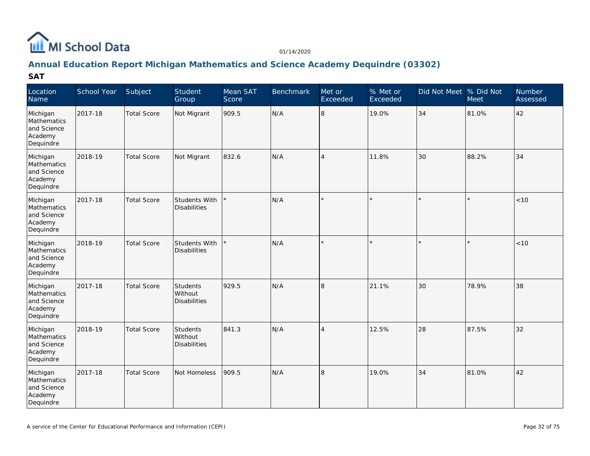

## **Annual Education Report Michigan Mathematics and Science Academy Dequindre (03302)**

| Location<br>Name                                               | School Year | Subject            | Student<br>Group                            | Mean SAT<br>Score | <b>Benchmark</b> | Met or<br>Exceeded | % Met or<br>Exceeded | Did Not Meet % Did Not | <b>Meet</b> | Number<br>Assessed |
|----------------------------------------------------------------|-------------|--------------------|---------------------------------------------|-------------------|------------------|--------------------|----------------------|------------------------|-------------|--------------------|
| Michigan<br>Mathematics<br>and Science<br>Academy<br>Dequindre | 2017-18     | <b>Total Score</b> | Not Migrant                                 | 909.5             | N/A              | 8                  | 19.0%                | 34                     | 81.0%       | 42                 |
| Michigan<br>Mathematics<br>and Science<br>Academy<br>Dequindre | 2018-19     | <b>Total Score</b> | Not Migrant                                 | 832.6             | N/A              | $\overline{4}$     | 11.8%                | 30                     | 88.2%       | 34                 |
| Michigan<br>Mathematics<br>and Science<br>Academy<br>Dequindre | 2017-18     | <b>Total Score</b> | <b>Students With</b><br><b>Disabilities</b> |                   | N/A              |                    |                      | $\star$                | ×.          | $<10$              |
| Michigan<br>Mathematics<br>and Science<br>Academy<br>Dequindre | 2018-19     | <b>Total Score</b> | Students With<br><b>Disabilities</b>        |                   | N/A              |                    |                      | $\star$                | $\star$     | < 10               |
| Michigan<br>Mathematics<br>and Science<br>Academy<br>Dequindre | 2017-18     | <b>Total Score</b> | Students<br>Without<br><b>Disabilities</b>  | 929.5             | N/A              | 8                  | 21.1%                | 30                     | 78.9%       | 38                 |
| Michigan<br>Mathematics<br>and Science<br>Academy<br>Dequindre | 2018-19     | <b>Total Score</b> | Students<br>Without<br><b>Disabilities</b>  | 841.3             | N/A              | $\overline{4}$     | 12.5%                | 28                     | 87.5%       | 32                 |
| Michigan<br>Mathematics<br>and Science<br>Academy<br>Dequindre | 2017-18     | <b>Total Score</b> | Not Homeless                                | 909.5             | N/A              | 8                  | 19.0%                | 34                     | 81.0%       | 42                 |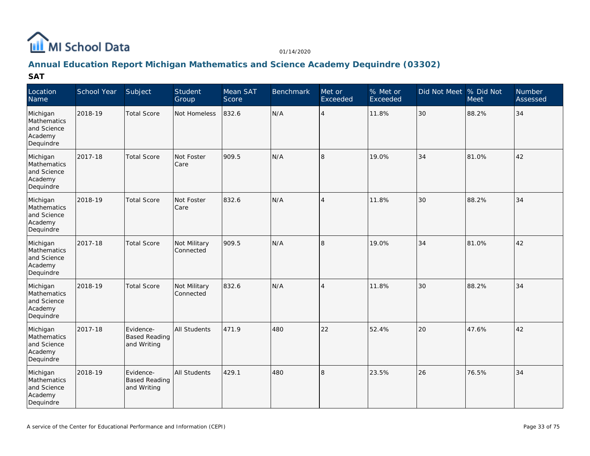

## **Annual Education Report Michigan Mathematics and Science Academy Dequindre (03302)**

| Location<br>Name                                               | School Year | Subject                                          | Student<br>Group          | Mean SAT<br>Score | <b>Benchmark</b> | Met or<br>Exceeded | % Met or<br>Exceeded | Did Not Meet % Did Not | <b>Meet</b> | <b>Number</b><br>Assessed |
|----------------------------------------------------------------|-------------|--------------------------------------------------|---------------------------|-------------------|------------------|--------------------|----------------------|------------------------|-------------|---------------------------|
| Michigan<br>Mathematics<br>and Science<br>Academy<br>Dequindre | 2018-19     | <b>Total Score</b>                               | Not Homeless              | 832.6             | N/A              | $\overline{4}$     | 11.8%                | 30                     | 88.2%       | 34                        |
| Michigan<br>Mathematics<br>and Science<br>Academy<br>Dequindre | 2017-18     | <b>Total Score</b>                               | Not Foster<br>Care        | 909.5             | N/A              | 8                  | 19.0%                | 34                     | 81.0%       | 42                        |
| Michigan<br>Mathematics<br>and Science<br>Academy<br>Dequindre | 2018-19     | <b>Total Score</b>                               | Not Foster<br>Care        | 832.6             | N/A              | $\overline{4}$     | 11.8%                | 30                     | 88.2%       | 34                        |
| Michigan<br>Mathematics<br>and Science<br>Academy<br>Dequindre | 2017-18     | <b>Total Score</b>                               | Not Military<br>Connected | 909.5             | N/A              | 8                  | 19.0%                | 34                     | 81.0%       | 42                        |
| Michigan<br>Mathematics<br>and Science<br>Academy<br>Dequindre | 2018-19     | <b>Total Score</b>                               | Not Military<br>Connected | 832.6             | N/A              | $\overline{4}$     | 11.8%                | 30                     | 88.2%       | 34                        |
| Michigan<br>Mathematics<br>and Science<br>Academy<br>Dequindre | 2017-18     | Evidence-<br><b>Based Reading</b><br>and Writing | All Students              | 471.9             | 480              | 22                 | 52.4%                | 20                     | 47.6%       | 42                        |
| Michigan<br>Mathematics<br>and Science<br>Academy<br>Dequindre | 2018-19     | Evidence-<br><b>Based Reading</b><br>and Writing | All Students              | 429.1             | 480              | 8                  | 23.5%                | 26                     | 76.5%       | 34                        |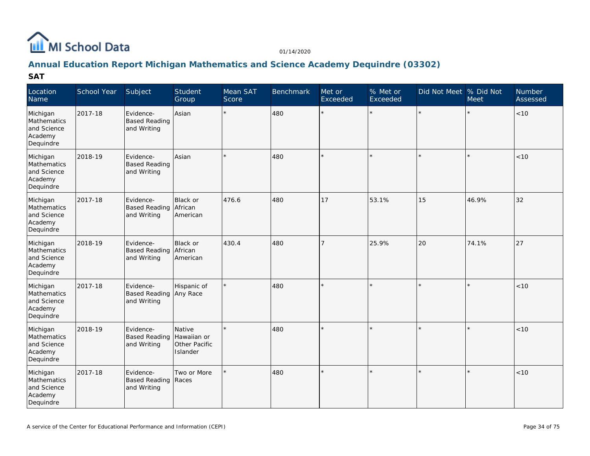

# **Annual Education Report Michigan Mathematics and Science Academy Dequindre (03302)**

| Location<br>Name                                               | School Year | Subject                                            | Student<br>Group                                   | Mean SAT<br>Score | <b>Benchmark</b> | Met or<br>Exceeded | % Met or<br>Exceeded | Did Not Meet  % Did Not | Meet    | Number<br>Assessed |
|----------------------------------------------------------------|-------------|----------------------------------------------------|----------------------------------------------------|-------------------|------------------|--------------------|----------------------|-------------------------|---------|--------------------|
| Michigan<br>Mathematics<br>and Science<br>Academy<br>Dequindre | 2017-18     | Evidence-<br><b>Based Reading</b><br>and Writing   | Asian                                              |                   | 480              | $\star$            | $\star$              | $\star$                 |         | $<10$              |
| Michigan<br>Mathematics<br>and Science<br>Academy<br>Dequindre | 2018-19     | Evidence-<br><b>Based Reading</b><br>and Writing   | Asian                                              |                   | 480              |                    |                      | $\star$                 | $\star$ | < 10               |
| Michigan<br>Mathematics<br>and Science<br>Academy<br>Dequindre | 2017-18     | Evidence-<br><b>Based Reading</b><br>and Writing   | Black or<br>African<br>American                    | 476.6             | 480              | 17                 | 53.1%                | 15                      | 46.9%   | 32                 |
| Michigan<br>Mathematics<br>and Science<br>Academy<br>Dequindre | 2018-19     | Evidence-<br><b>Based Reading</b><br>and Writing   | Black or<br>African<br>American                    | 430.4             | 480              | 7                  | 25.9%                | 20                      | 74.1%   | 27                 |
| Michigan<br>Mathematics<br>and Science<br>Academy<br>Dequindre | 2017-18     | Evidence-<br>Based Reading Any Race<br>and Writing | Hispanic of                                        |                   | 480              |                    |                      | $\star$                 |         | < 10               |
| Michigan<br>Mathematics<br>and Science<br>Academy<br>Dequindre | 2018-19     | Evidence-<br><b>Based Reading</b><br>and Writing   | Native<br>Hawaiian or<br>Other Pacific<br>Islander |                   | 480              |                    |                      | ×.                      | k       | < 10               |
| Michigan<br>Mathematics<br>and Science<br>Academy<br>Dequindre | 2017-18     | Evidence-<br>Based Reading   Races<br>and Writing  | Two or More                                        |                   | 480              |                    |                      | $\star$                 | $\star$ | < 10               |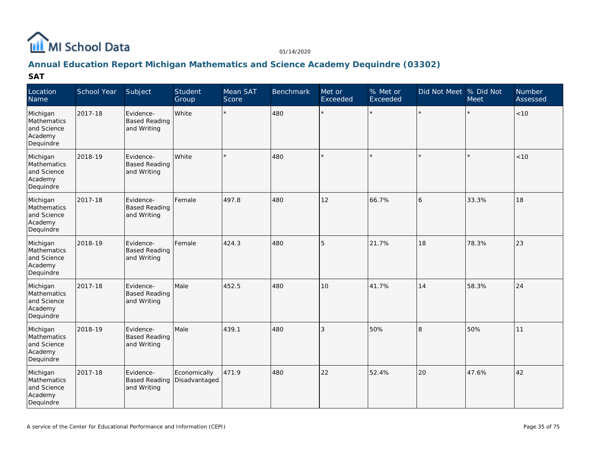

## **Annual Education Report Michigan Mathematics and Science Academy Dequindre (03302)**

| Location<br>Name                                               | School Year | Subject                                          | Student<br>Group              | Mean SAT<br>Score | Benchmark | Met or<br>Exceeded | % Met or<br>Exceeded | Did Not Meet  % Did Not | Meet  | Number<br>Assessed |
|----------------------------------------------------------------|-------------|--------------------------------------------------|-------------------------------|-------------------|-----------|--------------------|----------------------|-------------------------|-------|--------------------|
| Michigan<br>Mathematics<br>and Science<br>Academy<br>Dequindre | 2017-18     | Evidence-<br><b>Based Reading</b><br>and Writing | White                         | $\star$           | 480       | $\star$            | $\star$              |                         |       | < 10               |
| Michigan<br>Mathematics<br>and Science<br>Academy<br>Dequindre | 2018-19     | Evidence-<br><b>Based Reading</b><br>and Writing | White                         |                   | 480       |                    |                      |                         |       | $<10$              |
| Michigan<br>Mathematics<br>and Science<br>Academy<br>Dequindre | 2017-18     | Evidence-<br><b>Based Reading</b><br>and Writing | Female                        | 497.8             | 480       | 12                 | 66.7%                | 16                      | 33.3% | 18                 |
| Michigan<br>Mathematics<br>and Science<br>Academy<br>Dequindre | 2018-19     | Evidence-<br><b>Based Reading</b><br>and Writing | Female                        | 424.3             | 480       | 5                  | 21.7%                | 18                      | 78.3% | 23                 |
| Michigan<br>Mathematics<br>and Science<br>Academy<br>Dequindre | 2017-18     | Evidence-<br><b>Based Reading</b><br>and Writing | Male                          | 452.5             | 480       | 10                 | 41.7%                | 14                      | 58.3% | 24                 |
| Michigan<br>Mathematics<br>and Science<br>Academy<br>Dequindre | 2018-19     | Evidence-<br><b>Based Reading</b><br>and Writing | Male                          | 439.1             | 480       | 3                  | 50%                  | 8                       | 50%   | 11                 |
| Michigan<br>Mathematics<br>and Science<br>Academy<br>Dequindre | 2017-18     | Evidence-<br><b>Based Reading</b><br>and Writing | Economically<br>Disadvantaged | 471.9             | 480       | 22                 | 52.4%                | 20                      | 47.6% | 42                 |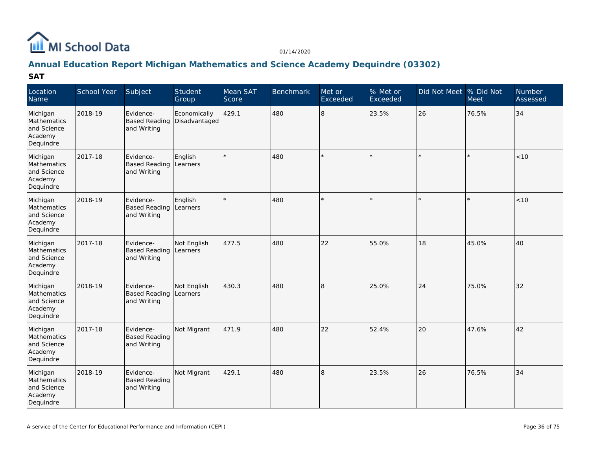

## **Annual Education Report Michigan Mathematics and Science Academy Dequindre (03302)**

| Location<br>Name                                               | School Year | Subject                                          | Student<br>Group              | Mean SAT<br>Score | <b>Benchmark</b> | Met or<br>Exceeded | % Met or<br>Exceeded | Did Not Meet  % Did Not | Meet    | Number<br>Assessed |
|----------------------------------------------------------------|-------------|--------------------------------------------------|-------------------------------|-------------------|------------------|--------------------|----------------------|-------------------------|---------|--------------------|
| Michigan<br>Mathematics<br>and Science<br>Academy<br>Dequindre | 2018-19     | Evidence-<br><b>Based Reading</b><br>and Writing | Economically<br>Disadvantaged | 429.1             | 480              | 8                  | 23.5%                | 26                      | 76.5%   | 34                 |
| Michigan<br>Mathematics<br>and Science<br>Academy<br>Dequindre | 2017-18     | Evidence-<br><b>Based Reading</b><br>and Writing | English<br>Learners           |                   | 480              |                    |                      | $\star$                 | $\star$ | < 10               |
| Michigan<br>Mathematics<br>and Science<br>Academy<br>Dequindre | 2018-19     | Evidence-<br><b>Based Reading</b><br>and Writing | English<br>Learners           |                   | 480              |                    |                      | $\star$                 | ×.      | < 10               |
| Michigan<br>Mathematics<br>and Science<br>Academy<br>Dequindre | 2017-18     | Evidence-<br><b>Based Reading</b><br>and Writing | Not English<br>Learners       | 477.5             | 480              | 22                 | 55.0%                | 18                      | 45.0%   | 40                 |
| Michigan<br>Mathematics<br>and Science<br>Academy<br>Dequindre | 2018-19     | Evidence-<br><b>Based Reading</b><br>and Writing | Not English<br>Learners       | 430.3             | 480              | 8                  | 25.0%                | 24                      | 75.0%   | 32                 |
| Michigan<br>Mathematics<br>and Science<br>Academy<br>Dequindre | 2017-18     | Evidence-<br><b>Based Reading</b><br>and Writing | Not Migrant                   | 471.9             | 480              | 22                 | 52.4%                | 20                      | 47.6%   | 42                 |
| Michigan<br>Mathematics<br>and Science<br>Academy<br>Dequindre | 2018-19     | Evidence-<br><b>Based Reading</b><br>and Writing | Not Migrant                   | 429.1             | 480              | R.                 | 23.5%                | 26                      | 76.5%   | 34                 |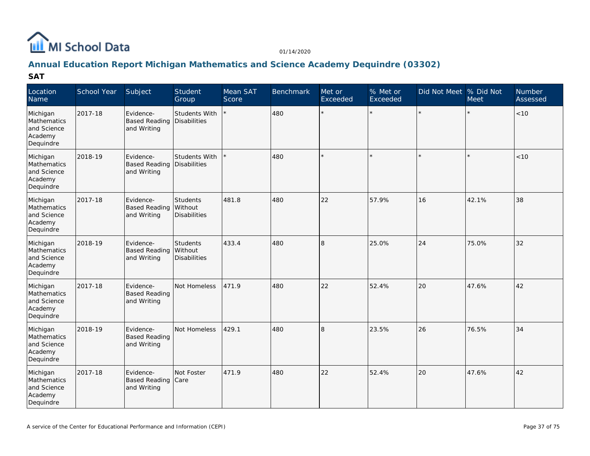

## **Annual Education Report Michigan Mathematics and Science Academy Dequindre (03302)**

| Location<br>Name                                               | School Year | Subject                                          | Student<br>Group                           | Mean SAT<br>Score | Benchmark | Met or<br>Exceeded | % Met or<br>Exceeded | Did Not Meet  % Did Not | <b>Meet</b> | <b>Number</b><br>Assessed |
|----------------------------------------------------------------|-------------|--------------------------------------------------|--------------------------------------------|-------------------|-----------|--------------------|----------------------|-------------------------|-------------|---------------------------|
| Michigan<br>Mathematics<br>and Science<br>Academy<br>Dequindre | 2017-18     | Evidence-<br><b>Based Reading</b><br>and Writing | Students With<br><b>Disabilities</b>       |                   | 480       | $\star$            |                      |                         |             | $<10$                     |
| Michigan<br>Mathematics<br>and Science<br>Academy<br>Dequindre | 2018-19     | Evidence-<br><b>Based Reading</b><br>and Writing | Students With<br>Disabilities              |                   | 480       |                    |                      |                         |             | < 10                      |
| Michigan<br>Mathematics<br>and Science<br>Academy<br>Dequindre | 2017-18     | Evidence-<br><b>Based Reading</b><br>and Writing | Students<br>Without<br><b>Disabilities</b> | 481.8             | 480       | 22                 | 57.9%                | 16                      | 42.1%       | 38                        |
| Michigan<br>Mathematics<br>and Science<br>Academy<br>Dequindre | 2018-19     | Evidence-<br><b>Based Reading</b><br>and Writing | Students<br>Without<br><b>Disabilities</b> | 433.4             | 480       | 8                  | 25.0%                | 24                      | 75.0%       | 32                        |
| Michigan<br>Mathematics<br>and Science<br>Academy<br>Dequindre | 2017-18     | Evidence-<br><b>Based Reading</b><br>and Writing | Not Homeless                               | 471.9             | 480       | 22                 | 52.4%                | 20                      | 47.6%       | 42                        |
| Michigan<br>Mathematics<br>and Science<br>Academy<br>Dequindre | 2018-19     | Evidence-<br><b>Based Reading</b><br>and Writing | Not Homeless                               | 429.1             | 480       | 8                  | 23.5%                | 26                      | 76.5%       | 34                        |
| Michigan<br>Mathematics<br>and Science<br>Academy<br>Dequindre | 2017-18     | Evidence-<br><b>Based Reading</b><br>and Writing | Not Foster<br>Care                         | 471.9             | 480       | 22                 | 52.4%                | 20                      | 47.6%       | 42                        |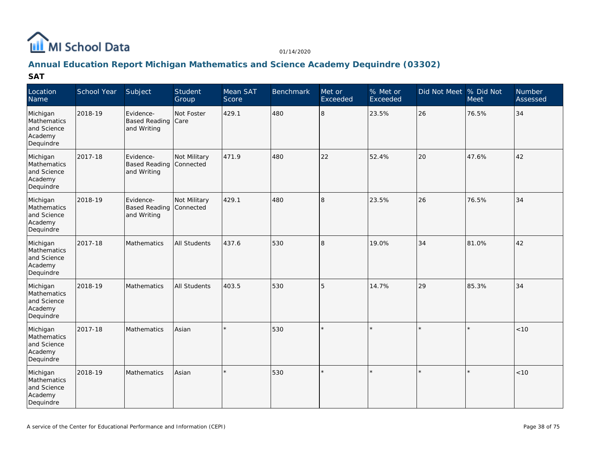

## **Annual Education Report Michigan Mathematics and Science Academy Dequindre (03302)**

| Location<br>Name                                               | School Year | Subject                                          | Student<br>Group          | Mean SAT<br>Score | <b>Benchmark</b> | Met or<br>Exceeded | % Met or<br>Exceeded | Did Not Meet % Did Not | Meet    | Number<br>Assessed |
|----------------------------------------------------------------|-------------|--------------------------------------------------|---------------------------|-------------------|------------------|--------------------|----------------------|------------------------|---------|--------------------|
| Michigan<br>Mathematics<br>and Science<br>Academy<br>Dequindre | 2018-19     | Evidence-<br><b>Based Reading</b><br>and Writing | Not Foster<br>Care        | 429.1             | 480              | 8                  | 23.5%                | 26                     | 76.5%   | 34                 |
| Michigan<br>Mathematics<br>and Science<br>Academy<br>Dequindre | 2017-18     | Evidence-<br><b>Based Reading</b><br>and Writing | Not Military<br>Connected | 471.9             | 480              | 22                 | 52.4%                | 20                     | 47.6%   | 42                 |
| Michigan<br>Mathematics<br>and Science<br>Academy<br>Dequindre | 2018-19     | Evidence-<br><b>Based Reading</b><br>and Writing | Not Military<br>Connected | 429.1             | 480              | 8                  | 23.5%                | 26                     | 76.5%   | 34                 |
| Michigan<br>Mathematics<br>and Science<br>Academy<br>Dequindre | 2017-18     | Mathematics                                      | <b>All Students</b>       | 437.6             | 530              | 8                  | 19.0%                | 34                     | 81.0%   | 42                 |
| Michigan<br>Mathematics<br>and Science<br>Academy<br>Dequindre | 2018-19     | Mathematics                                      | All Students              | 403.5             | 530              | 5                  | 14.7%                | 29                     | 85.3%   | 34                 |
| Michigan<br>Mathematics<br>and Science<br>Academy<br>Dequindre | 2017-18     | <b>Mathematics</b>                               | Asian                     |                   | 530              |                    |                      | $\star$                | ×.      | <10                |
| Michigan<br>Mathematics<br>and Science<br>Academy<br>Dequindre | 2018-19     | Mathematics                                      | Asian                     | $\star$           | 530              | $\star$            |                      | $\star$                | $\star$ | < 10               |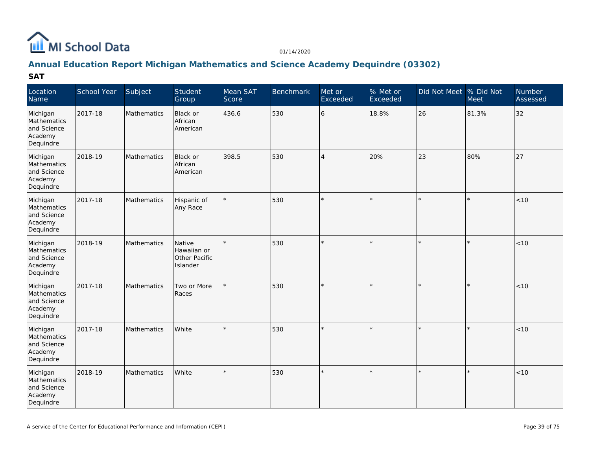

## **Annual Education Report Michigan Mathematics and Science Academy Dequindre (03302)**

| Location<br>Name                                               | School Year | Subject            | Student<br>Group                                   | Mean SAT<br>Score | <b>Benchmark</b> | Met or<br>Exceeded | % Met or<br>Exceeded | Did Not Meet % Did Not | Meet    | Number<br>Assessed |
|----------------------------------------------------------------|-------------|--------------------|----------------------------------------------------|-------------------|------------------|--------------------|----------------------|------------------------|---------|--------------------|
| Michigan<br>Mathematics<br>and Science<br>Academy<br>Dequindre | 2017-18     | Mathematics        | Black or<br>African<br>American                    | 436.6             | 530              | 6                  | 18.8%                | 26                     | 81.3%   | 32                 |
| Michigan<br>Mathematics<br>and Science<br>Academy<br>Dequindre | 2018-19     | Mathematics        | Black or<br>African<br>American                    | 398.5             | 530              | $\overline{4}$     | 20%                  | 23                     | 80%     | 27                 |
| Michigan<br>Mathematics<br>and Science<br>Academy<br>Dequindre | 2017-18     | Mathematics        | Hispanic of<br>Any Race                            |                   | 530              |                    |                      | $\star$                | $\star$ | < 10               |
| Michigan<br>Mathematics<br>and Science<br>Academy<br>Dequindre | 2018-19     | Mathematics        | Native<br>Hawaiian or<br>Other Pacific<br>Islander |                   | 530              |                    |                      | $\star$                | $\star$ | < 10               |
| Michigan<br>Mathematics<br>and Science<br>Academy<br>Dequindre | 2017-18     | <b>Mathematics</b> | Two or More<br>Races                               |                   | 530              |                    |                      | $\star$                | $\star$ | < 10               |
| Michigan<br>Mathematics<br>and Science<br>Academy<br>Dequindre | 2017-18     | Mathematics        | White                                              |                   | 530              |                    |                      | $\star$                | ×.      | $<10$              |
| Michigan<br>Mathematics<br>and Science<br>Academy<br>Dequindre | 2018-19     | Mathematics        | White                                              | $\star$           | 530              |                    |                      | $\star$                | $\star$ | < 10               |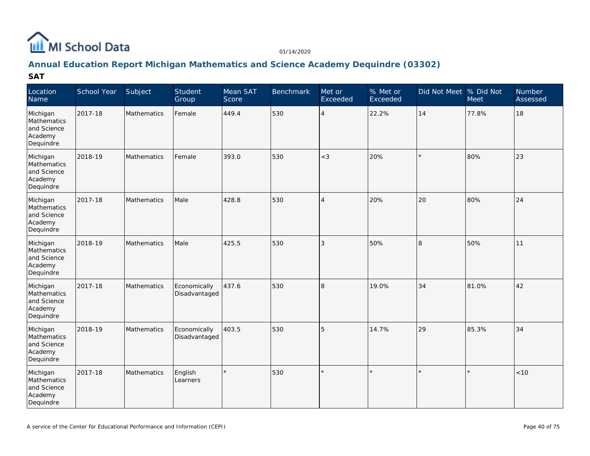

## **Annual Education Report Michigan Mathematics and Science Academy Dequindre (03302)**

| Location<br>Name                                               | School Year | Subject            | Student<br>Group              | Mean SAT<br>Score | Benchmark | Met or<br>Exceeded       | % Met or<br>Exceeded | Did Not Meet % Did Not | Meet    | <b>Number</b><br>Assessed |
|----------------------------------------------------------------|-------------|--------------------|-------------------------------|-------------------|-----------|--------------------------|----------------------|------------------------|---------|---------------------------|
| Michigan<br>Mathematics<br>and Science<br>Academy<br>Dequindre | 2017-18     | Mathematics        | Female                        | 449.4             | 530       | $\overline{4}$           | 22.2%                | 14                     | 77.8%   | 18                        |
| Michigan<br>Mathematics<br>and Science<br>Academy<br>Dequindre | 2018-19     | <b>Mathematics</b> | Female                        | 393.0             | 530       | $<$ 3                    | 20%                  | $\star$                | 80%     | 23                        |
| Michigan<br>Mathematics<br>and Science<br>Academy<br>Dequindre | 2017-18     | Mathematics        | Male                          | 428.8             | 530       | $\overline{\mathcal{A}}$ | 20%                  | 20                     | 80%     | 24                        |
| Michigan<br>Mathematics<br>and Science<br>Academy<br>Dequindre | 2018-19     | Mathematics        | Male                          | 425.5             | 530       | 3                        | 50%                  | 8                      | 50%     | 11                        |
| Michigan<br>Mathematics<br>and Science<br>Academy<br>Dequindre | 2017-18     | Mathematics        | Economically<br>Disadvantaged | 437.6             | 530       | 8                        | 19.0%                | 34                     | 81.0%   | 42                        |
| Michigan<br>Mathematics<br>and Science<br>Academy<br>Dequindre | 2018-19     | Mathematics        | Economically<br>Disadvantaged | 403.5             | 530       | 5                        | 14.7%                | 29                     | 85.3%   | 34                        |
| Michigan<br>Mathematics<br>and Science<br>Academy<br>Dequindre | 2017-18     | <b>Mathematics</b> | English<br>Learners           | $\star$           | 530       | $\star$                  |                      | $\star$                | $\star$ | < 10                      |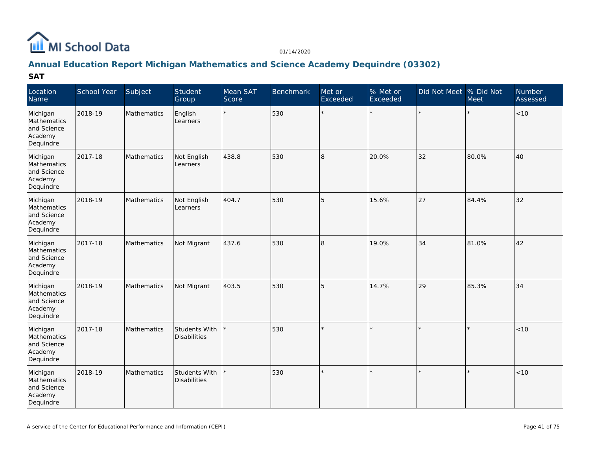

## **Annual Education Report Michigan Mathematics and Science Academy Dequindre (03302)**

| Location<br>Name                                               | School Year | Subject            | Student<br>Group                            | Mean SAT<br>Score | <b>Benchmark</b> | Met or<br>Exceeded | % Met or<br>Exceeded | Did Not Meet % Did Not | Meet    | Number<br>Assessed |
|----------------------------------------------------------------|-------------|--------------------|---------------------------------------------|-------------------|------------------|--------------------|----------------------|------------------------|---------|--------------------|
| Michigan<br>Mathematics<br>and Science<br>Academy<br>Dequindre | 2018-19     | Mathematics        | English<br>Learners                         | $\star$           | 530              | $\star$            | $\star$              | $\star$                | $\star$ | $<10$              |
| Michigan<br>Mathematics<br>and Science<br>Academy<br>Dequindre | 2017-18     | Mathematics        | Not English<br>Learners                     | 438.8             | 530              | 8                  | 20.0%                | 32                     | 80.0%   | 40                 |
| Michigan<br>Mathematics<br>and Science<br>Academy<br>Dequindre | 2018-19     | <b>Mathematics</b> | Not English<br>Learners                     | 404.7             | 530              | 5                  | 15.6%                | 27                     | 84.4%   | 32                 |
| Michigan<br>Mathematics<br>and Science<br>Academy<br>Dequindre | 2017-18     | <b>Mathematics</b> | Not Migrant                                 | 437.6             | 530              | 8                  | 19.0%                | 34                     | 81.0%   | 42                 |
| Michigan<br>Mathematics<br>and Science<br>Academy<br>Dequindre | 2018-19     | Mathematics        | Not Migrant                                 | 403.5             | 530              | 5                  | 14.7%                | 29                     | 85.3%   | 34                 |
| Michigan<br>Mathematics<br>and Science<br>Academy<br>Dequindre | 2017-18     | Mathematics        | Students With<br><b>Disabilities</b>        |                   | 530              | $\star$            |                      | $\star$                | $\star$ | < 10               |
| Michigan<br>Mathematics<br>and Science<br>Academy<br>Dequindre | 2018-19     | Mathematics        | <b>Students With</b><br><b>Disabilities</b> |                   | 530              |                    |                      | $\star$                | $\star$ | < 10               |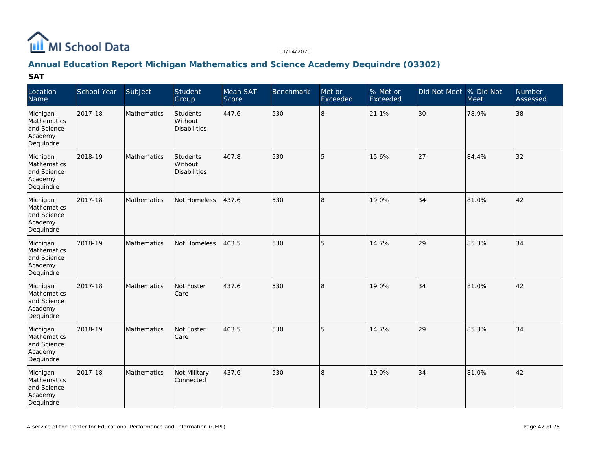

## **Annual Education Report Michigan Mathematics and Science Academy Dequindre (03302)**

| Location<br>Name                                               | School Year | Subject            | Student<br>Group                    | Mean SAT<br>Score | <b>Benchmark</b> | Met or<br>Exceeded | % Met or<br>Exceeded | Did Not Meet % Did Not | Meet  | Number<br>Assessed |
|----------------------------------------------------------------|-------------|--------------------|-------------------------------------|-------------------|------------------|--------------------|----------------------|------------------------|-------|--------------------|
| Michigan<br>Mathematics<br>and Science<br>Academy<br>Dequindre | 2017-18     | Mathematics        | Students<br>Without<br>Disabilities | 447.6             | 530              | 8                  | 21.1%                | 30                     | 78.9% | 38                 |
| Michigan<br>Mathematics<br>and Science<br>Academy<br>Dequindre | 2018-19     | <b>Mathematics</b> | Students<br>Without<br>Disabilities | 407.8             | 530              | 5                  | 15.6%                | 27                     | 84.4% | 32                 |
| Michigan<br>Mathematics<br>and Science<br>Academy<br>Dequindre | 2017-18     | Mathematics        | Not Homeless                        | 437.6             | 530              | l8                 | 19.0%                | 34                     | 81.0% | 42                 |
| Michigan<br>Mathematics<br>and Science<br>Academy<br>Dequindre | 2018-19     | <b>Mathematics</b> | Not Homeless                        | 403.5             | 530              | 5                  | 14.7%                | 29                     | 85.3% | 34                 |
| Michigan<br>Mathematics<br>and Science<br>Academy<br>Dequindre | 2017-18     | Mathematics        | Not Foster<br>Care                  | 437.6             | 530              | 8                  | 19.0%                | 34                     | 81.0% | 42                 |
| Michigan<br>Mathematics<br>and Science<br>Academy<br>Dequindre | 2018-19     | Mathematics        | Not Foster<br>Care                  | 403.5             | 530              | 5                  | 14.7%                | 29                     | 85.3% | 34                 |
| Michigan<br>Mathematics<br>and Science<br>Academy<br>Dequindre | 2017-18     | Mathematics        | Not Military<br>Connected           | 437.6             | 530              | $\overline{8}$     | 19.0%                | 34                     | 81.0% | 42                 |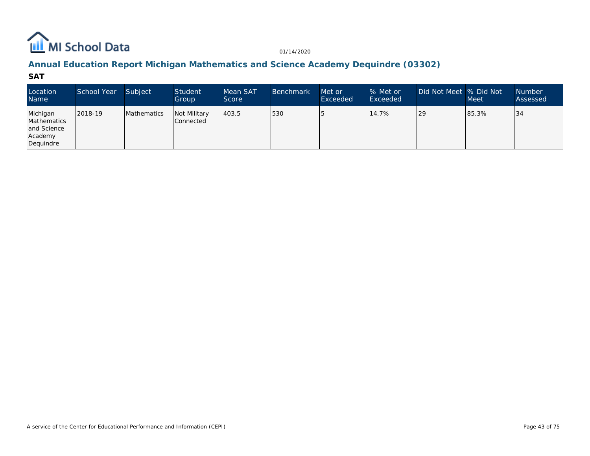

## **Annual Education Report Michigan Mathematics and Science Academy Dequindre (03302)**

| Location<br><b>Name</b>                                        | School Year | Subject            | Student<br>Group                   | Mean SAT<br>Score | <b>Benchmark</b> | Met or<br>Exceeded | % Met or<br>Exceeded | Did Not Meet  % Did Not | <b>Meet</b> | <b>Number</b><br>Assessed |
|----------------------------------------------------------------|-------------|--------------------|------------------------------------|-------------------|------------------|--------------------|----------------------|-------------------------|-------------|---------------------------|
| Michigan<br>Mathematics<br>and Science<br>Academy<br>Dequindre | 2018-19     | <b>Mathematics</b> | <b>Not Military</b><br>l Connected | 403.5             | 530              |                    | 14.7%                | <b>29</b>               | 85.3%       | 134                       |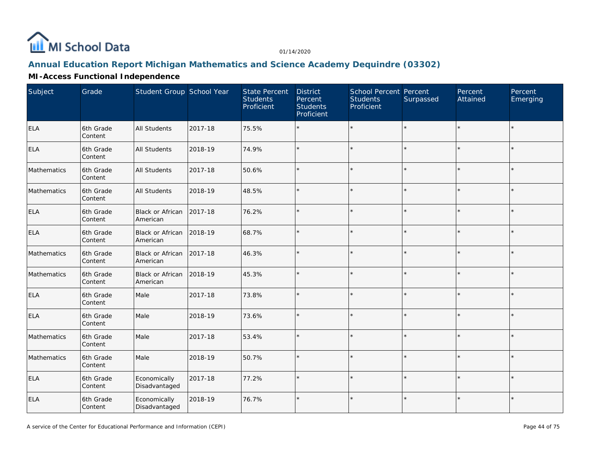

# **Annual Education Report Michigan Mathematics and Science Academy Dequindre (03302)**

## **MI-Access Functional Independence**

| Subject     | Grade                | Student Group School Year     |         | <b>State Percent</b><br><b>Students</b><br>Proficient | <b>District</b><br>Percent<br><b>Students</b><br>Proficient | <b>School Percent Percent</b><br><b>Students</b><br>Proficient | Surpassed | Percent<br>Attained | Percent<br>Emerging |
|-------------|----------------------|-------------------------------|---------|-------------------------------------------------------|-------------------------------------------------------------|----------------------------------------------------------------|-----------|---------------------|---------------------|
| <b>ELA</b>  | 6th Grade<br>Content | All Students                  | 2017-18 | 75.5%                                                 |                                                             | $\star$                                                        | $\star$   |                     | $\star$             |
| <b>ELA</b>  | 6th Grade<br>Content | All Students                  | 2018-19 | 74.9%                                                 | $\star$                                                     | $\star$                                                        | $\star$   | $\star$             | $\star$             |
| Mathematics | 6th Grade<br>Content | All Students                  | 2017-18 | 50.6%                                                 |                                                             | $\star$                                                        | $\star$   |                     | $\star$             |
| Mathematics | 6th Grade<br>Content | <b>All Students</b>           | 2018-19 | 48.5%                                                 |                                                             | $\star$                                                        | $\star$   |                     | $\star$             |
| <b>ELA</b>  | 6th Grade<br>Content | Black or African<br>American  | 2017-18 | 76.2%                                                 | ÷                                                           | $\star$                                                        | $\star$   |                     | $\star$             |
| <b>ELA</b>  | 6th Grade<br>Content | Black or African<br>American  | 2018-19 | 68.7%                                                 |                                                             | $\star$                                                        | ÷.        |                     | $\star$             |
| Mathematics | 6th Grade<br>Content | Black or African<br>American  | 2017-18 | 46.3%                                                 |                                                             | $\star$                                                        | $\star$   |                     | $\star$             |
| Mathematics | 6th Grade<br>Content | Black or African<br>American  | 2018-19 | 45.3%                                                 |                                                             | $\star$                                                        | $\star$   |                     | $\star$             |
| <b>ELA</b>  | 6th Grade<br>Content | Male                          | 2017-18 | 73.8%                                                 | ÷.                                                          | $\star$                                                        | ÷.        | $\star$             | $\star$             |
| ELA         | 6th Grade<br>Content | Male                          | 2018-19 | 73.6%                                                 | $\star$                                                     | $\star$                                                        | $\star$   | $\star$             | $\star$             |
| Mathematics | 6th Grade<br>Content | Male                          | 2017-18 | 53.4%                                                 |                                                             | $\star$                                                        | $\star$   |                     |                     |
| Mathematics | 6th Grade<br>Content | Male                          | 2018-19 | 50.7%                                                 | $\star$                                                     | $\star$                                                        | $\star$   | $\star$             | $\star$             |
| <b>ELA</b>  | 6th Grade<br>Content | Economically<br>Disadvantaged | 2017-18 | 77.2%                                                 | $\star$                                                     | $\star$                                                        | $\star$   | $\star$             | $\star$             |
| <b>ELA</b>  | 6th Grade<br>Content | Economically<br>Disadvantaged | 2018-19 | 76.7%                                                 | $\star$                                                     | $\star$                                                        | $\star$   | $\star$             | $\star$             |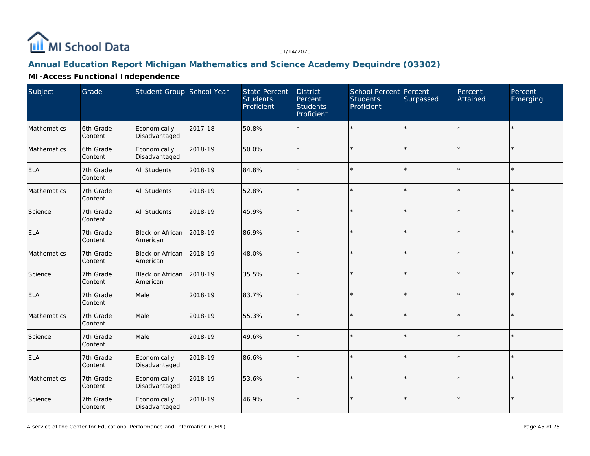

# **Annual Education Report Michigan Mathematics and Science Academy Dequindre (03302)**

#### **MI-Access Functional Independence**

| Subject     | Grade                | Student Group School Year           |         | <b>State Percent</b><br><b>Students</b><br>Proficient | <b>District</b><br>Percent<br><b>Students</b><br>Proficient | School Percent Percent<br><b>Students</b><br>Proficient | Surpassed | Percent<br>Attained | Percent<br>Emerging |
|-------------|----------------------|-------------------------------------|---------|-------------------------------------------------------|-------------------------------------------------------------|---------------------------------------------------------|-----------|---------------------|---------------------|
| Mathematics | 6th Grade<br>Content | Economically<br>Disadvantaged       | 2017-18 | 50.8%                                                 |                                                             | $\star$                                                 |           | $\star$             |                     |
| Mathematics | 6th Grade<br>Content | Economically<br>Disadvantaged       | 2018-19 | 50.0%                                                 | $\star$                                                     | $\star$                                                 |           | $\star$             |                     |
| ELA         | 7th Grade<br>Content | All Students                        | 2018-19 | 84.8%                                                 |                                                             |                                                         |           |                     |                     |
| Mathematics | 7th Grade<br>Content | <b>All Students</b>                 | 2018-19 | 52.8%                                                 | $\star$                                                     |                                                         |           | ÷                   |                     |
| Science     | 7th Grade<br>Content | <b>All Students</b>                 | 2018-19 | 45.9%                                                 | $\star$                                                     |                                                         |           | $\star$             | $\star$             |
| ELA         | 7th Grade<br>Content | Black or African<br>American        | 2018-19 | 86.9%                                                 | $\star$                                                     |                                                         |           |                     |                     |
| Mathematics | 7th Grade<br>Content | <b>Black or African</b><br>American | 2018-19 | 48.0%                                                 | $\star$                                                     | $\star$                                                 |           | $\star$             |                     |
| Science     | 7th Grade<br>Content | Black or African<br>American        | 2018-19 | 35.5%                                                 | $\star$                                                     |                                                         |           |                     |                     |
| ELA         | 7th Grade<br>Content | Male                                | 2018-19 | 83.7%                                                 | $\star$                                                     | ×                                                       |           | ÷.                  |                     |
| Mathematics | 7th Grade<br>Content | Male                                | 2018-19 | 55.3%                                                 | $\star$                                                     | $\star$                                                 |           | $\star$             | $\star$             |
| Science     | 7th Grade<br>Content | Male                                | 2018-19 | 49.6%                                                 | $\star$                                                     |                                                         |           |                     |                     |
| <b>ELA</b>  | 7th Grade<br>Content | Economically<br>Disadvantaged       | 2018-19 | 86.6%                                                 | $\star$                                                     | $\star$                                                 |           | $\star$             | $\star$             |
| Mathematics | 7th Grade<br>Content | Economically<br>Disadvantaged       | 2018-19 | 53.6%                                                 | $\star$                                                     |                                                         |           | $\star$             |                     |
| Science     | 7th Grade<br>Content | Economically<br>Disadvantaged       | 2018-19 | 46.9%                                                 | $\star$                                                     | $\star$                                                 |           | ÷.                  | $\star$             |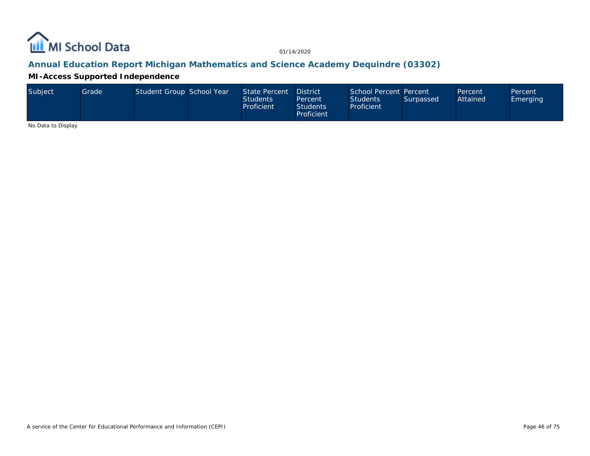

## **Annual Education Report Michigan Mathematics and Science Academy Dequindre (03302)**

**MI-Access Supported Independence**

| Subject | Grade | Student Group School Year |  | State Percent District<br><b>Students</b><br>Proficient | Percent<br><b>Students</b><br>Proficient | School Percent Percent<br><b>Students</b><br>Proficient | Surpassed | Percent<br>Attained | Percent<br>Emerging |
|---------|-------|---------------------------|--|---------------------------------------------------------|------------------------------------------|---------------------------------------------------------|-----------|---------------------|---------------------|
|---------|-------|---------------------------|--|---------------------------------------------------------|------------------------------------------|---------------------------------------------------------|-----------|---------------------|---------------------|

No Data to Display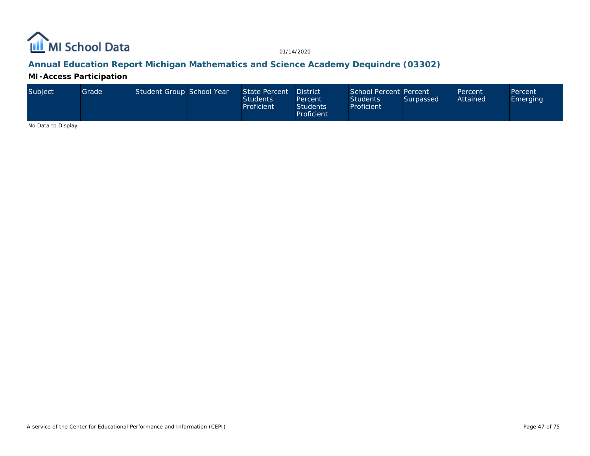

## **Annual Education Report Michigan Mathematics and Science Academy Dequindre (03302)**

**MI-Access Participation**

| Subiect | Grade | Student Group School Year |  | State Percent District<br><b>Students</b><br>Proficient | Percent<br><b>Students</b><br>Proficient | School Percent Percent<br><b>Students</b><br>Proficient | Surpassed | Percent<br>Attained | Percent<br><b>Emerging</b> |
|---------|-------|---------------------------|--|---------------------------------------------------------|------------------------------------------|---------------------------------------------------------|-----------|---------------------|----------------------------|
|---------|-------|---------------------------|--|---------------------------------------------------------|------------------------------------------|---------------------------------------------------------|-----------|---------------------|----------------------------|

No Data to Display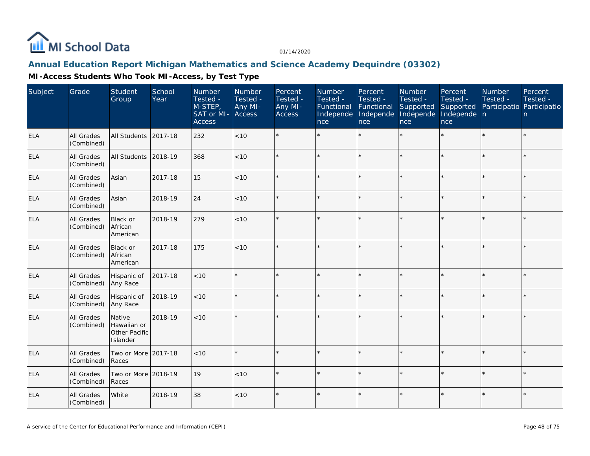

#### **Annual Education Report Michigan Mathematics and Science Academy Dequindre (03302)**

| Subject    | Grade                           | Student<br>Group                                   | School<br>Year | Number<br>Tested -<br>M-STEP,<br>SAT or MI-<br><b>Access</b> | Number<br>Tested -<br>Any MI-<br>Access | Percent<br>Tested -<br>Any MI-<br>Access | Number<br>Tested -<br>Functional<br>Independe<br>nce | Percent<br>Tested -<br>Functional<br>Independe<br>nce | Number<br>Tested -<br>Supported<br>Independe<br>nce | Percent<br>Tested -<br>Supported<br>Independe n<br>nce | Number<br>Tested -<br>Participatio Participatio | Percent<br>Tested -<br>n |
|------------|---------------------------------|----------------------------------------------------|----------------|--------------------------------------------------------------|-----------------------------------------|------------------------------------------|------------------------------------------------------|-------------------------------------------------------|-----------------------------------------------------|--------------------------------------------------------|-------------------------------------------------|--------------------------|
| <b>ELA</b> | <b>All Grades</b><br>(Combined) | All Students                                       | 2017-18        | 232                                                          | <10                                     | $\star$                                  |                                                      | $\star$                                               | ÷.                                                  |                                                        |                                                 | $\star$                  |
| <b>ELA</b> | All Grades<br>(Combined)        | All Students                                       | 2018-19        | 368                                                          | < 10                                    | $\star$                                  |                                                      | $\star$                                               | $\star$                                             |                                                        |                                                 | $\star$                  |
| <b>ELA</b> | <b>All Grades</b><br>(Combined) | Asian                                              | 2017-18        | 15                                                           | < 10                                    |                                          |                                                      | $\star$                                               | ý,                                                  |                                                        |                                                 | $\star$                  |
| <b>ELA</b> | All Grades<br>(Combined)        | Asian                                              | 2018-19        | 24                                                           | < 10                                    | $\star$                                  |                                                      | $\star$                                               |                                                     |                                                        |                                                 | $\star$                  |
| <b>ELA</b> | All Grades<br>(Combined)        | Black or<br>African<br>American                    | 2018-19        | 279                                                          | < 10                                    |                                          |                                                      | $\star$                                               | ų.                                                  |                                                        | ÷                                               | ÷.                       |
| <b>ELA</b> | All Grades<br>(Combined)        | Black or<br>African<br>American                    | 2017-18        | 175                                                          | < 10                                    | $\star$                                  |                                                      | $\star$                                               |                                                     |                                                        |                                                 | $\star$                  |
| <b>ELA</b> | All Grades<br>(Combined)        | Hispanic of<br>Any Race                            | 2017-18        | < 10                                                         |                                         | $\star$                                  |                                                      | $\star$                                               |                                                     |                                                        |                                                 | $\star$                  |
| <b>ELA</b> | All Grades<br>(Combined)        | Hispanic of<br>Any Race                            | 2018-19        | < 10                                                         |                                         |                                          |                                                      | $\star$                                               | ÷                                                   |                                                        |                                                 | $\star$                  |
| <b>ELA</b> | All Grades<br>(Combined)        | Native<br>Hawaiian or<br>Other Pacific<br>Islander | 2018-19        | < 10                                                         |                                         |                                          |                                                      | $\star$                                               |                                                     |                                                        |                                                 | $\star$                  |
| <b>ELA</b> | All Grades<br>(Combined)        | Two or More<br>Races                               | 2017-18        | < 10                                                         | $\star$                                 | ÷                                        | ų.                                                   | $\star$                                               | ÷                                                   |                                                        | $\star$                                         | $\star$                  |
| <b>ELA</b> | All Grades<br>(Combined)        | Two or More 2018-19<br>Races                       |                | 19                                                           | < 10                                    |                                          |                                                      | $\star$                                               | $\star$                                             | ×                                                      |                                                 | $\star$                  |
| <b>ELA</b> | All Grades<br>(Combined)        | White                                              | 2018-19        | 38                                                           | < 10                                    | $\star$                                  |                                                      | $\star$                                               |                                                     |                                                        |                                                 | $\star$                  |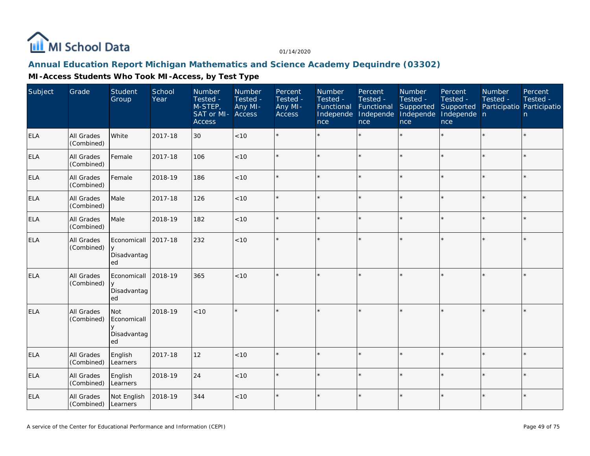

#### **Annual Education Report Michigan Mathematics and Science Academy Dequindre (03302)**

| Subject    | Grade                    | Student<br>Group                                  | School<br>Year | Number<br>Tested -<br>M-STEP,<br>SAT or MI-<br><b>Access</b> | Number<br>Tested -<br>Any MI-<br>Access | Percent<br>Tested -<br>Any MI-<br>Access | Number<br>Tested -<br>Functional<br>Independe<br>nce | Percent<br>Tested -<br>Functional<br>Independe<br>nce | Number<br>Tested -<br>Supported<br>Independe<br>nce | Percent<br>Tested -<br>Supported<br>Independe n<br>nce | <b>Number</b><br>Tested -<br>Participatio Participatio | Percent<br>Tested -<br>n |
|------------|--------------------------|---------------------------------------------------|----------------|--------------------------------------------------------------|-----------------------------------------|------------------------------------------|------------------------------------------------------|-------------------------------------------------------|-----------------------------------------------------|--------------------------------------------------------|--------------------------------------------------------|--------------------------|
| <b>ELA</b> | All Grades<br>(Combined) | White                                             | 2017-18        | 30                                                           | <10                                     | $\star$                                  |                                                      | $\star$                                               | $\star$                                             |                                                        |                                                        | $\star$                  |
| <b>ELA</b> | All Grades<br>(Combined) | Female                                            | 2017-18        | 106                                                          | < 10                                    | $\star$                                  |                                                      | $\star$                                               | ÷                                                   |                                                        |                                                        | $\star$                  |
| <b>ELA</b> | All Grades<br>(Combined) | Female                                            | 2018-19        | 186                                                          | <10                                     |                                          |                                                      | $\star$                                               |                                                     | $\star$                                                |                                                        | $\star$                  |
| <b>ELA</b> | All Grades<br>(Combined) | Male                                              | 2017-18        | 126                                                          | < 10                                    | $\star$                                  |                                                      | $\star$                                               |                                                     |                                                        |                                                        | $\star$                  |
| <b>ELA</b> | All Grades<br>(Combined) | Male                                              | 2018-19        | 182                                                          | < 10                                    |                                          |                                                      | $\star$                                               | ÷                                                   | ×.                                                     |                                                        | $\star$                  |
| <b>ELA</b> | All Grades<br>(Combined) | Economicall<br>$\vee$<br>Disadvantag<br>ed        | 2017-18        | 232                                                          | < 10                                    |                                          |                                                      | $\star$                                               |                                                     |                                                        |                                                        | $\star$                  |
| <b>ELA</b> | All Grades<br>(Combined) | Economicall<br>y<br>Disadvantag<br>ed             | 2018-19        | 365                                                          | < 10                                    | $\star$                                  |                                                      | $\star$                                               |                                                     |                                                        |                                                        | $\star$                  |
| <b>ELA</b> | All Grades<br>(Combined) | Not<br>Economicall<br>$\vee$<br>Disadvantag<br>ed | 2018-19        | $<10$                                                        |                                         | $\star$                                  |                                                      | $\star$                                               |                                                     |                                                        |                                                        | $\star$                  |
| <b>ELA</b> | All Grades<br>(Combined) | English<br>Learners                               | 2017-18        | 12                                                           | < 10                                    | $\star$                                  |                                                      | $\star$                                               |                                                     |                                                        |                                                        | $\star$                  |
| <b>ELA</b> | All Grades<br>(Combined) | English<br>Learners                               | 2018-19        | 24                                                           | < 10                                    |                                          |                                                      | $\star$                                               | $\star$                                             |                                                        |                                                        | $\star$                  |
| <b>ELA</b> | All Grades<br>(Combined) | Not English<br>Learners                           | 2018-19        | 344                                                          | < 10                                    | $\star$                                  |                                                      | $\star$                                               |                                                     |                                                        |                                                        | $\star$                  |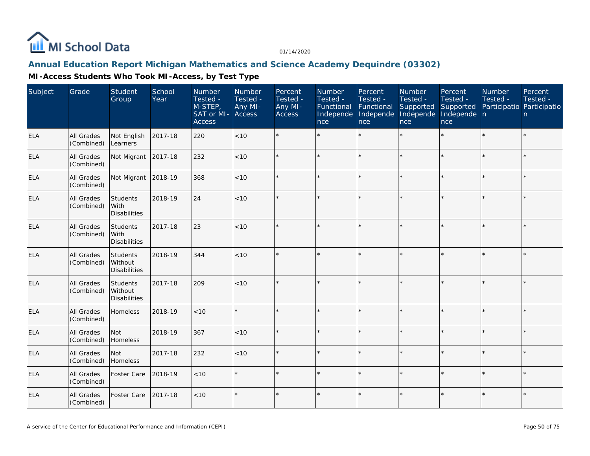

#### **Annual Education Report Michigan Mathematics and Science Academy Dequindre (03302)**

| Subject    | Grade                           | Student<br>Group                                  | School<br>Year | Number<br>Tested -<br>M-STEP,<br>SAT or MI- Access<br><b>Access</b> | Number<br>Tested -<br>Any MI- | Percent<br>Tested -<br>Any MI-<br><b>Access</b> | Number<br>Tested -<br>Functional<br>Independe<br>nce | Percent<br>Tested -<br>Functional<br>Independe<br>nce | Number<br>Tested -<br>Supported<br>Independe<br>nce | Percent<br>Tested -<br>Supported<br>Independe n<br>nce | Number<br>Tested -<br>Participatio Participatio | Percent<br>Tested -<br>n |
|------------|---------------------------------|---------------------------------------------------|----------------|---------------------------------------------------------------------|-------------------------------|-------------------------------------------------|------------------------------------------------------|-------------------------------------------------------|-----------------------------------------------------|--------------------------------------------------------|-------------------------------------------------|--------------------------|
| <b>ELA</b> | <b>All Grades</b><br>(Combined) | Not English<br>Learners                           | 2017-18        | 220                                                                 | <10                           |                                                 |                                                      | $\star$                                               | $\star$                                             |                                                        |                                                 | $\star$                  |
| <b>ELA</b> | All Grades<br>(Combined)        | Not Migrant                                       | 2017-18        | 232                                                                 | < 10                          | ÷                                               |                                                      | $\star$                                               | ÷                                                   |                                                        |                                                 | $\star$                  |
| <b>ELA</b> | All Grades<br>(Combined)        | Not Migrant                                       | 2018-19        | 368                                                                 | < 10                          |                                                 |                                                      | $\star$                                               | ÷                                                   |                                                        |                                                 | $\star$                  |
| <b>ELA</b> | All Grades<br>(Combined)        | <b>Students</b><br>With<br>Disabilities           | 2018-19        | 24                                                                  | < 10                          |                                                 |                                                      | $\star$                                               |                                                     |                                                        |                                                 | $\star$                  |
| ELA        | <b>All Grades</b><br>(Combined) | <b>Students</b><br>With<br><b>Disabilities</b>    | 2017-18        | 23                                                                  | < 10                          |                                                 |                                                      | $\star$                                               |                                                     |                                                        |                                                 | $\star$                  |
| <b>ELA</b> | All Grades<br>(Combined)        | Students<br>Without<br><b>Disabilities</b>        | 2018-19        | 344                                                                 | < 10                          | ÷                                               |                                                      | $\star$                                               |                                                     |                                                        | $\star$                                         | $\star$                  |
| <b>ELA</b> | All Grades<br>(Combined)        | <b>Students</b><br>Without<br><b>Disabilities</b> | 2017-18        | 209                                                                 | < 10                          |                                                 |                                                      | $\star$                                               | ×                                                   |                                                        |                                                 | ¥.                       |
| ELA        | <b>All Grades</b><br>(Combined) | Homeless                                          | 2018-19        | < 10                                                                | $\star$                       | ÷                                               |                                                      | $\star$                                               | ×                                                   |                                                        | $\star$                                         | $\star$                  |
| <b>ELA</b> | All Grades<br>(Combined)        | Not<br>Homeless                                   | 2018-19        | 367                                                                 | < 10                          |                                                 |                                                      | $\star$                                               |                                                     |                                                        |                                                 | $\star$                  |
| <b>ELA</b> | All Grades<br>(Combined)        | l Not<br>Homeless                                 | 2017-18        | 232                                                                 | < 10                          | $\star$                                         |                                                      | $\star$                                               | $\star$                                             |                                                        |                                                 | $\star$                  |
| <b>ELA</b> | All Grades<br>(Combined)        | Foster Care                                       | 2018-19        | $<10$                                                               |                               |                                                 |                                                      | $\star$                                               |                                                     |                                                        |                                                 | ¥.                       |
| <b>ELA</b> | All Grades<br>(Combined)        | Foster Care                                       | 2017-18        | $<10$                                                               | $\star$                       | $\star$                                         |                                                      | $\star$                                               | $\star$                                             |                                                        |                                                 | $\star$                  |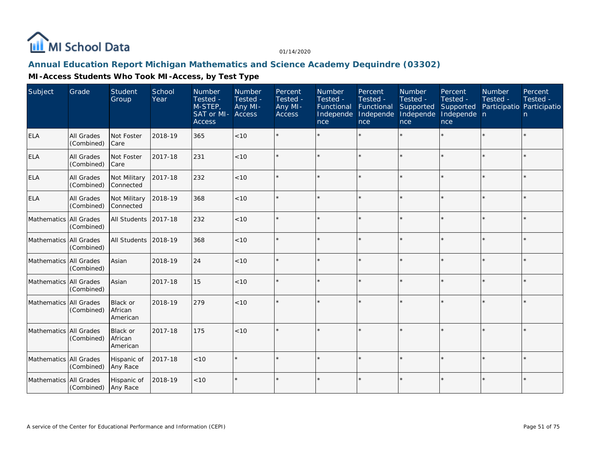

## **Annual Education Report Michigan Mathematics and Science Academy Dequindre (03302)**

| Subject                  | Grade                           | <b>Student</b><br>Group         | School<br>Year | Number<br>Tested -<br>M-STEP,<br>SAT or MI-<br><b>Access</b> | Number<br>Tested -<br>Any MI-<br>Access | Percent<br>Tested -<br>Any MI-<br>Access | Number<br>Tested -<br>Functional<br>Independe<br>nce | Percent<br>Tested -<br>Functional<br>Independe<br>nce | Number<br>Tested -<br>Supported<br>Independe<br>nce | Percent<br>Tested -<br>Supported<br>Independe n<br>nce | Number<br>Tested -<br>Participatio Participatio | Percent<br>Tested -<br>n. |
|--------------------------|---------------------------------|---------------------------------|----------------|--------------------------------------------------------------|-----------------------------------------|------------------------------------------|------------------------------------------------------|-------------------------------------------------------|-----------------------------------------------------|--------------------------------------------------------|-------------------------------------------------|---------------------------|
| <b>ELA</b>               | All Grades<br>(Combined)        | Not Foster<br>Care              | 2018-19        | 365                                                          | < 10                                    |                                          |                                                      |                                                       |                                                     |                                                        |                                                 | $\star$                   |
| <b>ELA</b>               | All Grades<br>(Combined)        | Not Foster<br>Care              | 2017-18        | 231                                                          | < 10                                    |                                          |                                                      | $\star$                                               |                                                     |                                                        |                                                 | $\star$                   |
| <b>ELA</b>               | <b>All Grades</b><br>(Combined) | Not Military<br>Connected       | 2017-18        | 232                                                          | < 10                                    | $\star$                                  |                                                      | $\star$                                               |                                                     |                                                        |                                                 | $\star$                   |
| <b>ELA</b>               | All Grades<br>(Combined)        | Not Military<br>Connected       | 2018-19        | 368                                                          | < 10                                    | $\star$                                  |                                                      | $\star$                                               | ÷                                                   |                                                        | $\star$                                         | $\star$                   |
| Mathematics   All Grades | (Combined)                      | All Students                    | 2017-18        | 232                                                          | < 10                                    | $\star$                                  |                                                      | $\star$                                               | ÷                                                   |                                                        | $\star$                                         | $\star$                   |
| Mathematics All Grades   | (Combined)                      | All Students                    | 2018-19        | 368                                                          | < 10                                    | $\star$                                  |                                                      | $\star$                                               |                                                     |                                                        |                                                 | $\star$                   |
| Mathematics All Grades   | (Combined)                      | Asian                           | 2018-19        | 24                                                           | < 10                                    | $\star$                                  |                                                      |                                                       |                                                     |                                                        |                                                 | $\star$                   |
| Mathematics All Grades   | (Combined)                      | Asian                           | 2017-18        | 15                                                           | < 10                                    | $\star$                                  |                                                      | $\star$                                               |                                                     |                                                        |                                                 | $\star$                   |
| Mathematics All Grades   | (Combined)                      | Black or<br>African<br>American | 2018-19        | 279                                                          | < 10                                    |                                          |                                                      |                                                       |                                                     |                                                        |                                                 | $\star$                   |
| Mathematics All Grades   | (Combined)                      | Black or<br>African<br>American | 2017-18        | 175                                                          | < 10                                    |                                          |                                                      |                                                       |                                                     |                                                        |                                                 | $\star$                   |
| Mathematics All Grades   | (Combined)                      | Hispanic of<br>Any Race         | 2017-18        | < 10                                                         |                                         |                                          |                                                      | $\star$                                               |                                                     |                                                        | $\star$                                         | $\star$                   |
| Mathematics All Grades   | (Combined)                      | Hispanic of<br>Any Race         | 2018-19        | $<10$                                                        |                                         | $\star$                                  |                                                      | $\star$                                               |                                                     |                                                        |                                                 | $\star$                   |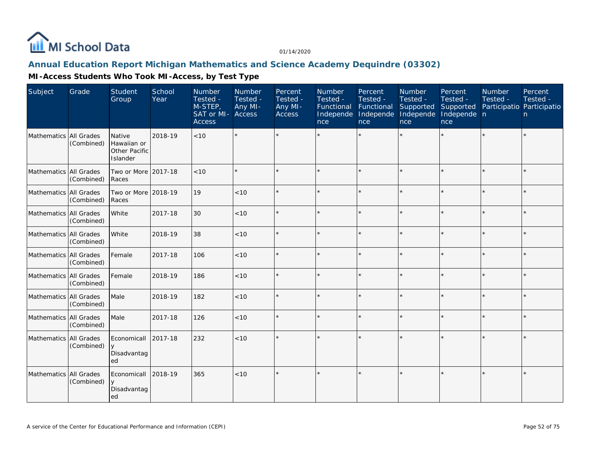

#### **Annual Education Report Michigan Mathematics and Science Academy Dequindre (03302)**

| Subject                | Grade      | Student<br>Group                                   | School<br>Year | Number<br>Tested -<br>M-STEP,<br>SAT or MI-<br><b>Access</b> | Number<br>Tested -<br>Any MI-<br><b>Access</b> | Percent<br>Tested -<br>Any MI-<br><b>Access</b> | <b>Number</b><br>Tested -<br>Functional<br>Independe<br>nce | Percent<br>Tested -<br>Functional<br>Independe<br>nce | <b>Number</b><br>Tested -<br>Supported<br>Independe<br>nce | Percent<br>Tested -<br>Supported<br>Independe n<br>nce | <b>Number</b><br>Tested -<br>Participatio Participatio | Percent<br>Tested -<br>n |
|------------------------|------------|----------------------------------------------------|----------------|--------------------------------------------------------------|------------------------------------------------|-------------------------------------------------|-------------------------------------------------------------|-------------------------------------------------------|------------------------------------------------------------|--------------------------------------------------------|--------------------------------------------------------|--------------------------|
| Mathematics All Grades | (Combined) | Native<br>Hawaiian or<br>Other Pacific<br>Islander | 2018-19        | < 10                                                         | $\star$                                        |                                                 |                                                             |                                                       |                                                            |                                                        |                                                        | $\star$                  |
| Mathematics All Grades | (Combined) | Two or More 2017-18<br>Races                       |                | < 10                                                         | $\star$                                        |                                                 |                                                             | $\star$                                               | ÷                                                          | $\star$                                                | $\star$                                                | $\star$                  |
| Mathematics All Grades | (Combined) | Two or More 2018-19<br>Races                       |                | 19                                                           | $<10$                                          |                                                 |                                                             | $\star$                                               |                                                            | $\star$                                                |                                                        | $\star$                  |
| Mathematics All Grades | (Combined) | White                                              | 2017-18        | 30                                                           | < 10                                           |                                                 |                                                             | $\star$                                               |                                                            | $\star$                                                | $\star$                                                | $\star$                  |
| Mathematics All Grades | (Combined) | White                                              | 2018-19        | 38                                                           | $<10$                                          |                                                 |                                                             | $\star$                                               |                                                            | ×.                                                     |                                                        | $\star$                  |
| Mathematics All Grades | (Combined) | Female                                             | 2017-18        | 106                                                          | < 10                                           |                                                 |                                                             | $\star$                                               |                                                            | ×.                                                     |                                                        | $\star$                  |
| Mathematics All Grades | (Combined) | Female                                             | 2018-19        | 186                                                          | $<10$                                          |                                                 |                                                             | $\star$                                               |                                                            |                                                        |                                                        | $\star$                  |
| Mathematics All Grades | (Combined) | Male                                               | 2018-19        | 182                                                          | < 10                                           |                                                 |                                                             | $\star$                                               |                                                            | ×.                                                     |                                                        | $\star$                  |
| Mathematics All Grades | (Combined) | Male                                               | 2017-18        | 126                                                          | < 10                                           |                                                 |                                                             | $\star$                                               | ÷                                                          | $\star$                                                |                                                        | ÷.                       |
| Mathematics All Grades | (Combined) | Economicall<br>Disadvantag<br>ed                   | 2017-18        | 232                                                          | < 10                                           |                                                 |                                                             | $\star$                                               | ÷                                                          | $\star$                                                |                                                        | $\star$                  |
| Mathematics All Grades | (Combined) | Economicall<br>y<br>Disadvantag<br>ed              | 2018-19        | 365                                                          | < 10                                           |                                                 |                                                             | $\star$                                               |                                                            | $\star$                                                | $\star$                                                | $\star$                  |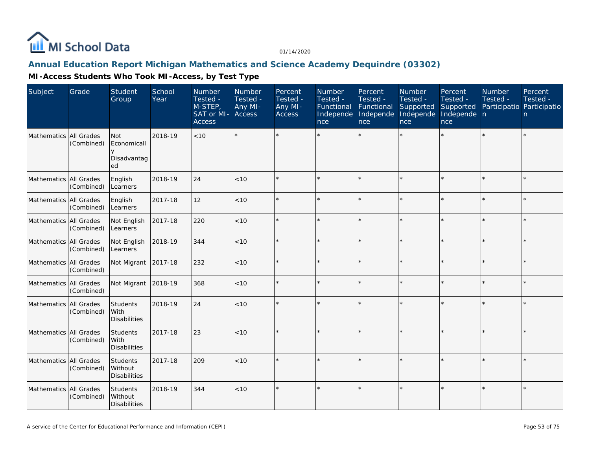

## **Annual Education Report Michigan Mathematics and Science Academy Dequindre (03302)**

| Subject                | Grade      | Student<br>Group                                    | School<br>Year | Number<br>Tested -<br>M-STEP,<br><b>SAT</b> or MI- Access<br><b>Access</b> | Number<br>Tested -<br>Any MI- | Percent<br>Tested -<br>Any MI-<br>Access | Number<br>Tested -<br>Functional<br>Independe<br>nce | Percent<br>Tested -<br>Functional<br>Independe<br>nce | Number<br>Tested -<br>Supported<br>Independe<br>nce | Percent<br>Tested -<br>Supported<br>Independe n<br>nce | Number<br>Tested -<br>Participatio Participatio | Percent<br>Tested -<br>n. |
|------------------------|------------|-----------------------------------------------------|----------------|----------------------------------------------------------------------------|-------------------------------|------------------------------------------|------------------------------------------------------|-------------------------------------------------------|-----------------------------------------------------|--------------------------------------------------------|-------------------------------------------------|---------------------------|
| Mathematics All Grades | (Combined) | <b>Not</b><br>Economicall<br>y<br>Disadvantag<br>ed | 2018-19        | $<10$                                                                      |                               |                                          |                                                      |                                                       |                                                     |                                                        |                                                 | $\star$                   |
| Mathematics All Grades | (Combined) | English<br>Learners                                 | 2018-19        | 24                                                                         | < 10                          |                                          |                                                      |                                                       |                                                     |                                                        |                                                 | $\star$                   |
| Mathematics All Grades | (Combined) | English<br>Learners                                 | 2017-18        | 12                                                                         | < 10                          | $\star$                                  |                                                      | $\star$                                               |                                                     |                                                        |                                                 | $\star$                   |
| Mathematics All Grades | (Combined) | Not English<br>Learners                             | 2017-18        | 220                                                                        | < 10                          |                                          |                                                      |                                                       |                                                     |                                                        |                                                 | $\star$                   |
| Mathematics All Grades | (Combined) | Not English<br>Learners                             | 2018-19        | 344                                                                        | < 10                          | $\star$                                  |                                                      | $\star$                                               |                                                     |                                                        |                                                 | $\star$                   |
| Mathematics All Grades | (Combined) | Not Migrant                                         | 2017-18        | 232                                                                        | < 10                          |                                          |                                                      | $\star$                                               | ý,                                                  |                                                        |                                                 | $\star$                   |
| Mathematics All Grades | (Combined) | Not Migrant                                         | 2018-19        | 368                                                                        | < 10                          |                                          |                                                      | $\star$                                               |                                                     |                                                        |                                                 | $\star$                   |
| Mathematics All Grades | (Combined) | Students<br>With<br><b>Disabilities</b>             | 2018-19        | 24                                                                         | < 10                          |                                          |                                                      |                                                       |                                                     |                                                        |                                                 | $\star$                   |
| Mathematics All Grades | (Combined) | Students<br>With<br><b>Disabilities</b>             | 2017-18        | 23                                                                         | < 10                          |                                          |                                                      |                                                       |                                                     |                                                        |                                                 | $\star$                   |
| Mathematics All Grades | (Combined) | <b>Students</b><br>Without<br><b>Disabilities</b>   | 2017-18        | 209                                                                        | < 10                          |                                          |                                                      |                                                       |                                                     |                                                        |                                                 | k.                        |
| Mathematics All Grades | (Combined) | Students<br>Without<br><b>Disabilities</b>          | 2018-19        | 344                                                                        | < 10                          | $\star$                                  |                                                      | $\star$                                               |                                                     |                                                        |                                                 | $\star$                   |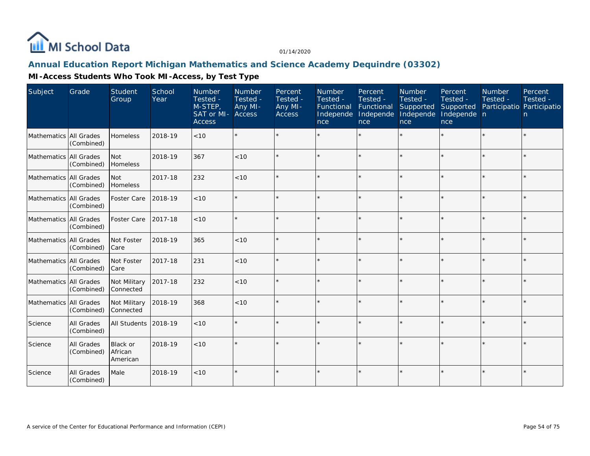

#### **Annual Education Report Michigan Mathematics and Science Academy Dequindre (03302)**

| Subject                | Grade                           | Student<br>Group                | School<br>Year | Number<br>Tested -<br>M-STEP,<br>SAT or MI- Access<br><b>Access</b> | <b>Number</b><br>Tested -<br>Any MI- | Percent<br>Tested -<br>Any MI-<br><b>Access</b> | <b>Number</b><br>Tested -<br>Functional<br>Independe<br>nce | Percent<br>Tested -<br>Functional<br>Independe<br><b>nce</b> | Number<br>Tested -<br>Supported<br>Independe<br>nce | Percent<br>Tested -<br>Supported<br>Independe n<br>nce | <b>Number</b><br>Tested -<br>Participatio Participatio | Percent<br>Tested -<br>n. |
|------------------------|---------------------------------|---------------------------------|----------------|---------------------------------------------------------------------|--------------------------------------|-------------------------------------------------|-------------------------------------------------------------|--------------------------------------------------------------|-----------------------------------------------------|--------------------------------------------------------|--------------------------------------------------------|---------------------------|
| Mathematics All Grades | (Combined)                      | Homeless                        | 2018-19        | < 10                                                                |                                      |                                                 |                                                             |                                                              |                                                     |                                                        |                                                        | $\star$                   |
| Mathematics All Grades | (Combined)                      | <b>Not</b><br>Homeless          | 2018-19        | 367                                                                 | < 10                                 | $\star$                                         |                                                             | $\star$                                                      |                                                     | ×.                                                     |                                                        | $\star$                   |
| Mathematics All Grades | (Combined)                      | Not<br>Homeless                 | 2017-18        | 232                                                                 | < 10                                 |                                                 |                                                             | $\star$                                                      | ý,                                                  |                                                        | $\star$                                                | $\star$                   |
| Mathematics All Grades | (Combined)                      | Foster Care                     | 2018-19        | < 10                                                                |                                      | $\star$                                         |                                                             | $\star$                                                      |                                                     |                                                        |                                                        | $\star$                   |
| Mathematics All Grades | (Combined)                      | Foster Care                     | 2017-18        | $<10$                                                               |                                      |                                                 |                                                             | $\star$                                                      | ÷                                                   |                                                        |                                                        | $\star$                   |
| Mathematics All Grades | (Combined)                      | Not Foster<br>Care              | 2018-19        | 365                                                                 | < 10                                 | $\star$                                         |                                                             | $\star$                                                      |                                                     |                                                        |                                                        | $\star$                   |
| Mathematics All Grades | (Combined)                      | Not Foster<br>Care              | 2017-18        | 231                                                                 | < 10                                 |                                                 |                                                             | $\star$                                                      | ÷                                                   |                                                        |                                                        | $\star$                   |
| Mathematics All Grades | (Combined)                      | Not Military<br>Connected       | 2017-18        | 232                                                                 | < 10                                 |                                                 |                                                             | $\star$                                                      |                                                     |                                                        |                                                        | $\star$                   |
| Mathematics All Grades | (Combined)                      | Not Military<br>Connected       | 2018-19        | 368                                                                 | < 10                                 | $\star$                                         |                                                             | $\star$                                                      |                                                     |                                                        | $\star$                                                | $\star$                   |
| Science                | <b>All Grades</b><br>(Combined) | All Students                    | 2018-19        | $<10$                                                               |                                      |                                                 |                                                             | $\star$                                                      |                                                     |                                                        |                                                        | $\star$                   |
| Science                | <b>All Grades</b><br>(Combined) | Black or<br>African<br>American | 2018-19        | < 10                                                                |                                      |                                                 |                                                             |                                                              |                                                     |                                                        |                                                        | ÷.                        |
| Science                | All Grades<br>(Combined)        | Male                            | 2018-19        | < 10                                                                |                                      |                                                 |                                                             |                                                              |                                                     |                                                        |                                                        | ¥                         |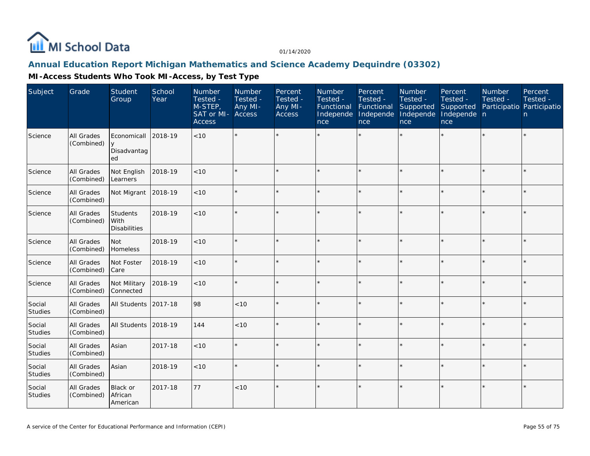

## **Annual Education Report Michigan Mathematics and Science Academy Dequindre (03302)**

| Subject                  | Grade                           | Student<br>Group                        | School<br>Year | Number<br>Tested -<br>M-STEP,<br>SAT or MI-<br><b>Access</b> | Number<br>Tested -<br>Any MI-<br>Access | Percent<br>Tested -<br>Any MI-<br><b>Access</b> | Number<br>Tested -<br>Functional<br>Independe<br>nce | Percent<br>Tested -<br>Functional<br>Independe<br>nce | Number<br>Tested -<br>Supported<br>Independe<br>nce | Percent<br>Tested -<br>Supported<br>Independe n<br>nce | Number<br>Tested - | Percent<br>Tested -<br>Participatio Participatio<br>n. |
|--------------------------|---------------------------------|-----------------------------------------|----------------|--------------------------------------------------------------|-----------------------------------------|-------------------------------------------------|------------------------------------------------------|-------------------------------------------------------|-----------------------------------------------------|--------------------------------------------------------|--------------------|--------------------------------------------------------|
| Science                  | All Grades<br>(Combined)        | Economicall<br>Disadvantag<br>ed        | 2018-19        | < 10                                                         | $\star$                                 |                                                 |                                                      |                                                       |                                                     |                                                        |                    | $\star$                                                |
| Science                  | All Grades<br>(Combined)        | Not English<br>Learners                 | 2018-19        | < 10                                                         | $\star$                                 |                                                 |                                                      | $\star$                                               |                                                     | $\star$                                                |                    | $\star$                                                |
| Science                  | All Grades<br>(Combined)        | Not Migrant                             | 2018-19        | < 10                                                         | $\star$                                 |                                                 |                                                      |                                                       |                                                     | $\star$                                                |                    | $\star$                                                |
| Science                  | All Grades<br>(Combined)        | Students<br>With<br><b>Disabilities</b> | 2018-19        | < 10                                                         | $\star$                                 |                                                 |                                                      |                                                       |                                                     |                                                        |                    | $\star$                                                |
| Science                  | All Grades<br>(Combined)        | <b>Not</b><br>Homeless                  | 2018-19        | < 10                                                         | $\star$                                 |                                                 |                                                      | $\star$                                               |                                                     | $\star$                                                | $\star$            | $\star$                                                |
| Science                  | <b>All Grades</b><br>(Combined) | Not Foster<br>Care                      | 2018-19        | < 10                                                         | $\star$                                 |                                                 |                                                      | $\star$                                               |                                                     | ×.                                                     |                    | $\star$                                                |
| Science                  | All Grades<br>(Combined)        | Not Military<br>Connected               | 2018-19        | < 10                                                         | $\star$                                 |                                                 |                                                      | $\star$                                               |                                                     | $\star$                                                |                    | $\star$                                                |
| Social<br><b>Studies</b> | All Grades<br>(Combined)        | All Students 2017-18                    |                | 98                                                           | < 10                                    |                                                 |                                                      |                                                       |                                                     | $\star$                                                | $\star$            | $\star$                                                |
| Social<br>Studies        | All Grades<br>(Combined)        | All Students 2018-19                    |                | 144                                                          | < 10                                    |                                                 |                                                      | $\star$                                               |                                                     |                                                        |                    | $\star$                                                |
| Social<br><b>Studies</b> | All Grades<br>(Combined)        | Asian                                   | 2017-18        | < 10                                                         | $\star$                                 |                                                 |                                                      | $\star$                                               |                                                     | ×.                                                     | $\star$            | $\star$                                                |
| Social<br><b>Studies</b> | All Grades<br>(Combined)        | Asian                                   | 2018-19        | $<10$                                                        | $\star$                                 |                                                 |                                                      | $\star$                                               |                                                     | ×.                                                     |                    | $\star$                                                |
| Social<br>Studies        | <b>All Grades</b><br>(Combined) | <b>Black or</b><br>African<br>American  | 2017-18        | 77                                                           | < 10                                    |                                                 |                                                      | $\star$                                               |                                                     | $\star$                                                |                    | $\star$                                                |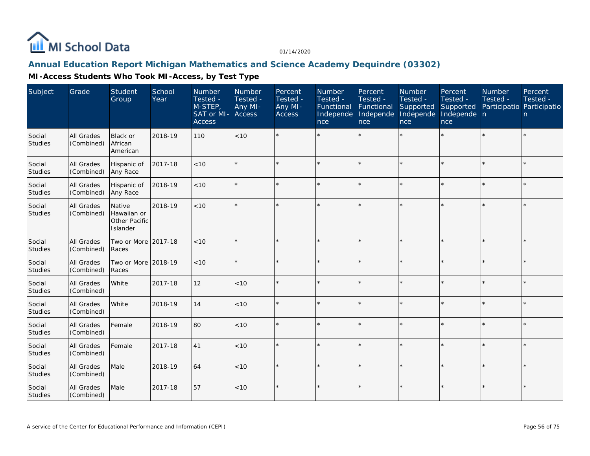

#### **Annual Education Report Michigan Mathematics and Science Academy Dequindre (03302)**

| Subject                  | Grade                           | Student<br>Group                                          | School<br>Year | <b>Number</b><br>Tested -<br>M-STEP,<br>SAT or MI-<br><b>Access</b> | Number<br>Tested -<br>Any MI-<br>Access | Percent<br>Tested -<br>Any MI-<br><b>Access</b> | <b>Number</b><br>Tested -<br>Functional<br>Independe<br>nce | Percent<br>Tested -<br>Functional<br>Independe<br>nce | Number<br>Tested -<br>Supported<br>Independe<br>nce | Percent<br>Tested -<br>Supported<br>Independe n<br>nce | <b>Number</b><br>Tested -<br>Participatio Participatio | Percent<br>Tested -<br>n |
|--------------------------|---------------------------------|-----------------------------------------------------------|----------------|---------------------------------------------------------------------|-----------------------------------------|-------------------------------------------------|-------------------------------------------------------------|-------------------------------------------------------|-----------------------------------------------------|--------------------------------------------------------|--------------------------------------------------------|--------------------------|
| Social<br>Studies        | All Grades<br>(Combined)        | Black or<br>African<br>American                           | 2018-19        | 110                                                                 | < 10                                    |                                                 |                                                             | $\star$                                               |                                                     |                                                        |                                                        | $\star$                  |
| Social<br><b>Studies</b> | All Grades<br>(Combined)        | Hispanic of<br>Any Race                                   | 2017-18        | < 10                                                                |                                         |                                                 |                                                             |                                                       |                                                     |                                                        |                                                        | $\star$                  |
| Social<br>Studies        | All Grades<br>(Combined)        | Hispanic of<br>Any Race                                   | 2018-19        | < 10                                                                |                                         |                                                 |                                                             | $\star$                                               |                                                     |                                                        |                                                        | $\star$                  |
| Social<br>Studies        | All Grades<br>(Combined)        | Native<br>Hawaiian or<br><b>Other Pacific</b><br>Islander | 2018-19        | < 10                                                                |                                         |                                                 |                                                             |                                                       |                                                     |                                                        |                                                        | $\star$                  |
| Social<br>Studies        | <b>All Grades</b><br>(Combined) | Two or More<br>Races                                      | 2017-18        | < 10                                                                |                                         |                                                 |                                                             | $\star$                                               |                                                     |                                                        |                                                        | $\star$                  |
| Social<br>Studies        | All Grades<br>(Combined)        | Two or More<br>Races                                      | 2018-19        | < 10                                                                |                                         | $\star$                                         |                                                             | $\star$                                               |                                                     |                                                        |                                                        | $\star$                  |
| Social<br>Studies        | All Grades<br>(Combined)        | White                                                     | 2017-18        | 12                                                                  | < 10                                    |                                                 |                                                             | $\star$                                               |                                                     |                                                        |                                                        | $\star$                  |
| Social<br>Studies        | All Grades<br>(Combined)        | White                                                     | 2018-19        | 14                                                                  | < 10                                    |                                                 |                                                             | $\star$                                               | ý,                                                  |                                                        |                                                        | $\star$                  |
| Social<br>Studies        | <b>All Grades</b><br>(Combined) | Female                                                    | 2018-19        | 80                                                                  | < 10                                    |                                                 |                                                             | $\star$                                               | ÷                                                   |                                                        |                                                        | $\star$                  |
| Social<br>Studies        | <b>All Grades</b><br>(Combined) | Female                                                    | 2017-18        | 41                                                                  | < 10                                    | $\star$                                         |                                                             | $\star$                                               | $\star$                                             |                                                        |                                                        | $\star$                  |
| Social<br>Studies        | <b>All Grades</b><br>(Combined) | Male                                                      | 2018-19        | 64                                                                  | < 10                                    |                                                 |                                                             |                                                       | ý,                                                  |                                                        |                                                        | $\star$                  |
| Social<br>Studies        | All Grades<br>(Combined)        | Male                                                      | 2017-18        | 57                                                                  | < 10                                    |                                                 |                                                             |                                                       |                                                     |                                                        |                                                        | $\star$                  |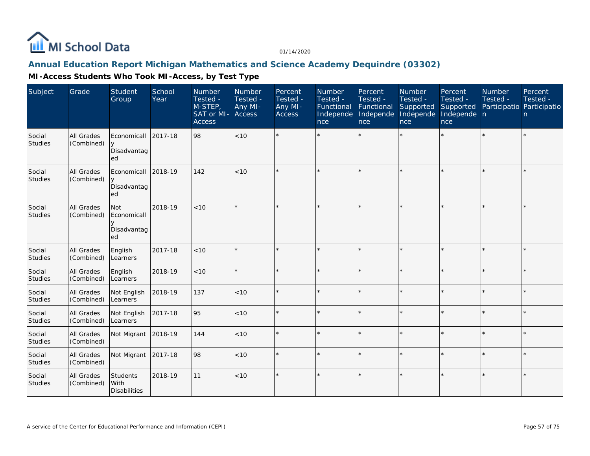

## **Annual Education Report Michigan Mathematics and Science Academy Dequindre (03302)**

| Subject           | Grade                    | <b>Student</b><br>Group                 | School<br>Year | Number<br>Tested -<br>M-STEP,<br>SAT or MI-<br><b>Access</b> | Number<br>Tested -<br>Any MI-<br>Access | Percent<br>Tested -<br>Any MI-<br>Access | Number<br>Tested -<br>Functional<br>Independe<br>nce | Percent<br>Tested -<br>Functional<br>Independe<br>nce | Number<br>Tested -<br>Supported<br>Independe<br>nce <sub>1</sub> | Percent<br>Tested -<br>Supported<br>Independe n<br>nce | Number<br>Tested -<br>Participatio Participatio | Percent<br>Tested -<br>n. |
|-------------------|--------------------------|-----------------------------------------|----------------|--------------------------------------------------------------|-----------------------------------------|------------------------------------------|------------------------------------------------------|-------------------------------------------------------|------------------------------------------------------------------|--------------------------------------------------------|-------------------------------------------------|---------------------------|
| Social<br>Studies | All Grades<br>(Combined) | Economicall<br>y<br>Disadvantag<br>ed   | 2017-18        | 98                                                           | < 10                                    |                                          |                                                      |                                                       |                                                                  |                                                        |                                                 | $\star$                   |
| Social<br>Studies | All Grades<br>(Combined) | Economicall<br>y<br>Disadvantag<br>ed   | 2018-19        | 142                                                          | < 10                                    |                                          |                                                      |                                                       |                                                                  |                                                        |                                                 | $\star$                   |
| Social<br>Studies | All Grades<br>(Combined) | Not<br>Economicall<br>Disadvantag<br>ed | 2018-19        | < 10                                                         |                                         |                                          |                                                      |                                                       |                                                                  |                                                        |                                                 | ÷.                        |
| Social<br>Studies | All Grades<br>(Combined) | English<br>Learners                     | 2017-18        | < 10                                                         |                                         |                                          |                                                      |                                                       |                                                                  |                                                        |                                                 | $\star$                   |
| Social<br>Studies | All Grades<br>(Combined) | English<br>Learners                     | 2018-19        | < 10                                                         |                                         |                                          |                                                      |                                                       |                                                                  |                                                        |                                                 | $\star$                   |
| Social<br>Studies | All Grades<br>(Combined) | Not English<br>Learners                 | 2018-19        | 137                                                          | < 10                                    |                                          |                                                      |                                                       |                                                                  | $\star$                                                |                                                 | $\star$                   |
| Social<br>Studies | All Grades<br>(Combined) | Not English<br>Learners                 | 2017-18        | 95                                                           | < 10                                    |                                          |                                                      |                                                       |                                                                  | $\star$                                                |                                                 | $\star$                   |
| Social<br>Studies | All Grades<br>(Combined) | Not Migrant                             | 2018-19        | 144                                                          | < 10                                    | $\star$                                  |                                                      |                                                       |                                                                  | ×.                                                     |                                                 | $\star$                   |
| Social<br>Studies | All Grades<br>(Combined) | Not Migrant                             | 2017-18        | 98                                                           | $<10$                                   |                                          |                                                      |                                                       |                                                                  |                                                        |                                                 | $\star$                   |
| Social<br>Studies | All Grades<br>(Combined) | Students<br>With<br><b>Disabilities</b> | 2018-19        | 11                                                           | < 10                                    |                                          |                                                      |                                                       |                                                                  |                                                        |                                                 | $\star$                   |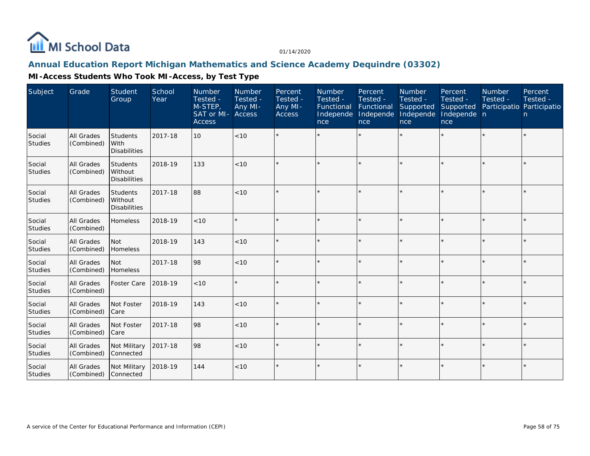

## **Annual Education Report Michigan Mathematics and Science Academy Dequindre (03302)**

| Subject                  | Grade                           | <b>Student</b><br>Group                           | School<br>Year | Number<br>Tested -<br>M-STEP,<br>SAT or MI- Access<br><b>Access</b> | Number<br>Tested -<br>Any MI- | Percent<br>Tested -<br>Any MI-<br><b>Access</b> | Number<br>Tested -<br>Functional<br>Independe<br>nce | Percent<br>Tested -<br>Functional<br>Independe<br>nce | Number<br>Tested -<br>Supported<br>Independe<br>nce | Percent<br>Tested -<br>Supported<br>Independe n<br>nce | Number<br>Tested -<br>Participatio Participatio | Percent<br>Tested -<br>n |
|--------------------------|---------------------------------|---------------------------------------------------|----------------|---------------------------------------------------------------------|-------------------------------|-------------------------------------------------|------------------------------------------------------|-------------------------------------------------------|-----------------------------------------------------|--------------------------------------------------------|-------------------------------------------------|--------------------------|
| Social<br><b>Studies</b> | All Grades<br>(Combined)        | Students<br>With<br><b>Disabilities</b>           | 2017-18        | 10                                                                  | < 10                          |                                                 |                                                      | $\star$                                               |                                                     |                                                        |                                                 | $\star$                  |
| Social<br><b>Studies</b> | All Grades<br>(Combined)        | Students<br>Without<br><b>Disabilities</b>        | 2018-19        | 133                                                                 | < 10                          | ÷                                               |                                                      | $\star$                                               |                                                     |                                                        |                                                 | $\star$                  |
| Social<br><b>Studies</b> | <b>All Grades</b><br>(Combined) | <b>Students</b><br>Without<br><b>Disabilities</b> | 2017-18        | 88                                                                  | < 10                          |                                                 |                                                      | $\star$                                               |                                                     |                                                        |                                                 | ¥.                       |
| Social<br>Studies        | <b>All Grades</b><br>(Combined) | Homeless                                          | 2018-19        | < 10                                                                | $\star$                       | $\star$                                         |                                                      | $\star$                                               |                                                     |                                                        | $\star$                                         | $\star$                  |
| Social<br>Studies        | All Grades<br>(Combined)        | <b>Not</b><br>Homeless                            | 2018-19        | 143                                                                 | < 10                          | $\star$                                         |                                                      | $\star$                                               |                                                     |                                                        |                                                 | $\star$                  |
| Social<br><b>Studies</b> | All Grades<br>(Combined)        | l Not<br>Homeless                                 | 2017-18        | 98                                                                  | < 10                          |                                                 |                                                      | $\star$                                               |                                                     |                                                        |                                                 | ¥.                       |
| Social<br><b>Studies</b> | All Grades<br>(Combined)        | Foster Care                                       | 2018-19        | < 10                                                                | $\star$                       |                                                 |                                                      | $\star$                                               | $\star$                                             |                                                        | $\star$                                         | $\star$                  |
| Social<br>Studies        | All Grades<br>(Combined)        | Not Foster<br>Care                                | 2018-19        | 143                                                                 | < 10                          | $\star$                                         |                                                      | $\star$                                               | ÷.                                                  |                                                        |                                                 | ¥.                       |
| Social<br>Studies        | All Grades<br>(Combined)        | Not Foster<br>Care                                | 2017-18        | 98                                                                  | < 10                          |                                                 |                                                      | $\star$                                               | ×                                                   |                                                        |                                                 | ÷.                       |
| Social<br><b>Studies</b> | All Grades<br>(Combined)        | Not Military<br>Connected                         | 2017-18        | 98                                                                  | < 10                          | $\star$                                         |                                                      | $\star$                                               |                                                     |                                                        |                                                 | $\star$                  |
| Social<br>Studies        | All Grades<br>(Combined)        | Not Military<br><b>Connected</b>                  | 2018-19        | 144                                                                 | < 10                          | $\star$                                         |                                                      | $\star$                                               | $\star$                                             |                                                        | $\star$                                         | $\star$                  |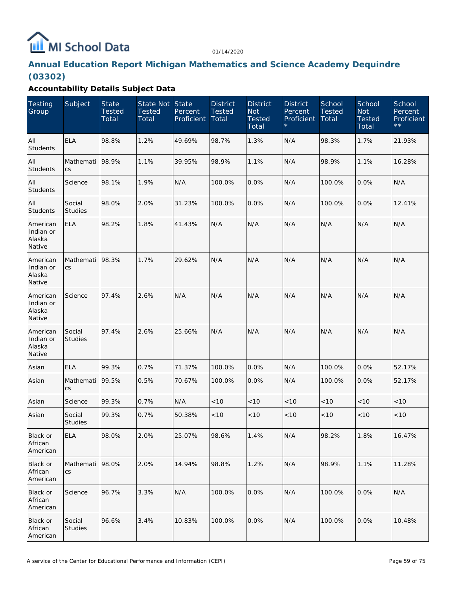# MI School Data

01/14/2020

# **Annual Education Report Michigan Mathematics and Science Academy Dequindre (03302)**

| <b>Testing</b><br>Group                   | Subject                  | <b>State</b><br><b>Tested</b><br>Total | State Not State<br><b>Tested</b><br>Total | Percent<br>Proficient | <b>District</b><br><b>Tested</b><br>Total | <b>District</b><br><b>Not</b><br><b>Tested</b><br>Total | <b>District</b><br>Percent<br>Proficient | School<br>Tested<br>Total | School<br><b>Not</b><br><b>Tested</b><br>Total | School<br>Percent<br>Proficient<br>$\star \star$ |
|-------------------------------------------|--------------------------|----------------------------------------|-------------------------------------------|-----------------------|-------------------------------------------|---------------------------------------------------------|------------------------------------------|---------------------------|------------------------------------------------|--------------------------------------------------|
| All<br>Students                           | <b>ELA</b>               | 98.8%                                  | 1.2%                                      | 49.69%                | 98.7%                                     | 1.3%                                                    | N/A                                      | 98.3%                     | 1.7%                                           | 21.93%                                           |
| All<br>Students                           | Mathemati<br>CS          | 98.9%                                  | 1.1%                                      | 39.95%                | 98.9%                                     | 1.1%                                                    | N/A                                      | 98.9%                     | 1.1%                                           | 16.28%                                           |
| All<br><b>Students</b>                    | Science                  | 98.1%                                  | 1.9%                                      | N/A                   | 100.0%                                    | 0.0%                                                    | N/A                                      | 100.0%                    | 0.0%                                           | N/A                                              |
| All<br><b>Students</b>                    | Social<br><b>Studies</b> | 98.0%                                  | 2.0%                                      | 31.23%                | 100.0%                                    | 0.0%                                                    | N/A                                      | 100.0%                    | 0.0%                                           | 12.41%                                           |
| American<br>Indian or<br>Alaska<br>Native | <b>ELA</b>               | 98.2%                                  | 1.8%                                      | 41.43%                | N/A                                       | N/A                                                     | N/A                                      | N/A                       | N/A                                            | N/A                                              |
| American<br>Indian or<br>Alaska<br>Native | Mathemati<br>CS          | 98.3%                                  | 1.7%                                      | 29.62%                | N/A                                       | N/A                                                     | N/A                                      | N/A                       | N/A                                            | N/A                                              |
| American<br>Indian or<br>Alaska<br>Native | Science                  | 97.4%                                  | 2.6%                                      | N/A                   | N/A                                       | N/A                                                     | N/A                                      | N/A                       | N/A                                            | N/A                                              |
| American<br>Indian or<br>Alaska<br>Native | Social<br><b>Studies</b> | 97.4%                                  | 2.6%                                      | 25.66%                | N/A                                       | N/A                                                     | N/A                                      | N/A                       | N/A                                            | N/A                                              |
| Asian                                     | <b>ELA</b>               | 99.3%                                  | 0.7%                                      | 71.37%                | 100.0%                                    | 0.0%                                                    | N/A                                      | 100.0%                    | $0.0\%$                                        | 52.17%                                           |
| Asian                                     | Mathemati<br>CS          | 99.5%                                  | 0.5%                                      | 70.67%                | 100.0%                                    | 0.0%                                                    | N/A                                      | 100.0%                    | $0.0\%$                                        | 52.17%                                           |
| Asian                                     | Science                  | 99.3%                                  | 0.7%                                      | N/A                   | < 10                                      | $<10$                                                   | < 10                                     | < 10                      | < 10                                           | $<10$                                            |
| Asian                                     | Social<br><b>Studies</b> | 99.3%                                  | 0.7%                                      | 50.38%                | < 10                                      | $<10$                                                   | $<10$                                    | $<10$                     | < 10                                           | $<10$                                            |
| Black or<br>African<br>American           | <b>ELA</b>               | 98.0%                                  | 2.0%                                      | 25.07%                | 98.6%                                     | 1.4%                                                    | N/A                                      | 98.2%                     | 1.8%                                           | 16.47%                                           |
| Black or<br>African<br>American           | Mathemati<br>CS          | 98.0%                                  | 2.0%                                      | 14.94%                | 98.8%                                     | 1.2%                                                    | N/A                                      | 98.9%                     | 1.1%                                           | 11.28%                                           |
| Black or<br>African<br>American           | Science                  | 96.7%                                  | 3.3%                                      | N/A                   | 100.0%                                    | 0.0%                                                    | N/A                                      | 100.0%                    | 0.0%                                           | N/A                                              |
| Black or<br>African<br>American           | Social<br>Studies        | 96.6%                                  | 3.4%                                      | 10.83%                | 100.0%                                    | 0.0%                                                    | N/A                                      | 100.0%                    | 0.0%                                           | 10.48%                                           |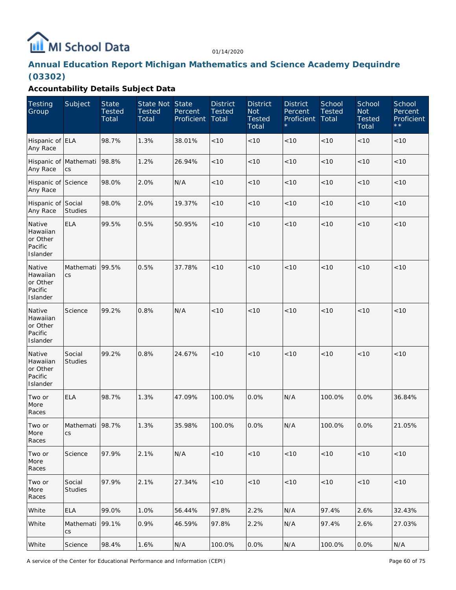

# **Annual Education Report Michigan Mathematics and Science Academy Dequindre (03302)**

| <b>Testing</b><br>Group                               | Subject                           | <b>State</b><br><b>Tested</b><br>Total | State Not State<br><b>Tested</b><br>Total | Percent<br>Proficient | <b>District</b><br><b>Tested</b><br>Total | <b>District</b><br><b>Not</b><br><b>Tested</b><br>Total | <b>District</b><br>Percent<br>Proficient | School<br><b>Tested</b><br>Total | School<br><b>Not</b><br><b>Tested</b><br>Total | School<br>Percent<br>Proficient<br>$\star\,\star$ |
|-------------------------------------------------------|-----------------------------------|----------------------------------------|-------------------------------------------|-----------------------|-------------------------------------------|---------------------------------------------------------|------------------------------------------|----------------------------------|------------------------------------------------|---------------------------------------------------|
| Hispanic of ELA<br>Any Race                           |                                   | 98.7%                                  | 1.3%                                      | 38.01%                | < 10                                      | < 10                                                    | < 10                                     | < 10                             | $<10$                                          | < 10                                              |
| Hispanic of Mathemati<br>Any Race                     | CS                                | 98.8%                                  | 1.2%                                      | 26.94%                | < 10                                      | < 10                                                    | < 10                                     | < 10                             | < 10                                           | < 10                                              |
| Hispanic of Science<br>Any Race                       |                                   | 98.0%                                  | 2.0%                                      | N/A                   | < 10                                      | < 10                                                    | < 10                                     | < 10                             | < 10                                           | < 10                                              |
| Hispanic of Social<br>Any Race                        | <b>Studies</b>                    | 98.0%                                  | 2.0%                                      | 19.37%                | < 10                                      | < 10                                                    | < 10                                     | < 10                             | < 10                                           | < 10                                              |
| Native<br>Hawaiian<br>or Other<br>Pacific<br>Islander | <b>ELA</b>                        | 99.5%                                  | 0.5%                                      | 50.95%                | < 10                                      | < 10                                                    | < 10                                     | < 10                             | < 10                                           | < 10                                              |
| Native<br>Hawaiian<br>or Other<br>Pacific<br>Islander | Mathemati<br>CS                   | 99.5%                                  | 0.5%                                      | 37.78%                | < 10                                      | < 10                                                    | < 10                                     | < 10                             | < 10                                           | < 10                                              |
| Native<br>Hawaiian<br>or Other<br>Pacific<br>Islander | Science                           | 99.2%                                  | 0.8%                                      | N/A                   | < 10                                      | < 10                                                    | < 10                                     | < 10                             | < 10                                           | < 10                                              |
| Native<br>Hawaiian<br>or Other<br>Pacific<br>Islander | Social<br><b>Studies</b>          | 99.2%                                  | 0.8%                                      | 24.67%                | < 10                                      | < 10                                                    | < 10                                     | < 10                             | < 10                                           | < 10                                              |
| Two or<br>More<br>Races                               | <b>ELA</b>                        | 98.7%                                  | 1.3%                                      | 47.09%                | 100.0%                                    | 0.0%                                                    | N/A                                      | 100.0%                           | 0.0%                                           | 36.84%                                            |
| Two or<br>More<br>Races                               | Mathemati<br>CS                   | 98.7%                                  | 1.3%                                      | 35.98%                | 100.0%                                    | 0.0%                                                    | N/A                                      | 100.0%                           | 0.0%                                           | 21.05%                                            |
| Two or<br>More<br>Races                               | Science                           | 97.9%                                  | 2.1%                                      | N/A                   | < 10                                      | < 10                                                    | < 10                                     | < 10                             | $<10$                                          | < 10                                              |
| Two or<br>More<br>Races                               | Social<br><b>Studies</b>          | 97.9%                                  | 2.1%                                      | 27.34%                | < 10                                      | < 10                                                    | < 10                                     | < 10                             | $<10$                                          | < 10                                              |
| White                                                 | <b>ELA</b>                        | 99.0%                                  | 1.0%                                      | 56.44%                | 97.8%                                     | 2.2%                                                    | N/A                                      | 97.4%                            | 2.6%                                           | 32.43%                                            |
| White                                                 | Mathemati<br>$\mathsf{CS}\xspace$ | 99.1%                                  | 0.9%                                      | 46.59%                | 97.8%                                     | 2.2%                                                    | N/A                                      | 97.4%                            | 2.6%                                           | 27.03%                                            |
| White                                                 | Science                           | 98.4%                                  | 1.6%                                      | N/A                   | 100.0%                                    | 0.0%                                                    | N/A                                      | 100.0%                           | 0.0%                                           | N/A                                               |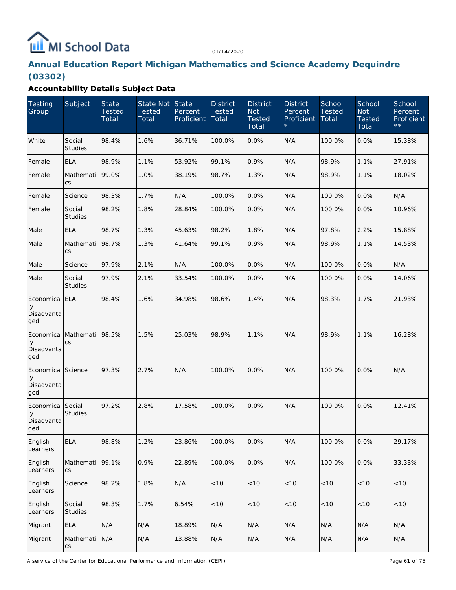# MI School Data

01/14/2020

# **Annual Education Report Michigan Mathematics and Science Academy Dequindre (03302)**

| Testing<br>Group                                | Subject                           | <b>State</b><br><b>Tested</b><br>Total | State Not State<br><b>Tested</b><br>Total | Percent<br>Proficient | <b>District</b><br><b>Tested</b><br>Total | <b>District</b><br><b>Not</b><br><b>Tested</b><br>Total | <b>District</b><br>Percent<br>Proficient | School<br><b>Tested</b><br>Total | School<br><b>Not</b><br><b>Tested</b><br>Total | School<br>Percent<br>Proficient<br>$\star \star$ |
|-------------------------------------------------|-----------------------------------|----------------------------------------|-------------------------------------------|-----------------------|-------------------------------------------|---------------------------------------------------------|------------------------------------------|----------------------------------|------------------------------------------------|--------------------------------------------------|
| White                                           | Social<br><b>Studies</b>          | 98.4%                                  | 1.6%                                      | 36.71%                | 100.0%                                    | 0.0%                                                    | N/A                                      | 100.0%                           | 0.0%                                           | 15.38%                                           |
| Female                                          | <b>ELA</b>                        | 98.9%                                  | 1.1%                                      | 53.92%                | 99.1%                                     | 0.9%                                                    | N/A                                      | 98.9%                            | 1.1%                                           | 27.91%                                           |
| Female                                          | Mathemati<br>CS                   | 99.0%                                  | 1.0%                                      | 38.19%                | 98.7%                                     | 1.3%                                                    | N/A                                      | 98.9%                            | 1.1%                                           | 18.02%                                           |
| Female                                          | Science                           | 98.3%                                  | 1.7%                                      | N/A                   | 100.0%                                    | 0.0%                                                    | N/A                                      | 100.0%                           | 0.0%                                           | N/A                                              |
| Female                                          | Social<br><b>Studies</b>          | 98.2%                                  | 1.8%                                      | 28.84%                | 100.0%                                    | 0.0%                                                    | N/A                                      | 100.0%                           | 0.0%                                           | 10.96%                                           |
| Male                                            | <b>ELA</b>                        | 98.7%                                  | 1.3%                                      | 45.63%                | 98.2%                                     | 1.8%                                                    | N/A                                      | 97.8%                            | 2.2%                                           | 15.88%                                           |
| Male                                            | Mathemati<br>CS                   | 98.7%                                  | 1.3%                                      | 41.64%                | 99.1%                                     | 0.9%                                                    | N/A                                      | 98.9%                            | 1.1%                                           | 14.53%                                           |
| Male                                            | Science                           | 97.9%                                  | 2.1%                                      | N/A                   | 100.0%                                    | 0.0%                                                    | N/A                                      | 100.0%                           | 0.0%                                           | N/A                                              |
| Male                                            | Social<br><b>Studies</b>          | 97.9%                                  | 2.1%                                      | 33.54%                | 100.0%                                    | 0.0%                                                    | N/A                                      | 100.0%                           | 0.0%                                           | 14.06%                                           |
| Economical ELA<br>Iу<br>Disadvanta<br>ged       |                                   | 98.4%                                  | 1.6%                                      | 34.98%                | 98.6%                                     | 1.4%                                                    | N/A                                      | 98.3%                            | 1.7%                                           | 21.93%                                           |
| Economical Mathemati<br>Iу<br>Disadvanta<br>ged | CS                                | 98.5%                                  | 1.5%                                      | 25.03%                | 98.9%                                     | 1.1%                                                    | N/A                                      | 98.9%                            | 1.1%                                           | 16.28%                                           |
| Economical Science<br>Iу<br>Disadvanta<br>ged   |                                   | 97.3%                                  | 2.7%                                      | N/A                   | 100.0%                                    | 0.0%                                                    | N/A                                      | 100.0%                           | 0.0%                                           | N/A                                              |
| Economical Social<br>Iу<br>Disadvanta<br>ged    | <b>Studies</b>                    | 97.2%                                  | 2.8%                                      | 17.58%                | 100.0%                                    | 0.0%                                                    | N/A                                      | 100.0%                           | 0.0%                                           | 12.41%                                           |
| English<br>Learners                             | <b>ELA</b>                        | 98.8%                                  | 1.2%                                      | 23.86%                | 100.0%                                    | 0.0%                                                    | N/A                                      | 100.0%                           | 0.0%                                           | 29.17%                                           |
| English<br>Learners                             | Mathemati<br>CS                   | 99.1%                                  | 0.9%                                      | 22.89%                | 100.0%                                    | 0.0%                                                    | N/A                                      | 100.0%                           | 0.0%                                           | 33.33%                                           |
| English<br>Learners                             | Science                           | 98.2%                                  | 1.8%                                      | N/A                   | <10                                       | $<10$                                                   | <10                                      | < 10                             | < 10                                           | < 10                                             |
| English<br>Learners                             | Social<br>Studies                 | 98.3%                                  | 1.7%                                      | 6.54%                 | < 10                                      | $<10$                                                   | < 10                                     | < 10                             | $<10$                                          | $<10$                                            |
| Migrant                                         | <b>ELA</b>                        | N/A                                    | N/A                                       | 18.89%                | N/A                                       | N/A                                                     | N/A                                      | N/A                              | N/A                                            | N/A                                              |
| Migrant                                         | Mathemati<br>$\mathsf{CS}\xspace$ | N/A                                    | N/A                                       | 13.88%                | N/A                                       | N/A                                                     | N/A                                      | N/A                              | N/A                                            | N/A                                              |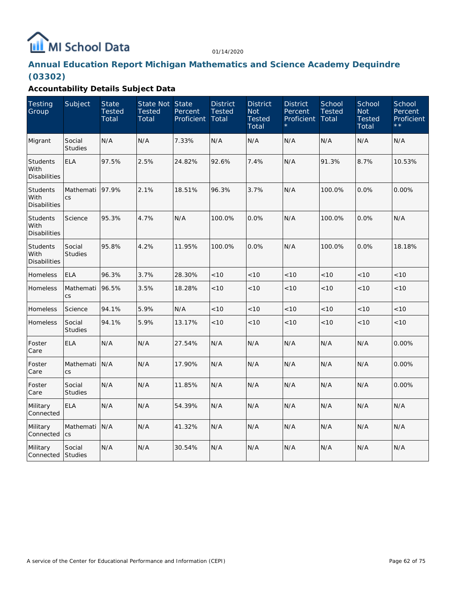

# **Annual Education Report Michigan Mathematics and Science Academy Dequindre (03302)**

| <b>Testing</b><br>Group                        | Subject                  | <b>State</b><br><b>Tested</b><br>Total | State Not State<br><b>Tested</b><br>Total | Percent<br><b>Proficient</b> | <b>District</b><br><b>Tested</b><br>Total | <b>District</b><br><b>Not</b><br><b>Tested</b><br>Total | <b>District</b><br>Percent<br>Proficient | School<br><b>Tested</b><br>Total | School<br><b>Not</b><br><b>Tested</b><br>Total | School<br>Percent<br>Proficient<br>$\star \star$ |
|------------------------------------------------|--------------------------|----------------------------------------|-------------------------------------------|------------------------------|-------------------------------------------|---------------------------------------------------------|------------------------------------------|----------------------------------|------------------------------------------------|--------------------------------------------------|
| Migrant                                        | Social<br><b>Studies</b> | N/A                                    | N/A                                       | 7.33%                        | N/A                                       | N/A                                                     | N/A                                      | N/A                              | N/A                                            | N/A                                              |
| <b>Students</b><br>With<br><b>Disabilities</b> | <b>ELA</b>               | 97.5%                                  | 2.5%                                      | 24.82%                       | 92.6%                                     | 7.4%                                                    | N/A                                      | 91.3%                            | 8.7%                                           | 10.53%                                           |
| <b>Students</b><br>With<br><b>Disabilities</b> | Mathemati<br><b>CS</b>   | 97.9%                                  | 2.1%                                      | 18.51%                       | 96.3%                                     | 3.7%                                                    | N/A                                      | 100.0%                           | 0.0%                                           | 0.00%                                            |
| <b>Students</b><br>With<br><b>Disabilities</b> | Science                  | 95.3%                                  | 4.7%                                      | N/A                          | 100.0%                                    | 0.0%                                                    | N/A                                      | 100.0%                           | 0.0%                                           | N/A                                              |
| Students<br>With<br><b>Disabilities</b>        | Social<br><b>Studies</b> | 95.8%                                  | 4.2%                                      | 11.95%                       | 100.0%                                    | 0.0%                                                    | N/A                                      | 100.0%                           | 0.0%                                           | 18.18%                                           |
| Homeless                                       | <b>ELA</b>               | 96.3%                                  | 3.7%                                      | 28.30%                       | < 10                                      | < 10                                                    | < 10                                     | < 10                             | < 10                                           | < 10                                             |
| Homeless                                       | Mathemati<br><b>CS</b>   | 96.5%                                  | 3.5%                                      | 18.28%                       | < 10                                      | < 10                                                    | < 10                                     | < 10                             | < 10                                           | < 10                                             |
| Homeless                                       | Science                  | 94.1%                                  | 5.9%                                      | N/A                          | < 10                                      | < 10                                                    | < 10                                     | < 10                             | < 10                                           | < 10                                             |
| Homeless                                       | Social<br><b>Studies</b> | 94.1%                                  | 5.9%                                      | 13.17%                       | < 10                                      | < 10                                                    | < 10                                     | < 10                             | < 10                                           | < 10                                             |
| Foster<br>Care                                 | <b>ELA</b>               | N/A                                    | N/A                                       | 27.54%                       | N/A                                       | N/A                                                     | N/A                                      | N/A                              | N/A                                            | 0.00%                                            |
| Foster<br>Care                                 | Mathemati<br>CS          | N/A                                    | N/A                                       | 17.90%                       | N/A                                       | N/A                                                     | N/A                                      | N/A                              | N/A                                            | 0.00%                                            |
| Foster<br>Care                                 | Social<br><b>Studies</b> | N/A                                    | N/A                                       | 11.85%                       | N/A                                       | N/A                                                     | N/A                                      | N/A                              | N/A                                            | 0.00%                                            |
| Military<br>Connected                          | <b>ELA</b>               | N/A                                    | N/A                                       | 54.39%                       | N/A                                       | N/A                                                     | N/A                                      | N/A                              | N/A                                            | N/A                                              |
| Military<br>Connected                          | Mathemati<br>CS          | N/A                                    | N/A                                       | 41.32%                       | N/A                                       | N/A                                                     | N/A                                      | N/A                              | N/A                                            | N/A                                              |
| Military<br>Connected                          | Social<br><b>Studies</b> | N/A                                    | N/A                                       | 30.54%                       | N/A                                       | N/A                                                     | N/A                                      | N/A                              | N/A                                            | N/A                                              |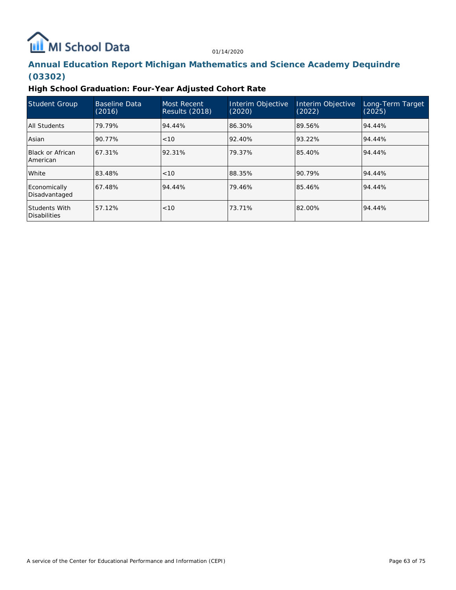# **ILL** MI School Data

01/14/2020

# **Annual Education Report Michigan Mathematics and Science Academy Dequindre (03302)**

**High School Graduation: Four-Year Adjusted Cohort Rate**

| Student Group                        | Baseline Data<br>(2016) | <b>Most Recent</b><br><b>Results (2018)</b> | Interim Objective<br>(2020) | Interim Objective<br>(2022) | Long-Term Target<br>(2025) |
|--------------------------------------|-------------------------|---------------------------------------------|-----------------------------|-----------------------------|----------------------------|
| All Students                         | 79.79%                  | 94.44%                                      | 86.30%                      | 89.56%                      | 94.44%                     |
| Asian                                | 90.77%                  | < 10                                        | 92.40%                      | 93.22%                      | 94.44%                     |
| Black or African<br>American         | 67.31%                  | 92.31%                                      | 79.37%                      | 85.40%                      | 94.44%                     |
| White                                | 83.48%                  | < 10                                        | 88.35%                      | 90.79%                      | 94.44%                     |
| Economically<br>Disadvantaged        | 67.48%                  | 94.44%                                      | 79.46%                      | 85.46%                      | 94.44%                     |
| <b>Students With</b><br>Disabilities | 57.12%                  | <10                                         | 73.71%                      | 82.00%                      | 94.44%                     |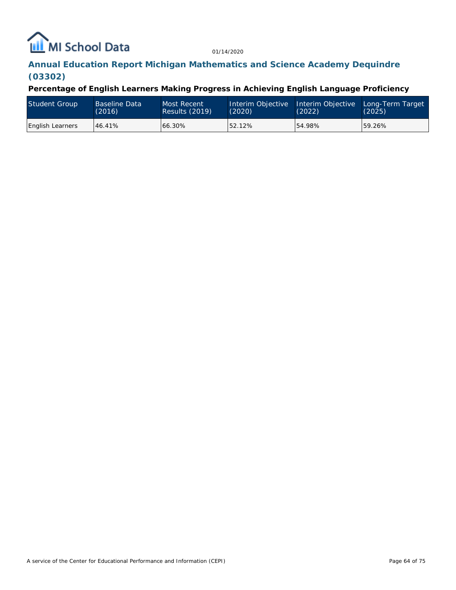# MI School Data

01/14/2020

# **Annual Education Report Michigan Mathematics and Science Academy Dequindre (03302)**

**Percentage of English Learners Making Progress in Achieving English Language Proficiency**

| <b>Student Group</b>    | <b>Baseline Data</b><br>(2016) | Most Recent<br>Results (2019) | Interim Objective Interim Objective<br>(2020) | (2022) | Long-Term Target<br>(2025) |
|-------------------------|--------------------------------|-------------------------------|-----------------------------------------------|--------|----------------------------|
| <b>English Learners</b> | 46.41%                         | 66.30%                        | 52.12%                                        | 54.98% | 59.26%                     |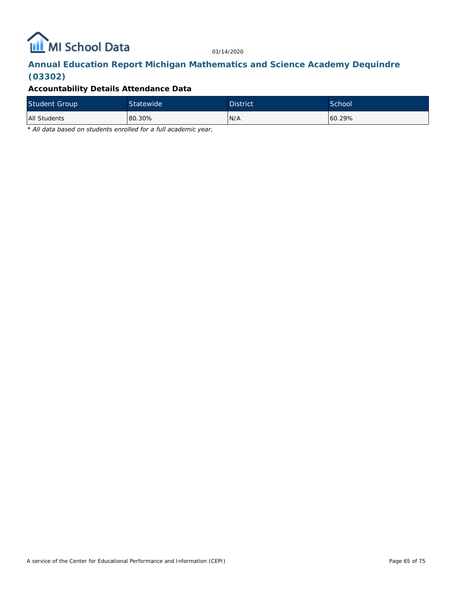

# **Annual Education Report Michigan Mathematics and Science Academy Dequindre (03302)**

## **Accountability Details Attendance Data**

| <b>Student Group</b> | Statewide <sup>1</sup> | <b>District</b> | School |
|----------------------|------------------------|-----------------|--------|
| All Students         | 80.30%                 | N/A             | 60.29% |

*\* All data based on students enrolled for a full academic year.*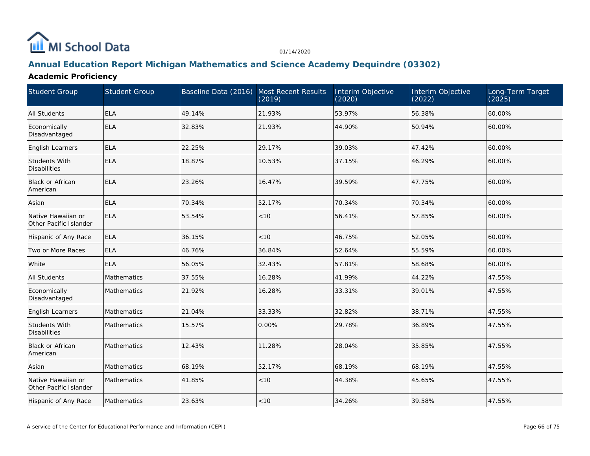

## **Annual Education Report Michigan Mathematics and Science Academy Dequindre (03302)**

## **Academic Proficiency**

| Student Group                                | <b>Student Group</b> | Baseline Data (2016) Most Recent Results | (2019) | Interim Objective<br>(2020) | Interim Objective<br>(2022) | Long-Term Target<br>(2025) |
|----------------------------------------------|----------------------|------------------------------------------|--------|-----------------------------|-----------------------------|----------------------------|
| All Students                                 | <b>ELA</b>           | 49.14%                                   | 21.93% | 53.97%                      | 56.38%                      | 60.00%                     |
| Economically<br>Disadvantaged                | ELA                  | 32.83%                                   | 21.93% | 44.90%                      | 50.94%                      | 60.00%                     |
| English Learners                             | <b>ELA</b>           | 22.25%                                   | 29.17% | 39.03%                      | 47.42%                      | 60.00%                     |
| Students With<br><b>Disabilities</b>         | <b>ELA</b>           | 18.87%                                   | 10.53% | 37.15%                      | 46.29%                      | 60.00%                     |
| <b>Black or African</b><br>American          | ELA                  | 23.26%                                   | 16.47% | 39.59%                      | 47.75%                      | 60.00%                     |
| Asian                                        | <b>ELA</b>           | 70.34%                                   | 52.17% | 70.34%                      | 70.34%                      | 60.00%                     |
| Native Hawaiian or<br>Other Pacific Islander | ELA                  | 53.54%                                   | < 10   | 56.41%                      | 57.85%                      | 60.00%                     |
| Hispanic of Any Race                         | <b>ELA</b>           | 36.15%                                   | < 10   | 46.75%                      | 52.05%                      | 60.00%                     |
| Two or More Races                            | <b>ELA</b>           | 46.76%                                   | 36.84% | 52.64%                      | 55.59%                      | 60.00%                     |
| White                                        | <b>ELA</b>           | 56.05%                                   | 32.43% | 57.81%                      | 58.68%                      | 60.00%                     |
| <b>All Students</b>                          | <b>Mathematics</b>   | 37.55%                                   | 16.28% | 41.99%                      | 44.22%                      | 47.55%                     |
| Economically<br>Disadvantaged                | Mathematics          | 21.92%                                   | 16.28% | 33.31%                      | 39.01%                      | 47.55%                     |
| English Learners                             | <b>Mathematics</b>   | 21.04%                                   | 33.33% | 32.82%                      | 38.71%                      | 47.55%                     |
| Students With<br><b>Disabilities</b>         | <b>Mathematics</b>   | 15.57%                                   | 0.00%  | 29.78%                      | 36.89%                      | 47.55%                     |
| Black or African<br>American                 | Mathematics          | 12.43%                                   | 11.28% | 28.04%                      | 35.85%                      | 47.55%                     |
| Asian                                        | Mathematics          | 68.19%                                   | 52.17% | 68.19%                      | 68.19%                      | 47.55%                     |
| Native Hawaiian or<br>Other Pacific Islander | Mathematics          | 41.85%                                   | < 10   | 44.38%                      | 45.65%                      | 47.55%                     |
| Hispanic of Any Race                         | Mathematics          | 23.63%                                   | < 10   | 34.26%                      | 39.58%                      | 47.55%                     |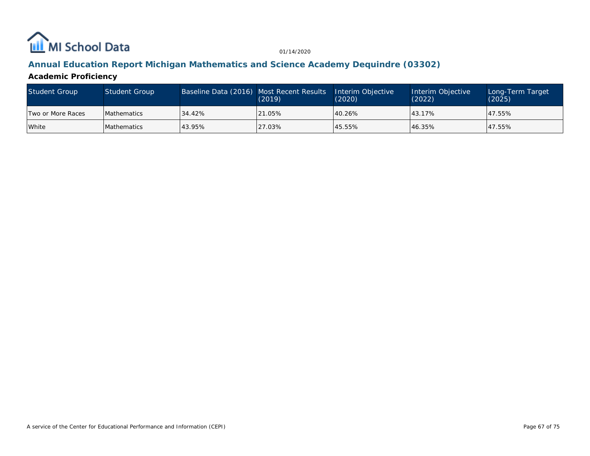

## **Annual Education Report Michigan Mathematics and Science Academy Dequindre (03302)**

**Academic Proficiency**

| Student Group     | Student Group       | Baseline Data (2016) Most Recent Results | (2019) | Interim Objective<br>(2020) | Interim Objective<br>(2022) | Long-Term Target<br>(2025) |
|-------------------|---------------------|------------------------------------------|--------|-----------------------------|-----------------------------|----------------------------|
| Two or More Races | <b>IMathematics</b> | 34.42%                                   | 21.05% | 40.26%                      | 43.17%                      | 47.55%                     |
| White             | <b>Mathematics</b>  | 43.95%                                   | 27.03% | 45.55%                      | 46.35%                      | 47.55%                     |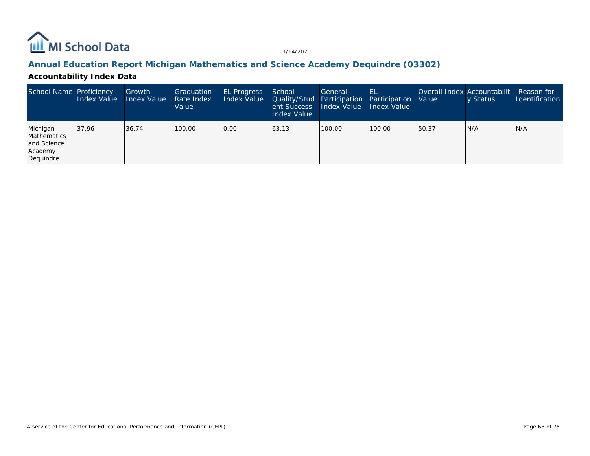

## **Annual Education Report Michigan Mathematics and Science Academy Dequindre (03302)**

## **Accountability Index Data**

| School Name Proficiency                                        | Index Value | Growth<br>Index Value | Graduation<br>Rate Index<br>Value | <b>EL Progress</b><br>Index Value | School<br>Quality/Stud Participation<br>ent Success<br>Index Value | General<br>Index Value | HL<br>Participation<br><b>Index Value</b> | <b>Value</b> | Overall Index Accountabilit<br>y Status | Reason for<br><b>Identification</b> |
|----------------------------------------------------------------|-------------|-----------------------|-----------------------------------|-----------------------------------|--------------------------------------------------------------------|------------------------|-------------------------------------------|--------------|-----------------------------------------|-------------------------------------|
| Michigan<br>Mathematics<br>and Science<br>Academy<br>Dequindre | 37.96       | 36.74                 | 100.00                            | 0.00                              | 163.13                                                             | 100.00                 | 100.00                                    | 150.37       | N/A                                     | IN/A                                |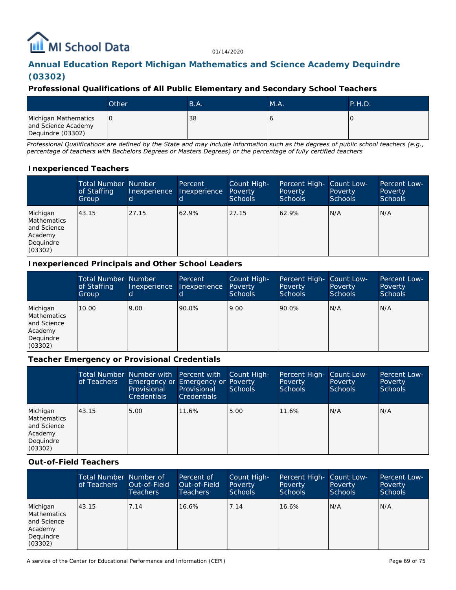# **III** MI School Data

01/14/2020

# **Annual Education Report Michigan Mathematics and Science Academy Dequindre (03302)**

## **Professional Qualifications of All Public Elementary and Secondary School Teachers**

|                                                                  | Other | B.A. | MA. | $\mathsf{P.H.D.}$ |
|------------------------------------------------------------------|-------|------|-----|-------------------|
| Michigan Mathematics<br>and Science Academy<br>Dequindre (03302) | IО    | 38   |     |                   |

*Professional Qualifications are defined by the State and may include information such as the degrees of public school teachers (e.g., percentage of teachers with Bachelors Degrees or Masters Degrees) or the percentage of fully certified teachers*

## **Inexperienced Teachers**

|                                                                           | <b>Total Number Number</b><br>of Staffing<br>Group | Inexperience | Percent<br>Inexperience | Count High-<br>Poverty<br><b>Schools</b> | Percent High-<br>Poverty<br><b>Schools</b> | Count Low-<br>Poverty<br><b>Schools</b> | Percent Low-<br>Poverty<br><b>Schools</b> |
|---------------------------------------------------------------------------|----------------------------------------------------|--------------|-------------------------|------------------------------------------|--------------------------------------------|-----------------------------------------|-------------------------------------------|
| Michigan<br>Mathematics<br>and Science<br>Academy<br>Dequindre<br>(03302) | 43.15                                              | 27.15        | 62.9%                   | 27.15                                    | 62.9%                                      | N/A                                     | N/A                                       |

## **Inexperienced Principals and Other School Leaders**

|                                                                                  | <b>Total Number Number</b><br>of Staffing<br>Group | Inexperience<br>ld. | Percent<br><b>Inexperience</b> | Count High-<br>Poverty<br><b>Schools</b> | Percent High- Count Low-<br>Poverty<br><b>Schools</b> | Poverty<br>Schools | Percent Low-<br>Poverty<br><b>Schools</b> |
|----------------------------------------------------------------------------------|----------------------------------------------------|---------------------|--------------------------------|------------------------------------------|-------------------------------------------------------|--------------------|-------------------------------------------|
| Michigan<br><b>Mathematics</b><br>and Science<br>Academy<br>Dequindre<br>(03302) | 10.00                                              | 9.00                | 90.0%                          | 9.00                                     | 90.0%                                                 | N/A                | N/A                                       |

#### **Teacher Emergency or Provisional Credentials**

|                                                                           | of Teachers | Total Number Number with Percent with<br>Emergency or Emergency or Poverty<br>Provisional<br><b>Credentials</b> | Provisional<br><b>Credentials</b> | Count High-<br>Schools | Percent High-<br>Poverty<br><b>Schools</b> | Count Low-<br>Poverty<br><b>Schools</b> | Percent Low-<br>Poverty<br><b>Schools</b> |
|---------------------------------------------------------------------------|-------------|-----------------------------------------------------------------------------------------------------------------|-----------------------------------|------------------------|--------------------------------------------|-----------------------------------------|-------------------------------------------|
| Michigan<br>Mathematics<br>and Science<br>Academy<br>Dequindre<br>(03302) | 43.15       | 5.00                                                                                                            | 11.6%                             | 5.00                   | 11.6%                                      | N/A                                     | N/A                                       |

#### **Out-of-Field Teachers**

|                                                                           | Total Number Number of<br>of Teachers | Out-of-Field<br><b>Teachers</b> | Percent of<br>Out-of-Field<br>Teachers | Count High-<br>Poverty<br><b>Schools</b> | Percent High-<br><b>Poverty</b><br><b>Schools</b> | Count Low-<br>Poverty<br>Schools | Percent Low-<br>Poverty<br><b>Schools</b> |
|---------------------------------------------------------------------------|---------------------------------------|---------------------------------|----------------------------------------|------------------------------------------|---------------------------------------------------|----------------------------------|-------------------------------------------|
| Michigan<br>Mathematics<br>and Science<br>Academy<br>Dequindre<br>(03302) | 43.15                                 | 7.14                            | 16.6%                                  | 7.14                                     | 16.6%                                             | N/A                              | N/A                                       |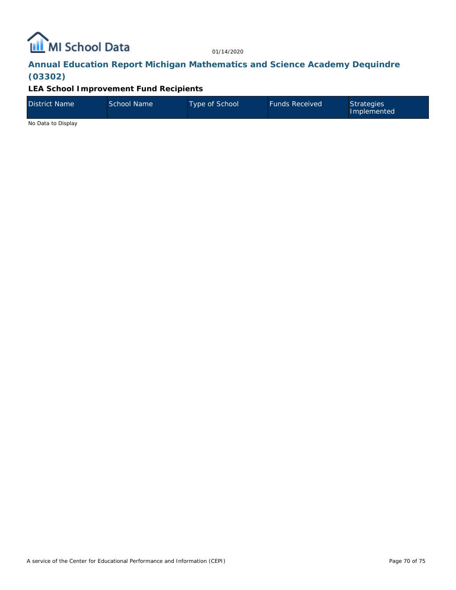

# **Annual Education Report Michigan Mathematics and Science Academy Dequindre (03302)**

## **LEA School Improvement Fund Recipients**

| District Name | School Name | Type of School | <b>Funds Received</b> | Strategies<br>Implemented |
|---------------|-------------|----------------|-----------------------|---------------------------|
| .             |             |                |                       |                           |

No Data to Display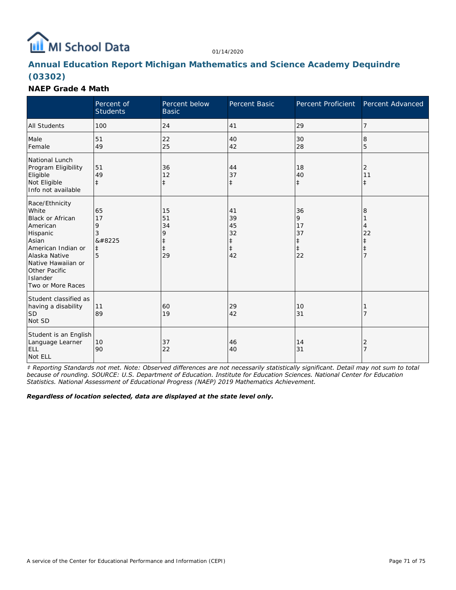

# **Annual Education Report Michigan Mathematics and Science Academy Dequindre (03302)**

#### **NAEP Grade 4 Math**

|                                                                                                                                                                                                    | Percent of<br><b>Students</b>              | Percent below<br><b>Basic</b>                         | Percent Basic                                          | Percent Proficient                           | Percent Advanced                                           |
|----------------------------------------------------------------------------------------------------------------------------------------------------------------------------------------------------|--------------------------------------------|-------------------------------------------------------|--------------------------------------------------------|----------------------------------------------|------------------------------------------------------------|
| <b>All Students</b>                                                                                                                                                                                | 100                                        | 24                                                    | 41                                                     | 29                                           | $\overline{7}$                                             |
| Male<br>Female                                                                                                                                                                                     | 51<br>49                                   | 22<br>25                                              | 40<br>42                                               | 30<br>28                                     | 8<br>5                                                     |
| National Lunch<br>Program Eligibility<br>Eligible<br>Not Eligible<br>Info not available                                                                                                            | 51<br>49<br>$\ddagger$                     | 36<br>12<br>$\ddagger$                                | 44<br>37<br>$\ddagger$                                 | 18<br>40<br>$\ddagger$                       | $\overline{2}$<br>11<br>$\ddagger$                         |
| Race/Ethnicity<br>White<br><b>Black or African</b><br>American<br>Hispanic<br>Asian<br>American Indian or<br>Alaska Native<br>Native Hawaiian or<br>Other Pacific<br>Islander<br>Two or More Races | 65<br>17<br>9<br>3<br>‡<br>$\ddagger$<br>5 | 15<br>51<br>34<br>9<br>$\ddagger$<br>$\ddagger$<br>29 | 41<br>39<br>45<br>32<br>$\ddagger$<br>$\ddagger$<br>42 | 36<br>9<br>17<br>37<br>ŧ<br>$\ddagger$<br>22 | 8<br>4<br>22<br>$\ddagger$<br>$\ddagger$<br>$\overline{7}$ |
| Student classified as<br>having a disability<br><b>SD</b><br>Not SD                                                                                                                                | 11<br>89                                   | 60<br>19                                              | 29<br>42                                               | 10<br>31                                     | 7                                                          |
| Student is an English<br>Language Learner<br><b>ELL</b><br>Not ELL                                                                                                                                 | 10<br>90                                   | 37<br>22                                              | 46<br>40                                               | 14<br>31                                     | $\overline{2}$<br>$\overline{7}$                           |

*‡ Reporting Standards not met. Note: Observed differences are not necessarily statistically significant. Detail may not sum to total because of rounding. SOURCE: U.S. Department of Education. Institute for Education Sciences. National Center for Education Statistics. National Assessment of Educational Progress (NAEP) 2019 Mathematics Achievement.*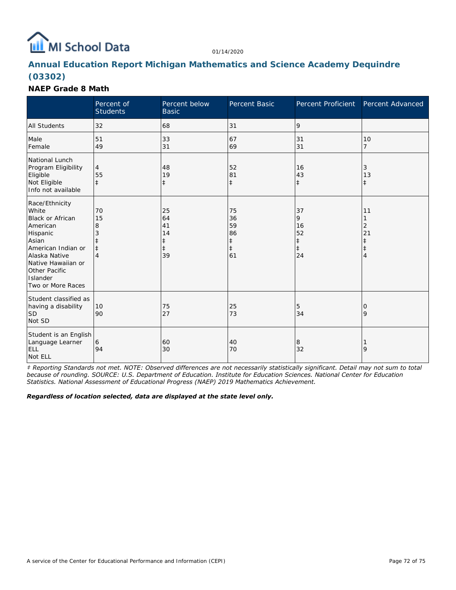

# **Annual Education Report Michigan Mathematics and Science Academy Dequindre (03302)**

## **NAEP Grade 8 Math**

|                                                                                                                                                                                                    | Percent of<br><b>Students</b>         | Percent below<br><b>Basic</b>            | Percent Basic                                          | Percent Proficient Percent Advanced                   |                                                                  |
|----------------------------------------------------------------------------------------------------------------------------------------------------------------------------------------------------|---------------------------------------|------------------------------------------|--------------------------------------------------------|-------------------------------------------------------|------------------------------------------------------------------|
| <b>All Students</b>                                                                                                                                                                                | 32                                    | 68                                       | 31                                                     | 9                                                     |                                                                  |
| Male<br>Female                                                                                                                                                                                     | 51<br>49                              | 33<br>31                                 | 67<br>69                                               | 31<br>31                                              | 10<br>$\overline{7}$                                             |
| National Lunch<br>Program Eligibility<br>Eligible<br>Not Eligible<br>Info not available                                                                                                            | 4<br>55<br>$\ddagger$                 | 48<br>19<br>$\ddagger$                   | 52<br>81<br>$\ddagger$                                 | 16<br>43<br>$\ddagger$                                | 3<br>13<br>$\ddagger$                                            |
| Race/Ethnicity<br>White<br><b>Black or African</b><br>American<br>Hispanic<br>Asian<br>American Indian or<br>Alaska Native<br>Native Hawaiian or<br>Other Pacific<br>Islander<br>Two or More Races | 70<br>15<br>8<br>3<br>$\ddagger$<br>4 | 25<br>64<br>41<br>14<br>$\ddagger$<br>39 | 75<br>36<br>59<br>86<br>$\ddagger$<br>$\ddagger$<br>61 | 37<br>9<br>16<br>52<br>$\ddagger$<br>$\ddagger$<br>24 | 11<br>1<br>$\overline{2}$<br>21<br>$\ddagger$<br>$\ddagger$<br>4 |
| Student classified as<br>having a disability<br><b>SD</b><br>Not SD                                                                                                                                | 10<br>90                              | 75<br>27                                 | 25<br>73                                               | 5<br>34                                               | 0<br>9                                                           |
| Student is an English<br>Language Learner<br><b>ELL</b><br>Not ELL                                                                                                                                 | 6<br>94                               | 60<br>30                                 | 40<br>70                                               | 8<br>32                                               | 9                                                                |

*‡ Reporting Standards not met. NOTE: Observed differences are not necessarily statistically significant. Detail may not sum to total because of rounding. SOURCE: U.S. Department of Education. Institute for Education Sciences. National Center for Education Statistics. National Assessment of Educational Progress (NAEP) 2019 Mathematics Achievement.*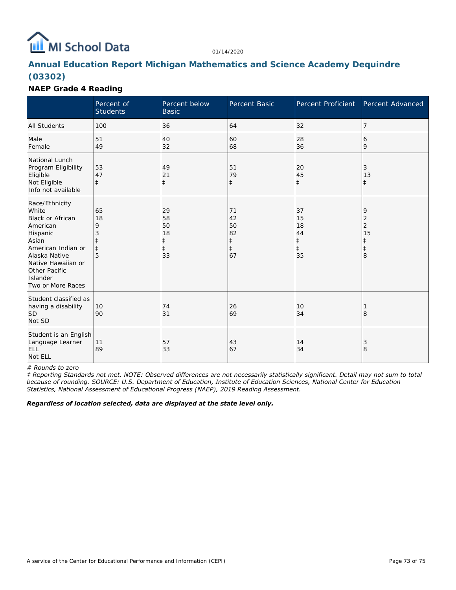

# **Annual Education Report Michigan Mathematics and Science Academy Dequindre (03302)**

## **NAEP Grade 4 Reading**

|                                                                                                                                                                                                           | Percent of<br><b>Students</b>         | Percent below<br><b>Basic</b>                          | Percent Basic                                          | Percent Proficient                                     | Percent Advanced                                                                      |
|-----------------------------------------------------------------------------------------------------------------------------------------------------------------------------------------------------------|---------------------------------------|--------------------------------------------------------|--------------------------------------------------------|--------------------------------------------------------|---------------------------------------------------------------------------------------|
| <b>All Students</b>                                                                                                                                                                                       | 100                                   | 36                                                     | 64                                                     | 32                                                     | 7                                                                                     |
| Male<br>Female                                                                                                                                                                                            | 51<br>49                              | 40<br>32                                               | 60<br>68                                               | 28<br>36                                               | 6<br>9                                                                                |
| National Lunch<br>Program Eligibility<br>Eligible<br>Not Eligible<br>Info not available                                                                                                                   | 53<br>47<br>$\ddagger$                | 49<br>21<br>$\ddagger$                                 | 51<br>79<br>$\ddagger$                                 | 20<br>45<br>$\ddagger$                                 | $\sqrt{3}$<br>13<br>$\ddagger$                                                        |
| Race/Ethnicity<br>White<br><b>Black or African</b><br>American<br>Hispanic<br>Asian<br>American Indian or<br>Alaska Native<br>Native Hawaiian or<br><b>Other Pacific</b><br>Islander<br>Two or More Races | 65<br>18<br>9<br>3<br>$\ddagger$<br>5 | 29<br>58<br>50<br>18<br>$\ddagger$<br>$\ddagger$<br>33 | 71<br>42<br>50<br>82<br>$\ddagger$<br>$\ddagger$<br>67 | 37<br>15<br>18<br>44<br>$\ddagger$<br>$\ddagger$<br>35 | 9<br>$\overline{\mathbf{c}}$<br>$\overline{c}$<br>15<br>$\ddagger$<br>$\ddagger$<br>8 |
| Student classified as<br>having a disability<br><b>SD</b><br>Not SD                                                                                                                                       | 10<br>90                              | 74<br>31                                               | 26<br>69                                               | 10<br>34                                               | 8                                                                                     |
| Student is an English<br>Language Learner<br><b>ELL</b><br>Not ELL                                                                                                                                        | 11<br>89                              | 57<br>33                                               | 43<br>67                                               | 14<br>34                                               | 3<br>8                                                                                |

*# Rounds to zero*

*‡ Reporting Standards not met. NOTE: Observed differences are not necessarily statistically significant. Detail may not sum to total because of rounding. SOURCE: U.S. Department of Education, Institute of Education Sciences, National Center for Education Statistics, National Assessment of Educational Progress (NAEP), 2019 Reading Assessment.*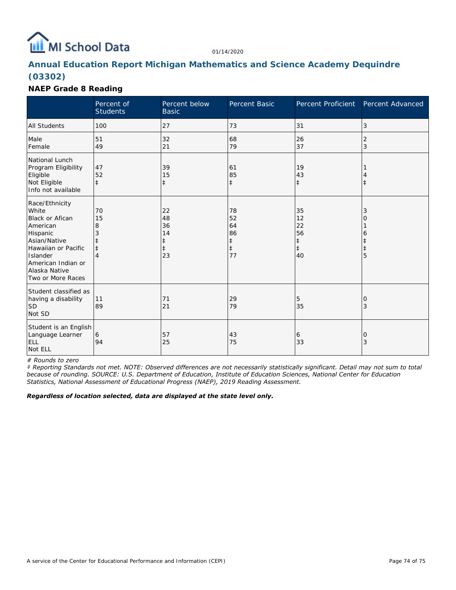

# **Annual Education Report Michigan Mathematics and Science Academy Dequindre (03302)**

#### **NAEP Grade 8 Reading**

|                                                                                                                                                                                          | Percent of<br><b>Students</b>         | Percent below<br><b>Basic</b>            | <b>Percent Basic</b>                                   | Percent Proficient                                     | Percent Advanced |
|------------------------------------------------------------------------------------------------------------------------------------------------------------------------------------------|---------------------------------------|------------------------------------------|--------------------------------------------------------|--------------------------------------------------------|------------------|
| <b>All Students</b>                                                                                                                                                                      | 100                                   | 27                                       | 73                                                     | 31                                                     | 3                |
| Male<br>Female                                                                                                                                                                           | 51<br>49                              | 32<br>21                                 | 68<br>79                                               | 26<br>37                                               | 2<br>3           |
| National Lunch<br>Program Eligibility<br>Eligible<br>Not Eligible<br>Info not available                                                                                                  | 47<br>52<br>$\ddagger$                | 39<br>15<br>$\ddagger$                   | 61<br>85<br>$\ddagger$                                 | 19<br>43<br>$\ddagger$                                 | $\ddagger$       |
| Race/Ethnicity<br>White<br><b>Black or Afican</b><br>American<br>Hispanic<br>Asian/Native<br>Hawaiian or Pacific<br>Islander<br>American Indian or<br>Alaska Native<br>Two or More Races | 70<br>15<br>8<br>3<br>$\ddagger$<br>4 | 22<br>48<br>36<br>14<br>$\ddagger$<br>23 | 78<br>52<br>64<br>86<br>$\ddagger$<br>$\ddagger$<br>77 | 35<br>12<br>22<br>56<br>$\ddagger$<br>$\ddagger$<br>40 | 3<br>0<br>6<br>5 |
| Student classified as<br>having a disability<br><b>SD</b><br>Not SD                                                                                                                      | 11<br>89                              | 71<br>21                                 | 29<br>79                                               | 5<br>35                                                | 10<br>3          |
| Student is an English<br>Language Learner<br><b>ELL</b><br>Not ELL                                                                                                                       | 6<br>94                               | 57<br>25                                 | 43<br>75                                               | 6<br>33                                                | 10<br>3          |

*# Rounds to zero*

*‡ Reporting Standards not met. NOTE: Observed differences are not necessarily statistically significant. Detail may not sum to total because of rounding. SOURCE: U.S. Department of Education, Institute of Education Sciences, National Center for Education Statistics, National Assessment of Educational Progress (NAEP), 2019 Reading Assessment.*